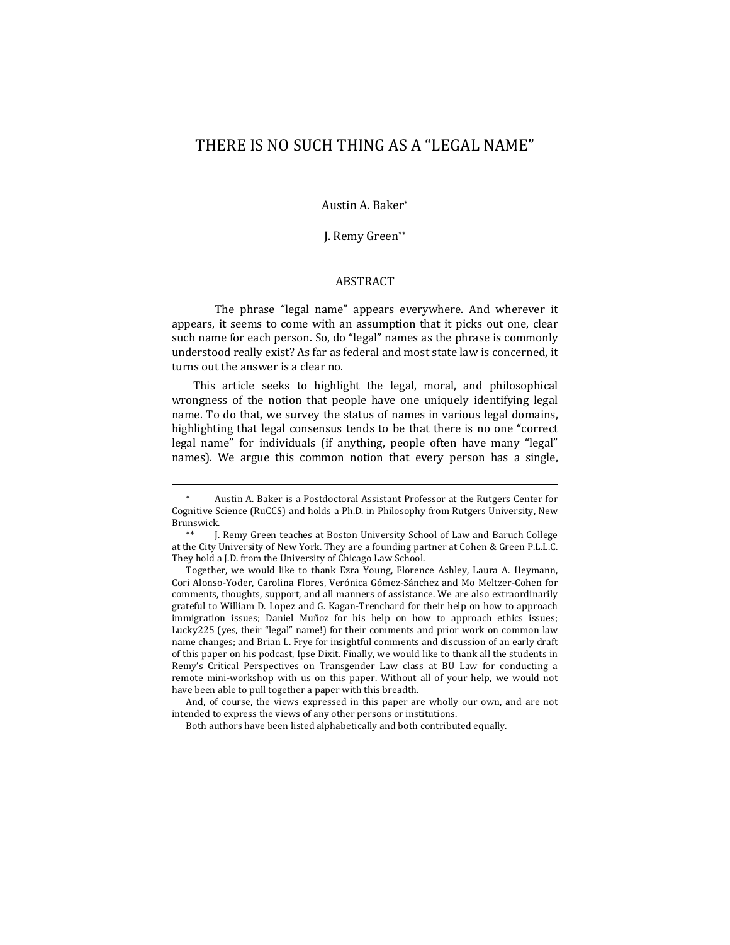# THERE IS NO SUCH THING AS A "LEGAL NAME"

Austin A. Baker\*

J. Remy Green\*\*

# **ABSTRACT**

The phrase "legal name" appears everywhere. And wherever it appears, it seems to come with an assumption that it picks out one, clear such name for each person. So, do "legal" names as the phrase is commonly understood really exist? As far as federal and most state law is concerned, it turns out the answer is a clear no.

This article seeks to highlight the legal, moral, and philosophical wrongness of the notion that people have one uniquely identifying legal name. To do that, we survey the status of names in various legal domains, highlighting that legal consensus tends to be that there is no one "correct legal name" for individuals (if anything, people often have many "legal" names). We argue this common notion that every person has a single,

Together, we would like to thank Ezra Young, Florence Ashley, Laura A. Heymann, Cori Alonso-Yoder, Carolina Flores, Verónica Gómez-Sánchez and Mo Meltzer-Cohen for comments, thoughts, support, and all manners of assistance. We are also extraordinarily grateful to William D. Lopez and G. Kagan-Trenchard for their help on how to approach immigration issues; Daniel Muñoz for his help on how to approach ethics issues; Lucky225 (yes, their "legal" name!) for their comments and prior work on common law name changes; and Brian L. Frye for insightful comments and discussion of an early draft of this paper on his podcast, Ipse Dixit. Finally, we would like to thank all the students in Remy's Critical Perspectives on Transgender Law class at BU Law for conducting a remote mini-workshop with us on this paper. Without all of your help, we would not have been able to pull together a paper with this breadth.

And, of course, the views expressed in this paper are wholly our own, and are not intended to express the views of any other persons or institutions.

Both authors have been listed alphabetically and both contributed equally.

Austin A. Baker is a Postdoctoral Assistant Professor at the Rutgers Center for Cognitive Science (RuCCS) and holds a Ph.D. in Philosophy from Rutgers University, New Brunswick.

I. Remy Green teaches at Boston University School of Law and Baruch College at the City University of New York. They are a founding partner at Cohen & Green P.L.L.C. They hold a J.D. from the University of Chicago Law School.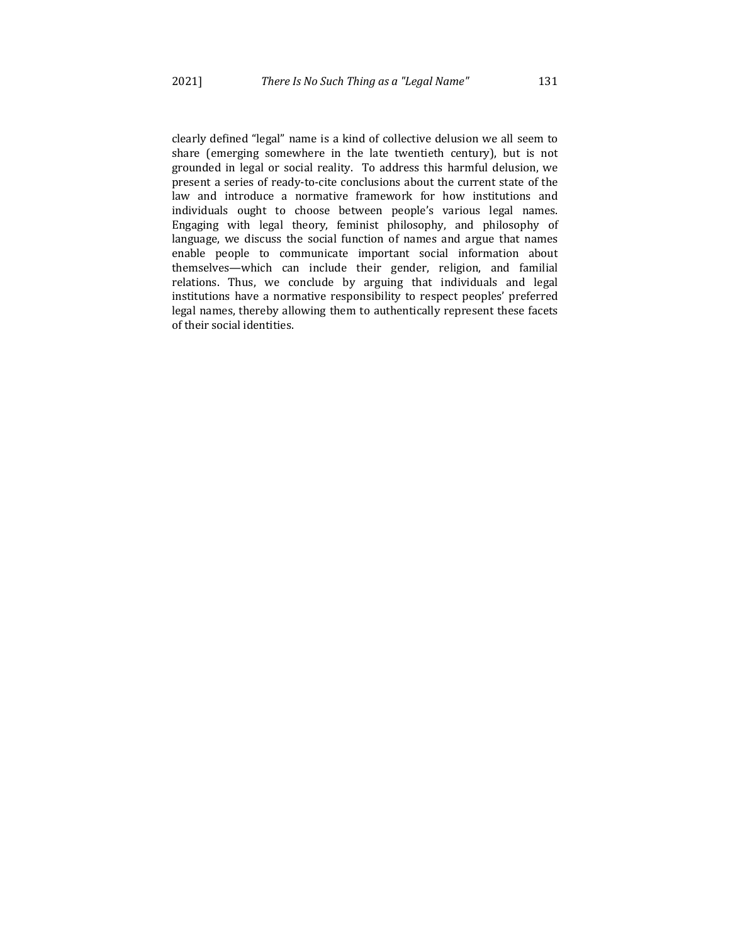clearly defined "legal" name is a kind of collective delusion we all seem to share (emerging somewhere in the late twentieth century), but is not grounded in legal or social reality. To address this harmful delusion, we present a series of ready-to-cite conclusions about the current state of the law and introduce a normative framework for how institutions and individuals ought to choose between people's various legal names. Engaging with legal theory, feminist philosophy, and philosophy of language, we discuss the social function of names and argue that names enable people to communicate important social information about themselves—which can include their gender, religion, and familial relations. Thus, we conclude by arguing that individuals and legal institutions have a normative responsibility to respect peoples' preferred legal names, thereby allowing them to authentically represent these facets of their social identities.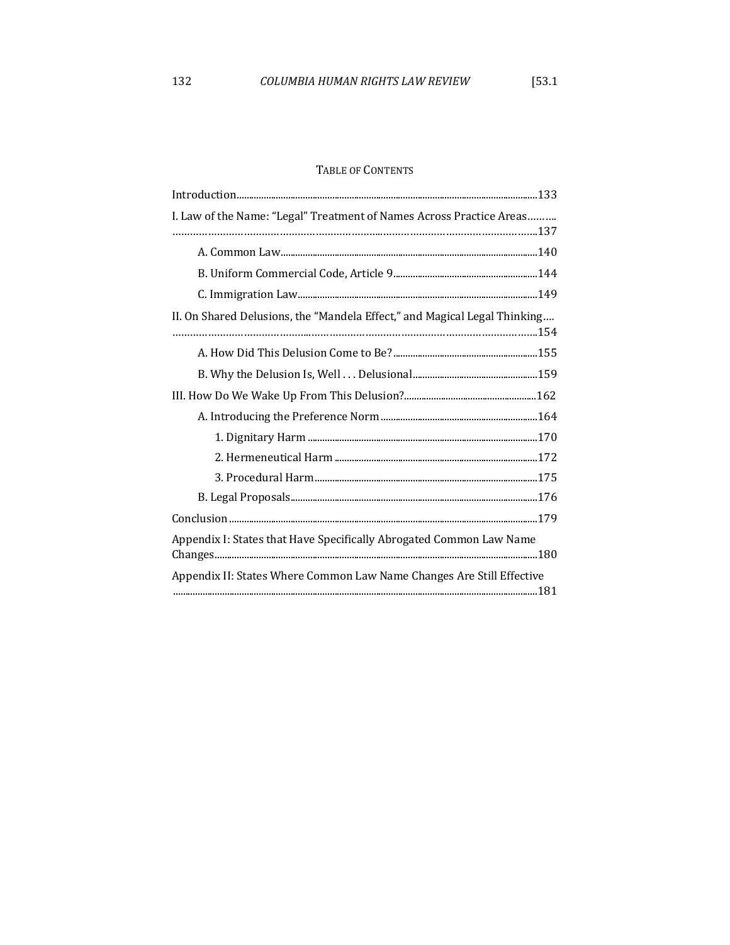# TABLE OF CONTENTS

| I. Law of the Name: "Legal" Treatment of Names Across Practice Areas      |
|---------------------------------------------------------------------------|
|                                                                           |
|                                                                           |
|                                                                           |
| II. On Shared Delusions, the "Mandela Effect," and Magical Legal Thinking |
|                                                                           |
|                                                                           |
|                                                                           |
|                                                                           |
|                                                                           |
|                                                                           |
|                                                                           |
|                                                                           |
|                                                                           |
| Appendix I: States that Have Specifically Abrogated Common Law Name       |
| Appendix II: States Where Common Law Name Changes Are Still Effective     |
|                                                                           |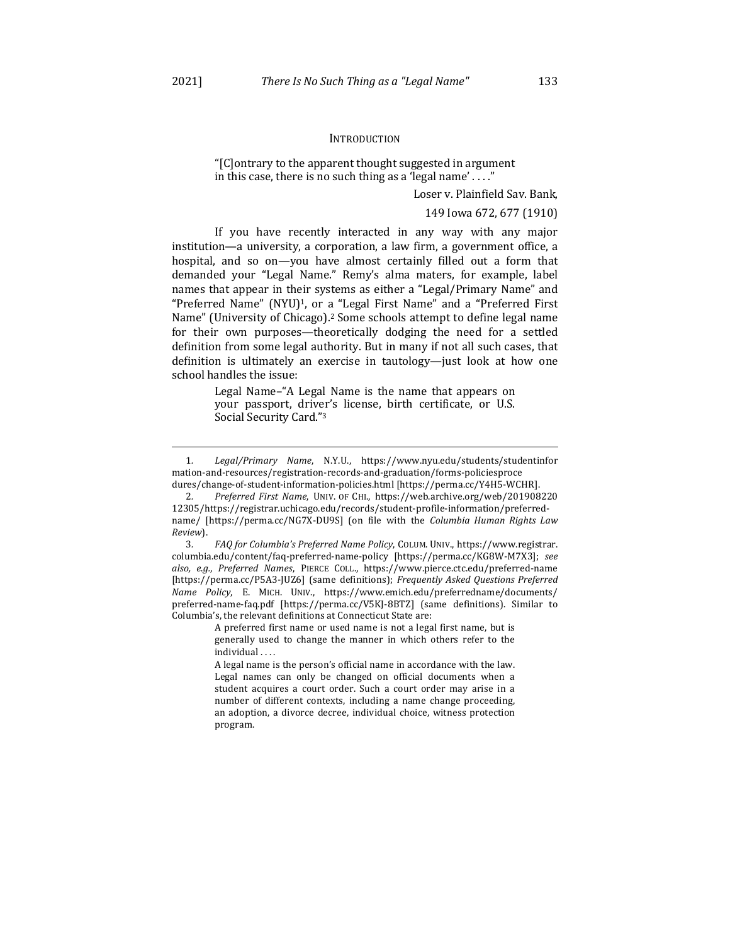#### **INTRODUCTION**

"[C]ontrary to the apparent thought suggested in argument in this case, there is no such thing as a 'legal name' ...."

Loser v. Plainfield Sav. Bank,

149 Iowa 672, 677 (1910)

If you have recently interacted in any way with any major institution—a university, a corporation, a law firm, a government office, a hospital, and so on—you have almost certainly filled out a form that demanded your "Legal Name." Remy's alma maters, for example, label names that appear in their systems as either a "Legal/Primary Name" and "Preferred Name" (NYU)<sup>1</sup>, or a "Legal First Name" and a "Preferred First Name" (University of Chicago).<sup>2</sup> Some schools attempt to define legal name for their own purposes—theoretically dodging the need for a settled definition from some legal authority. But in many if not all such cases, that definition is ultimately an exercise in tautology-just look at how one school handles the issue:

> Legal Name–"A Legal Name is the name that appears on your passport, driver's license, birth certificate, or U.S. Social Security Card."<sup>3</sup>

A preferred first name or used name is not a legal first name, but is generally used to change the manner in which others refer to the individual . . . .

<sup>1</sup>*. Legal/Primary Name*, N.Y.U., https://www.nyu.edu/students/studentinfor mation-and-resources/registration-records-and-graduation/forms-policiesproce dures/change-of-student-information-policies.html [https://perma.cc/Y4H5-WCHR]

<sup>2.</sup> Preferred First Name, UNIV. OF CHI., https://web.archive.org/web/201908220 12305/https://registrar.uchicago.edu/records/student-profile-information/preferredname/ [https://perma.cc/NG7X-DU9S] (on file with the *Columbia Human Rights Law Review*).

<sup>3.</sup> FAQ for Columbia's Preferred Name Policy, COLUM. UNIV., https://www.registrar. columbia.edu/content/faq-preferred-name-policy [https://perma.cc/KG8W-M7X3]; *see also, e.g.*, *Preferred Names*, PIERCE COLL., https://www.pierce.ctc.edu/preferred-name [https://perma.cc/P5A3-JUZ6] (same definitions); *Frequently Asked Questions Preferred Name Policy*, E. MICH. UNIV., https://www.emich.edu/preferredname/documents/ preferred-name-faq.pdf [https://perma.cc/V5KJ-8BTZ] (same definitions). Similar to Columbia's, the relevant definitions at Connecticut State are:

A legal name is the person's official name in accordance with the law. Legal names can only be changed on official documents when a student acquires a court order. Such a court order may arise in a number of different contexts, including a name change proceeding, an adoption, a divorce decree, individual choice, witness protection program.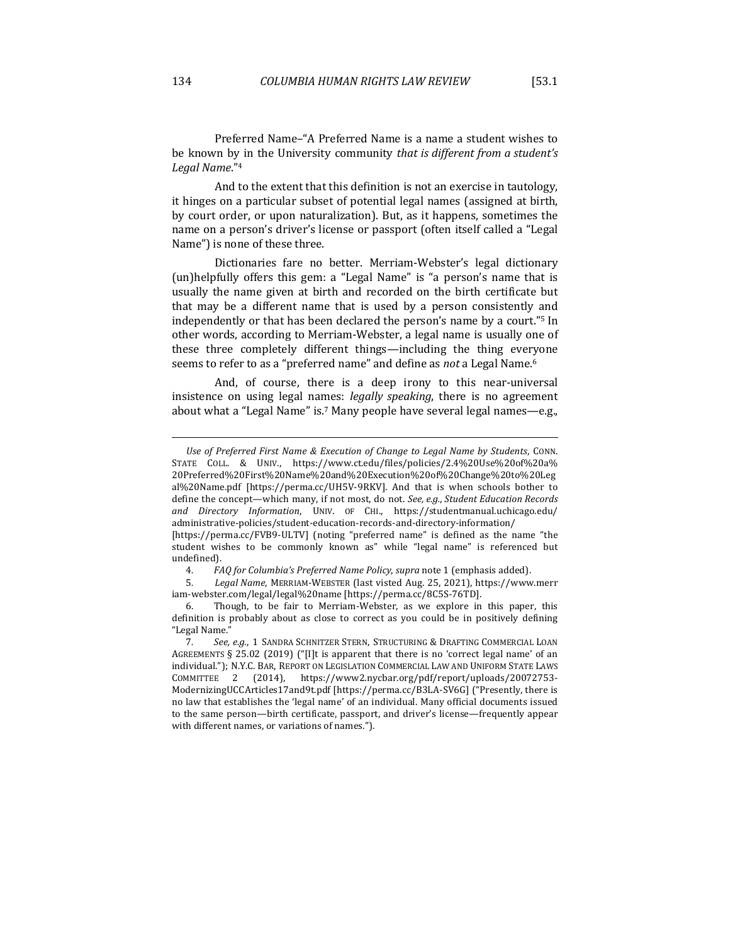Preferred Name-"A Preferred Name is a name a student wishes to be known by in the University community *that is different from a student's Legal Name*."4

And to the extent that this definition is not an exercise in tautology, it hinges on a particular subset of potential legal names (assigned at birth, by court order, or upon naturalization). But, as it happens, sometimes the name on a person's driver's license or passport (often itself called a "Legal Name") is none of these three.

Dictionaries fare no better. Merriam-Webster's legal dictionary (un)helpfully offers this gem: a "Legal Name" is "a person's name that is usually the name given at birth and recorded on the birth certificate but that may be a different name that is used by a person consistently and independently or that has been declared the person's name by a court."<sup>5</sup> In other words, according to Merriam-Webster, a legal name is usually one of these three completely different things—including the thing everyone seems to refer to as a "preferred name" and define as *not* a Legal Name.<sup>6</sup>

And, of course, there is a deep irony to this near-universal insistence on using legal names: *legally speaking*, there is no agreement about what a "Legal Name" is.<sup>7</sup> Many people have several legal names—e.g.,

Use of Preferred First Name & Execution of Change to Legal Name by Students, CONN. STATE COLL. & UNIV., https://www.ct.edu/files/policies/2.4%20Use%20of%20a% 20Preferred%20First%20Name%20and%20Execution%20of%20Change%20to%20Leg al%20Name.pdf [https://perma.cc/UH5V-9RKV]. And that is when schools bother to define the concept—which many, if not most, do not. See, e.g., Student Education Records *and Directory Information*, UNIV. OF CHI., https://studentmanual.uchicago.edu/ administrative-policies/student-education-records-and-directory-information/ [https://perma.cc/FVB9-ULTV] (noting "preferred name" is defined as the name "the

student wishes to be commonly known as" while "legal name" is referenced but undefined).

<sup>4</sup>*. FAQ for Columbia's Preferred Name Policy*, *supra* note 1 (emphasis added).

<sup>5</sup>*. Legal Name*, MERRIAM-WEBSTER (last visted Aug. 25, 2021), https://www.merr iam-webster.com/legal/legal%20name [https://perma.cc/8C5S-76TD].

<sup>6.</sup> Though, to be fair to Merriam-Webster, as we explore in this paper, this definition is probably about as close to correct as you could be in positively defining "Legal Name."

<sup>7.</sup> See, e.g., 1 SANDRA SCHNITZER STERN, STRUCTURING & DRAFTING COMMERCIAL LOAN AGREEMENTS § 25.02 (2019) ("[I]t is apparent that there is no 'correct legal name' of an individual."); N.Y.C. BAR, REPORT ON LEGISLATION COMMERCIAL LAW AND UNIFORM STATE LAWS COMMITTEE 2 (2014), https://www2.nycbar.org/pdf/report/uploads/20072753- ModernizingUCCArticles17and9t.pdf [https://perma.cc/B3LA-SV6G] ("Presently, there is no law that establishes the 'legal name' of an individual. Many official documents issued to the same person—birth certificate, passport, and driver's license—frequently appear with different names, or variations of names.").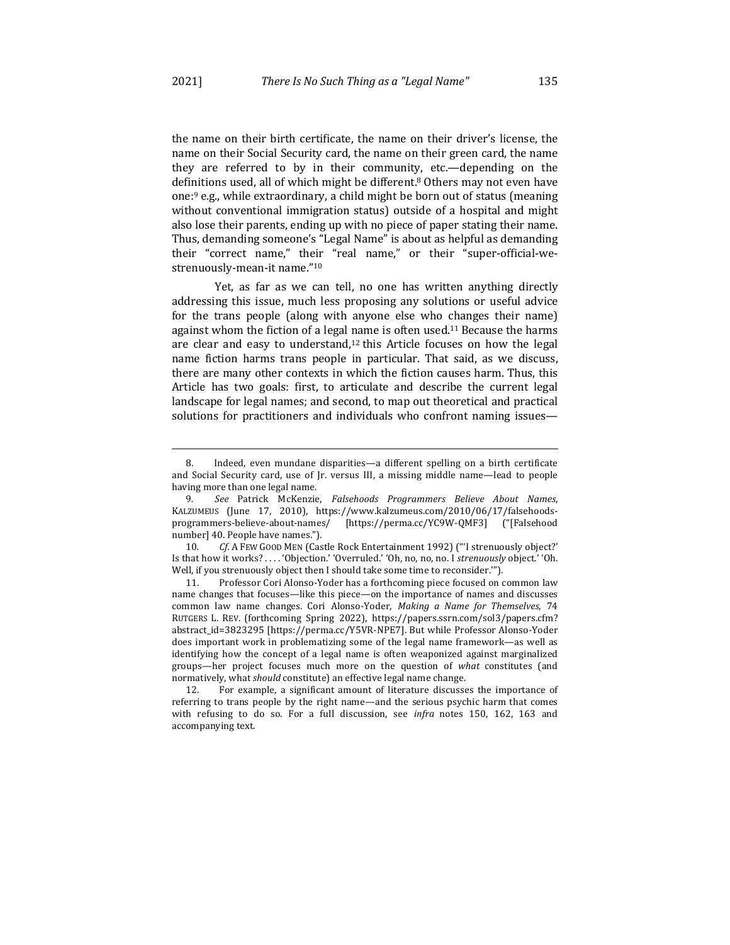the name on their birth certificate, the name on their driver's license, the name on their Social Security card, the name on their green card, the name they are referred to by in their community, etc.—depending on the definitions used, all of which might be different.<sup>8</sup> Others may not even have one:<sup>9</sup> e.g., while extraordinary, a child might be born out of status (meaning without conventional immigration status) outside of a hospital and might also lose their parents, ending up with no piece of paper stating their name. Thus, demanding someone's "Legal Name" is about as helpful as demanding their "correct name," their "real name," or their "super-official-westrenuously-mean-it name."10

Yet, as far as we can tell, no one has written anything directly addressing this issue, much less proposing any solutions or useful advice for the trans people (along with anyone else who changes their name) against whom the fiction of a legal name is often used.<sup>11</sup> Because the harms are clear and easy to understand, $12$  this Article focuses on how the legal name fiction harms trans people in particular. That said, as we discuss, there are many other contexts in which the fiction causes harm. Thus, this Article has two goals: first, to articulate and describe the current legal landscape for legal names; and second, to map out theoretical and practical solutions for practitioners and individuals who confront naming issues—

11. Professor Cori Alonso-Yoder has a forthcoming piece focused on common law name changes that focuses—like this piece—on the importance of names and discusses common law name changes. Cori Alonso-Yoder, *Making a Name for Themselves*, 74 RUTGERS L. REV. (forthcoming Spring 2022), https://papers.ssrn.com/sol3/papers.cfm? abstract\_id=3823295 [https://perma.cc/Y5VR-NPE7]. But while Professor Alonso-Yoder does important work in problematizing some of the legal name framework—as well as identifying how the concept of a legal name is often weaponized against marginalized groups—her project focuses much more on the question of what constitutes (and normatively, what *should* constitute) an effective legal name change.

12. For example, a significant amount of literature discusses the importance of referring to trans people by the right name—and the serious psychic harm that comes with refusing to do so. For a full discussion, see *infra* notes 150, 162, 163 and accompanying text.

<sup>8.</sup> Indeed, even mundane disparities—a different spelling on a birth certificate and Social Security card, use of Jr. versus III, a missing middle name—lead to people having more than one legal name.

<sup>9</sup>*. See*  Patrick McKenzie, *Falsehoods Programmers Believe About Names*, KALZUMEUS (June 17, 2010), https://www.kalzumeus.com/2010/06/17/falsehoodsprogrammers-believe-about-names/ [https://perma.cc/YC9W-QMF3] ("[Falsehood number] 40. People have names.").

<sup>10.</sup> Cf. A FEW GOOD MEN (Castle Rock Entertainment 1992) ("I strenuously object?' Is that how it works? .... 'Objection.' 'Overruled.' 'Oh, no, no, no. I *strenuously* object.' 'Oh. Well, if you strenuously object then I should take some time to reconsider."").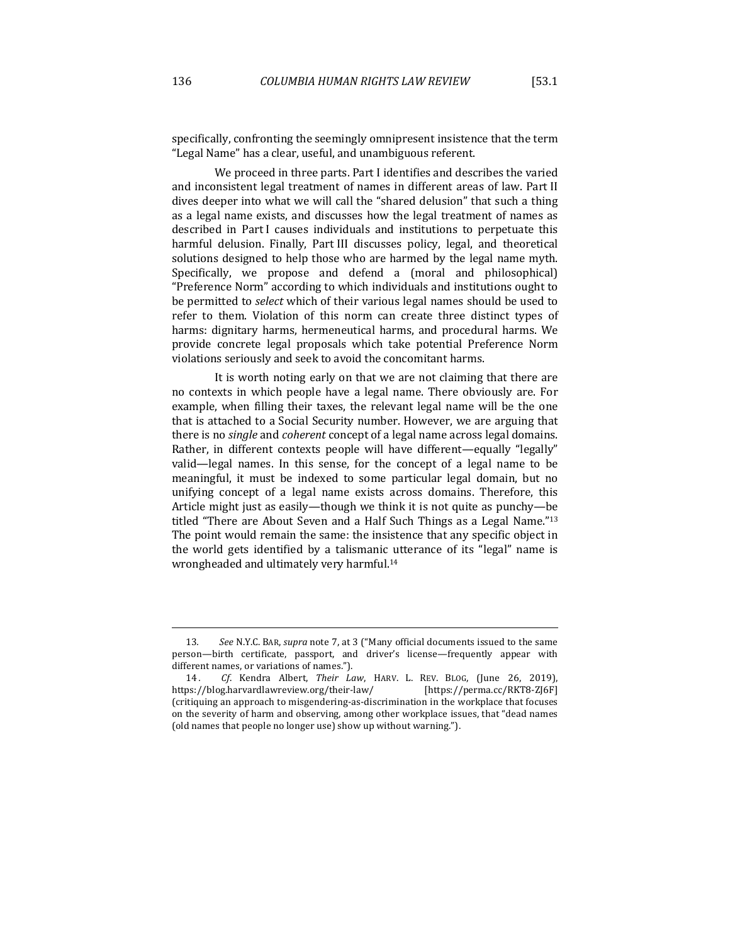specifically, confronting the seemingly omnipresent insistence that the term "Legal Name" has a clear, useful, and unambiguous referent.

We proceed in three parts. Part I identifies and describes the varied and inconsistent legal treatment of names in different areas of law. Part II dives deeper into what we will call the "shared delusion" that such a thing as a legal name exists, and discusses how the legal treatment of names as described in Part I causes individuals and institutions to perpetuate this harmful delusion. Finally, Part III discusses policy, legal, and theoretical solutions designed to help those who are harmed by the legal name myth. Specifically, we propose and defend a (moral and philosophical) "Preference Norm" according to which individuals and institutions ought to be permitted to *select* which of their various legal names should be used to refer to them. Violation of this norm can create three distinct types of harms: dignitary harms, hermeneutical harms, and procedural harms. We provide concrete legal proposals which take potential Preference Norm violations seriously and seek to avoid the concomitant harms.

It is worth noting early on that we are not claiming that there are no contexts in which people have a legal name. There obviously are. For example, when filling their taxes, the relevant legal name will be the one that is attached to a Social Security number. However, we are arguing that there is no *single* and *coherent* concept of a legal name across legal domains. Rather, in different contexts people will have different—equally "legally" valid—legal names. In this sense, for the concept of a legal name to be meaningful, it must be indexed to some particular legal domain, but no unifying concept of a legal name exists across domains. Therefore, this Article might just as easily—though we think it is not quite as punchy—be titled "There are About Seven and a Half Such Things as a Legal Name."<sup>13</sup> The point would remain the same: the insistence that any specific object in the world gets identified by a talismanic utterance of its "legal" name is wrongheaded and ultimately very harmful.<sup>14</sup>

<sup>13.</sup> See N.Y.C. BAR, *supra* note 7, at 3 ("Many official documents issued to the same person—birth certificate, passport, and driver's license—frequently appear with different names, or variations of names.").

<sup>14.</sup> *Cf.* Kendra Albert, *Their Law*, HARV. L. REV. BLOG, (June 26, 2019), https://blog.harvardlawreview.org/their-law/ [https://perma.cc/RKT8-ZJ6F] (critiquing an approach to misgendering-as-discrimination in the workplace that focuses on the severity of harm and observing, among other workplace issues, that "dead names (old names that people no longer use) show up without warning.").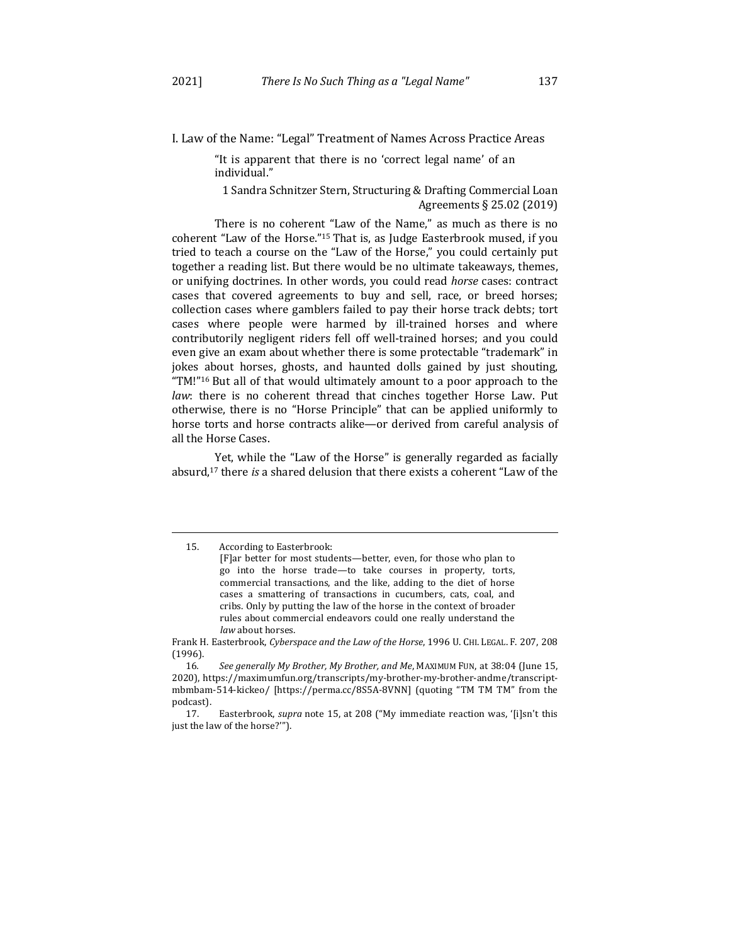I. Law of the Name: "Legal" Treatment of Names Across Practice Areas

"It is apparent that there is no 'correct legal name' of an individual."

1 Sandra Schnitzer Stern, Structuring & Drafting Commercial Loan Agreements § 25.02 (2019)

There is no coherent "Law of the Name," as much as there is no coherent "Law of the Horse."<sup>15</sup> That is, as Judge Easterbrook mused, if you tried to teach a course on the "Law of the Horse," you could certainly put together a reading list. But there would be no ultimate takeaways, themes, or unifying doctrines. In other words, you could read *horse* cases: contract cases that covered agreements to buy and sell, race, or breed horses; collection cases where gamblers failed to pay their horse track debts; tort cases where people were harmed by ill-trained horses and where contributorily negligent riders fell off well-trained horses; and you could even give an exam about whether there is some protectable "trademark" in jokes about horses, ghosts, and haunted dolls gained by just shouting, "TM!"<sup>16</sup> But all of that would ultimately amount to a poor approach to the *law*: there is no coherent thread that cinches together Horse Law. Put otherwise, there is no "Horse Principle" that can be applied uniformly to horse torts and horse contracts alike—or derived from careful analysis of all the Horse Cases.

Yet, while the "Law of the Horse" is generally regarded as facially absurd,<sup>17</sup> there *is* a shared delusion that there exists a coherent "Law of the

Frank H. Easterbrook, *Cyberspace and the Law of the Horse*, 1996 U. CHI. LEGAL. F. 207, 208 (1996).

16. See generally My Brother, My Brother, and Me, MAXIMUM FUN, at 38:04 (June 15, 2020), https://maximumfun.org/transcripts/my-brother-my-brother-andme/transcriptmbmbam-514-kickeo/ [https://perma.cc/8S5A-8VNN] (quoting "TM TM TM" from the podcast).

17. Easterbrook, *supra* note 15, at 208 ("My immediate reaction was, '[i]sn't this just the law of the horse?"").

<sup>15.</sup> According to Easterbrook:

<sup>[</sup>F]ar better for most students—better, even, for those who plan to go into the horse trade—to take courses in property, torts, commercial transactions, and the like, adding to the diet of horse cases a smattering of transactions in cucumbers, cats, coal, and cribs. Only by putting the law of the horse in the context of broader rules about commercial endeavors could one really understand the law about horses.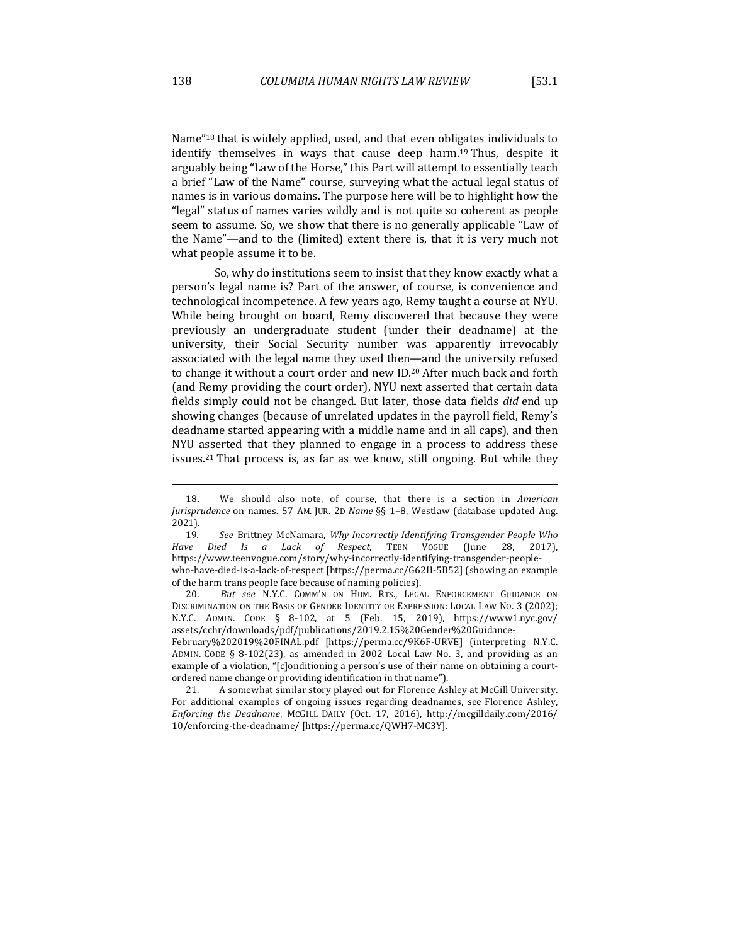Name"<sup>18</sup> that is widely applied, used, and that even obligates individuals to identify themselves in ways that cause deep harm.<sup>19</sup> Thus, despite it arguably being "Law of the Horse," this Part will attempt to essentially teach a brief "Law of the Name" course, surveying what the actual legal status of names is in various domains. The purpose here will be to highlight how the "legal" status of names varies wildly and is not quite so coherent as people seem to assume. So, we show that there is no generally applicable "Law of the Name"—and to the (limited) extent there is, that it is very much not what people assume it to be.

So, why do institutions seem to insist that they know exactly what a person's legal name is? Part of the answer, of course, is convenience and technological incompetence. A few years ago, Remy taught a course at NYU. While being brought on board, Remy discovered that because they were previously an undergraduate student (under their deadname) at the university, their Social Security number was apparently irrevocably associated with the legal name they used then—and the university refused to change it without a court order and new ID.<sup>20</sup> After much back and forth (and Remy providing the court order), NYU next asserted that certain data fields simply could not be changed. But later, those data fields *did* end up showing changes (because of unrelated updates in the payroll field, Remy's deadname started appearing with a middle name and in all caps), and then NYU asserted that they planned to engage in a process to address these issues.<sup>21</sup> That process is, as far as we know, still ongoing. But while they

20*. But see* N.Y.C. COMM'N ON HUM. RTS., LEGAL ENFORCEMENT GUIDANCE ON DISCRIMINATION ON THE BASIS OF GENDER IDENTITY OR EXPRESSION: LOCAL LAW NO. 3 (2002); N.Y.C. ADMIN. CODE § 8-102, at 5 (Feb. 15, 2019), https://www1.nyc.gov/ assets/cchr/downloads/pdf/publications/2019.2.15%20Gender%20Guidance-February%202019%20FINAL.pdf [https://perma.cc/9K6F-URVE] (interpreting N.Y.C.

ADMIN. CODE § 8-102(23), as amended in 2002 Local Law No. 3, and providing as an example of a violation, "[c]onditioning a person's use of their name on obtaining a courtordered name change or providing identification in that name").

21. A somewhat similar story played out for Florence Ashley at McGill University. For additional examples of ongoing issues regarding deadnames, see Florence Ashley, *Enforcing the Deadname, MCGILL DAILY (Oct. 17, 2016), http://mcgilldaily.com/2016/* 10/enforcing-the-deadname/ [https://perma.cc/QWH7-MC3Y].

<sup>18.</sup> We should also note, of course, that there is a section in American Jurisprudence on names. 57 AM. JUR. 2D *Name* §§ 1-8, Westlaw (database updated Aug. 2021).

<sup>19.</sup> See Brittney McNamara, *Why Incorrectly Identifying Transgender People Who Have Died Is a Lack of Respect*, TEEN VOGUE (June 28, 2017), https://www.teenvogue.com/story/why-incorrectly-identifying-transgender-peoplewho-have-died-is-a-lack-of-respect [https://perma.cc/G62H-5B52] (showing an example of the harm trans people face because of naming policies).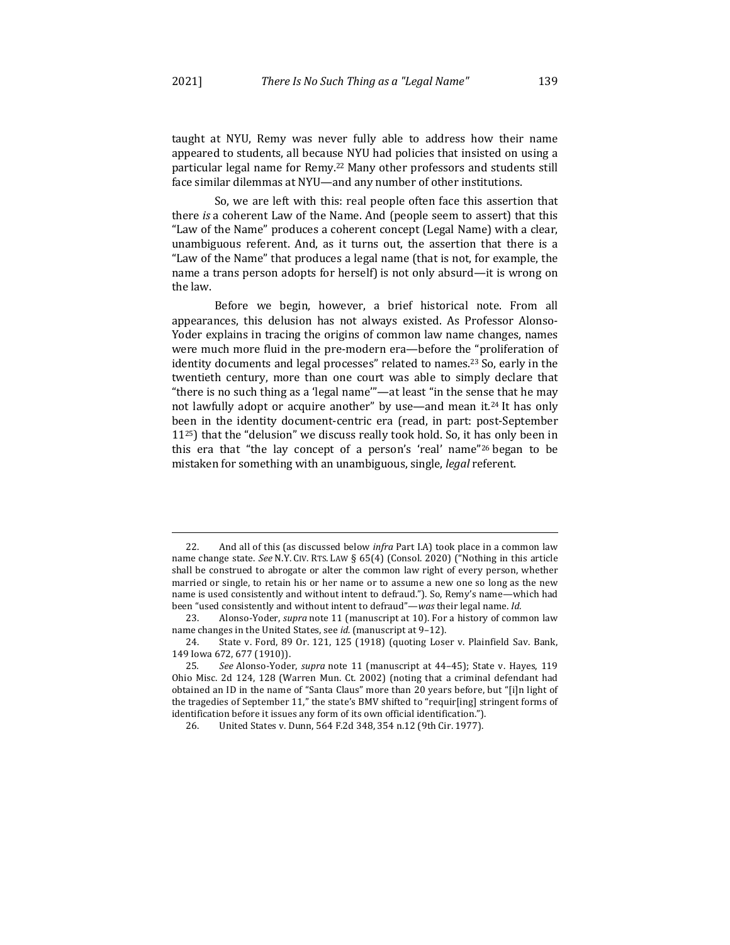taught at NYU, Remy was never fully able to address how their name appeared to students, all because NYU had policies that insisted on using a particular legal name for Remy.<sup>22</sup> Many other professors and students still face similar dilemmas at NYU—and any number of other institutions.

So, we are left with this: real people often face this assertion that there *is* a coherent Law of the Name. And (people seem to assert) that this "Law of the Name" produces a coherent concept (Legal Name) with a clear, unambiguous referent. And, as it turns out, the assertion that there is a "Law of the Name" that produces a legal name (that is not, for example, the name a trans person adopts for herself) is not only absurd—it is wrong on the law.

Before we begin, however, a brief historical note. From all appearances, this delusion has not always existed. As Professor Alonso-Yoder explains in tracing the origins of common law name changes, names were much more fluid in the pre-modern era—before the "proliferation of identity documents and legal processes" related to names.<sup>23</sup> So, early in the twentieth century, more than one court was able to simply declare that "there is no such thing as a 'legal name'"—at least "in the sense that he may not lawfully adopt or acquire another" by use—and mean it.<sup>24</sup> It has only been in the identity document-centric era (read, in part: post-September  $11^{25}$ ) that the "delusion" we discuss really took hold. So, it has only been in this era that "the lay concept of a person's 'real' name"<sup>26</sup> began to be mistaken for something with an unambiguous, single, *legal* referent.

<sup>22.</sup> And all of this (as discussed below *infra* Part I.A) took place in a common law name change state. See N.Y. CIV. RTS. LAW § 65(4) (Consol. 2020) ("Nothing in this article shall be construed to abrogate or alter the common law right of every person, whether married or single, to retain his or her name or to assume a new one so long as the new name is used consistently and without intent to defraud."). So, Remy's name—which had been "used consistently and without intent to defraud"—*was* their legal name. *Id.* 

<sup>23.</sup> Alonso-Yoder, *supra* note 11 (manuscript at 10). For a history of common law name changes in the United States, see *id.* (manuscript at 9-12).

<sup>24.</sup> State v. Ford, 89 Or. 121, 125 (1918) (quoting Loser v. Plainfield Sav. Bank, 149 Iowa 672, 677 (1910)).

<sup>25.</sup> See Alonso-Yoder, *supra* note 11 (manuscript at 44-45); State v. Hayes, 119 Ohio Misc. 2d 124, 128 (Warren Mun. Ct. 2002) (noting that a criminal defendant had obtained an ID in the name of "Santa Claus" more than 20 years before, but "[i]n light of the tragedies of September 11," the state's BMV shifted to "requir[ing] stringent forms of identification before it issues any form of its own official identification.").

<sup>26.</sup> United States v. Dunn, 564 F.2d 348, 354 n.12 (9th Cir. 1977).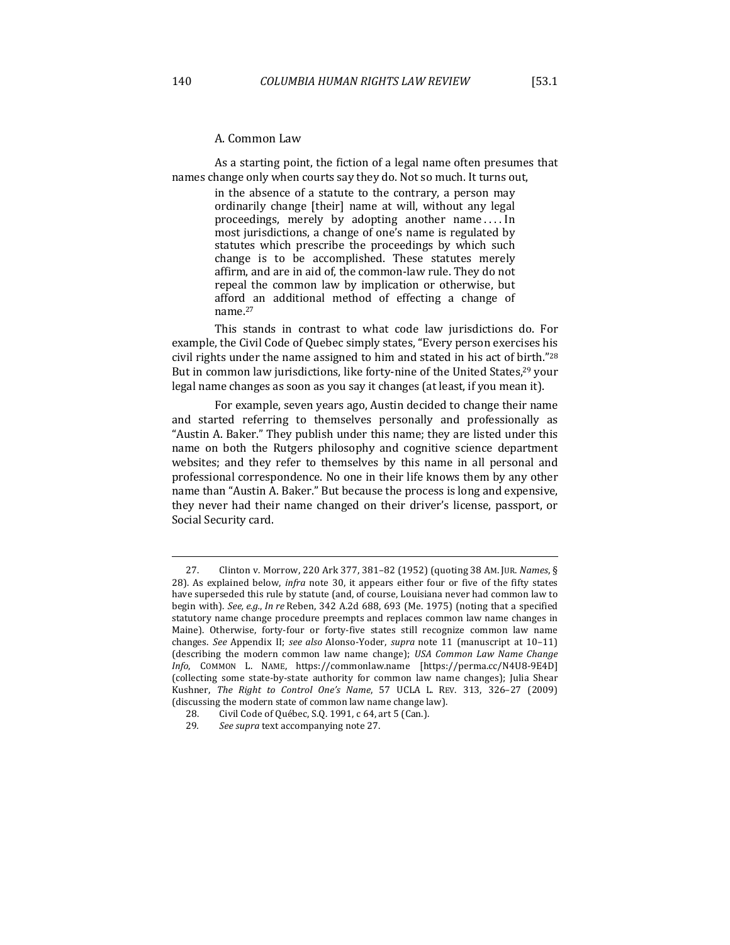As a starting point, the fiction of a legal name often presumes that names change only when courts say they do. Not so much. It turns out,

> in the absence of a statute to the contrary, a person may ordinarily change [their] name at will, without any legal proceedings, merely by adopting another name .... In most jurisdictions, a change of one's name is regulated by statutes which prescribe the proceedings by which such change is to be accomplished. These statutes merely affirm, and are in aid of, the common-law rule. They do not repeal the common law by implication or otherwise, but afford an additional method of effecting a change of name.27

This stands in contrast to what code law jurisdictions do. For example, the Civil Code of Quebec simply states, "Every person exercises his civil rights under the name assigned to him and stated in his act of birth."<sup>28</sup> But in common law jurisdictions, like forty-nine of the United States, $29$  your legal name changes as soon as you say it changes (at least, if you mean it).

For example, seven years ago, Austin decided to change their name and started referring to themselves personally and professionally as "Austin A. Baker." They publish under this name; they are listed under this name on both the Rutgers philosophy and cognitive science department websites; and they refer to themselves by this name in all personal and professional correspondence. No one in their life knows them by any other name than "Austin A. Baker." But because the process is long and expensive, they never had their name changed on their driver's license, passport, or Social Security card.

<sup>27.</sup>  Clinton v. Morrow, 220 Ark 377, 381–82 (1952) (quoting 38 AM. JUR. *Names*, § 28). As explained below, *infra* note 30, it appears either four or five of the fifty states have superseded this rule by statute (and, of course, Louisiana never had common law to begin with). See, e.g., In re Reben, 342 A.2d 688, 693 (Me. 1975) (noting that a specified statutory name change procedure preempts and replaces common law name changes in Maine). Otherwise, forty-four or forty-five states still recognize common law name changes. See Appendix II; see also Alonso-Yoder, *supra* note 11 (manuscript at 10-11) (describing the modern common law name change); *USA Common Law Name Change Info*, COMMON L. NAME, https://commonlaw.name [https://perma.cc/N4U8-9E4D] (collecting some state-by-state authority for common law name changes); Julia Shear Kushner, *The Right to Control One's Name*, 57 UCLA L. REV. 313, 326-27 (2009) (discussing the modern state of common law name change law).

<sup>28.</sup> Civil Code of Québec, S.Q. 1991, c 64, art 5 (Can.).

<sup>29.</sup> See supra text accompanying note 27.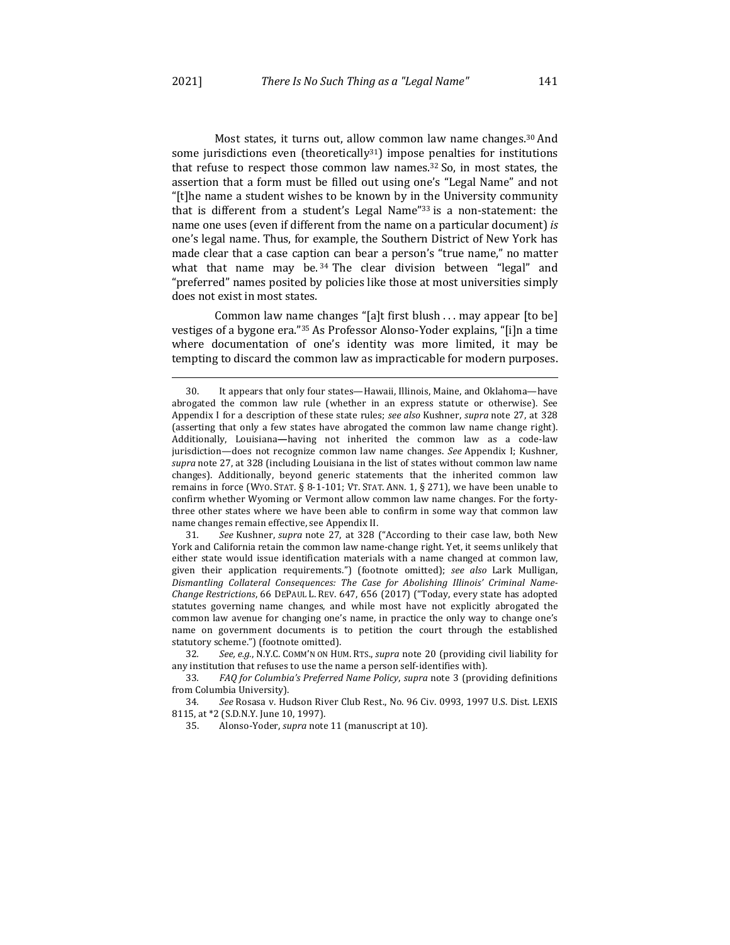Most states, it turns out, allow common law name changes.<sup>30</sup> And some jurisdictions even (theoretically<sup>31</sup>) impose penalties for institutions that refuse to respect those common law names. $32$  So, in most states, the assertion that a form must be filled out using one's "Legal Name" and not "[t]he name a student wishes to be known by in the University community that is different from a student's Legal Name" $33$  is a non-statement: the name one uses (even if different from the name on a particular document) is one's legal name. Thus, for example, the Southern District of New York has made clear that a case caption can bear a person's "true name," no matter what that name may be.<sup>34</sup> The clear division between "legal" and "preferred" names posited by policies like those at most universities simply does not exist in most states.

Common law name changes "[a]t first blush . . . may appear [to be] vestiges of a bygone era."<sup>35</sup> As Professor Alonso-Yoder explains, "[i]n a time where documentation of one's identity was more limited, it may be tempting to discard the common law as impracticable for modern purposes.

31. See Kushner, *supra* note 27, at 328 ("According to their case law, both New York and California retain the common law name-change right. Yet, it seems unlikely that either state would issue identification materials with a name changed at common law, given their application requirements.") (footnote omitted); see also Lark Mulligan, Dismantling Collateral Consequences: The Case for Abolishing Illinois' Criminal Name-*Change Restrictions*, 66 DEPAUL L. REV. 647, 656 (2017) ("Today, every state has adopted statutes governing name changes, and while most have not explicitly abrogated the common law avenue for changing one's name, in practice the only way to change one's name on government documents is to petition the court through the established statutory scheme.") (footnote omitted).

32. See, e.g., N.Y.C. COMM'N ON HUM. RTS., *supra* note 20 (providing civil liability for any institution that refuses to use the name a person self-identifies with).

33. *FAQ for Columbia's Preferred Name Policy, supra note* 3 (providing definitions from Columbia University).

34. See Rosasa v. Hudson River Club Rest., No. 96 Civ. 0993, 1997 U.S. Dist. LEXIS 8115, at \*2 (S.D.N.Y. June 10, 1997).

35. Alonso-Yoder, *supra* note 11 (manuscript at 10).

<sup>30.</sup> It appears that only four states—Hawaii, Illinois, Maine, and Oklahoma—have abrogated the common law rule (whether in an express statute or otherwise). See Appendix I for a description of these state rules; *see also* Kushner, *supra* note 27, at 328 (asserting that only a few states have abrogated the common law name change right). Additionally, Louisiana**—**having not inherited the common law as a code-law jurisdiction—does not recognize common law name changes. See Appendix I; Kushner, supra note 27, at 328 (including Louisiana in the list of states without common law name changes). Additionally, beyond generic statements that the inherited common law remains in force (WYO. STAT. § 8-1-101; VT. STAT. ANN. 1, § 271), we have been unable to confirm whether Wyoming or Vermont allow common law name changes. For the fortythree other states where we have been able to confirm in some way that common law name changes remain effective, see Appendix II.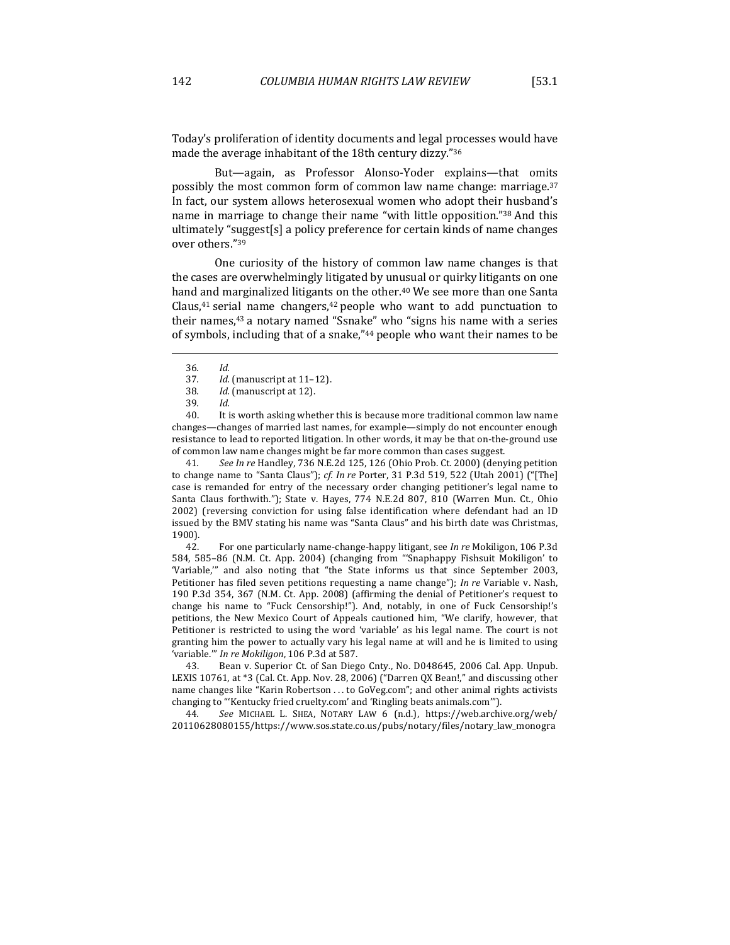Today's proliferation of identity documents and legal processes would have made the average inhabitant of the 18th century dizzy."36

But—again, as Professor Alonso-Yoder explains—that omits possibly the most common form of common law name change: marriage.<sup>37</sup> In fact, our system allows heterosexual women who adopt their husband's name in marriage to change their name "with little opposition."38 And this ultimately "suggest[s] a policy preference for certain kinds of name changes over others."39

One curiosity of the history of common law name changes is that the cases are overwhelmingly litigated by unusual or quirky litigants on one hand and marginalized litigants on the other.<sup>40</sup> We see more than one Santa Claus, $41$  serial name changers, $42$  people who want to add punctuation to their names,<sup>43</sup> a notary named "Ssnake" who "signs his name with a series of symbols, including that of a snake,"<sup>44</sup> people who want their names to be

39*. Id.*

40. It is worth asking whether this is because more traditional common law name changes—changes of married last names, for example—simply do not encounter enough resistance to lead to reported litigation. In other words, it may be that on-the-ground use of common law name changes might be far more common than cases suggest.

41*. See In re* Handley, 736 N.E.2d 125, 126 (Ohio Prob. Ct. 2000) (denying petition to change name to "Santa Claus"); *cf. In re* Porter, 31 P.3d 519, 522 (Utah 2001) ("[The] case is remanded for entry of the necessary order changing petitioner's legal name to Santa Claus forthwith."); State v. Hayes, 774 N.E.2d 807, 810 (Warren Mun. Ct., Ohio 2002) (reversing conviction for using false identification where defendant had an ID issued by the BMV stating his name was "Santa Claus" and his birth date was Christmas, 1900).

42. For one particularly name-change-happy litigant, see *In re* Mokiligon, 106 P.3d 584, 585-86 (N.M. Ct. App. 2004) (changing from "'Snaphappy Fishsuit Mokiligon' to 'Variable," and also noting that "the State informs us that since September 2003, Petitioner has filed seven petitions requesting a name change"); *In re* Variable v. Nash, 190 P.3d 354, 367 (N.M. Ct. App. 2008) (affirming the denial of Petitioner's request to change his name to "Fuck Censorship!"). And, notably, in one of Fuck Censorship!'s petitions, the New Mexico Court of Appeals cautioned him, "We clarify, however, that Petitioner is restricted to using the word 'variable' as his legal name. The court is not granting him the power to actually vary his legal name at will and he is limited to using 'variable.'" In re Mokiligon, 106 P.3d at 587.

43. Bean v. Superior Ct. of San Diego Cnty., No. D048645, 2006 Cal. App. Unpub. LEXIS 10761, at  $*3$  (Cal. Ct. App. Nov. 28, 2006) ("Darren QX Bean!," and discussing other name changes like "Karin Robertson ... to GoVeg.com"; and other animal rights activists changing to "'Kentucky fried cruelty.com' and 'Ringling beats animals.com'").

44*. See*  MICHAEL L. SHEA, NOTARY LAW 6 (n.d.), https://web.archive.org/web/ 20110628080155/https://www.sos.state.co.us/pubs/notary/files/notary\_law\_monogra

<sup>36</sup>*. Id.*

<sup>37.</sup> *Id.* (manuscript at 11-12).

<sup>38.</sup> *Id.* (manuscript at 12).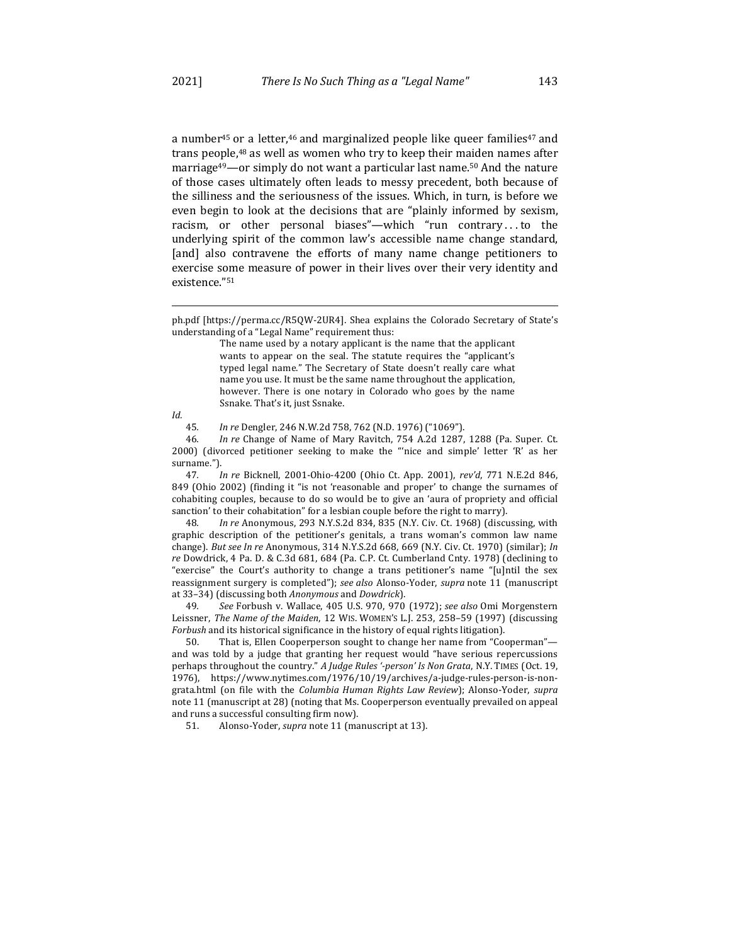a number<sup>45</sup> or a letter,<sup>46</sup> and marginalized people like queer families<sup>47</sup> and trans people,<sup>48</sup> as well as women who try to keep their maiden names after marriage<sup>49</sup>—or simply do not want a particular last name.<sup>50</sup> And the nature of those cases ultimately often leads to messy precedent, both because of the silliness and the seriousness of the issues. Which, in turn, is before we even begin to look at the decisions that are "plainly informed by sexism, racism, or other personal biases"-which "run contrary ... to the underlying spirit of the common law's accessible name change standard, [and] also contravene the efforts of many name change petitioners to exercise some measure of power in their lives over their very identity and existence."51

*Id.*

45*. In re* Dengler, 246 N.W.2d 758, 762 (N.D. 1976) ("1069").

46. In re Change of Name of Mary Ravitch, 754 A.2d 1287, 1288 (Pa. Super. Ct. 2000) (divorced petitioner seeking to make the "'nice and simple' letter 'R' as her surname.").

47. *In re Bicknell, 2001-Ohio-4200 (Ohio Ct. App. 2001), rev'd, 771 N.E.2d 846,* 849 (Ohio 2002) (finding it "is not 'reasonable and proper' to change the surnames of cohabiting couples, because to do so would be to give an 'aura of propriety and official sanction' to their cohabitation" for a lesbian couple before the right to marry).

48*. In re* Anonymous, 293 N.Y.S.2d 834, 835 (N.Y. Civ. Ct. 1968) (discussing, with graphic description of the petitioner's genitals, a trans woman's common law name change). *But see In re* Anonymous, 314 N.Y.S.2d 668, 669 (N.Y. Civ. Ct. 1970) (similar); *In re* Dowdrick, 4 Pa. D. & C.3d 681, 684 (Pa. C.P. Ct. Cumberland Cnty. 1978) (declining to "exercise" the Court's authority to change a trans petitioner's name "[u]ntil the sex reassignment surgery is completed"); see also Alonso-Yoder, supra note 11 (manuscript at 33-34) (discussing both *Anonymous* and *Dowdrick*).

49*. See* Forbush v. Wallace, 405 U.S. 970, 970 (1972); *see also* Omi Morgenstern Leissner, *The Name of the Maiden*, 12 WIS. WOMEN'S L.J. 253, 258-59 (1997) (discussing *Forbush* and its historical significance in the history of equal rights litigation).

That is, Ellen Cooperperson sought to change her name from "Cooperman"and was told by a judge that granting her request would "have serious repercussions perhaps throughout the country." *A Judge Rules '-person' Is Non Grata*, N.Y. TIMES (Oct. 19, 1976), https://www.nytimes.com/1976/10/19/archives/a-judge-rules-person-is-nongrata.html (on file with the *Columbia Human Rights Law Review*); Alonso-Yoder, *supra* note 11 (manuscript at 28) (noting that Ms. Cooperperson eventually prevailed on appeal and runs a successful consulting firm now).

51. Alonso-Yoder, *supra* note 11 (manuscript at 13).

ph.pdf [https://perma.cc/R5QW-2UR4]. Shea explains the Colorado Secretary of State's understanding of a "Legal Name" requirement thus:

The name used by a notary applicant is the name that the applicant wants to appear on the seal. The statute requires the "applicant's typed legal name." The Secretary of State doesn't really care what name you use. It must be the same name throughout the application, however. There is one notary in Colorado who goes by the name Ssnake. That's it, just Ssnake.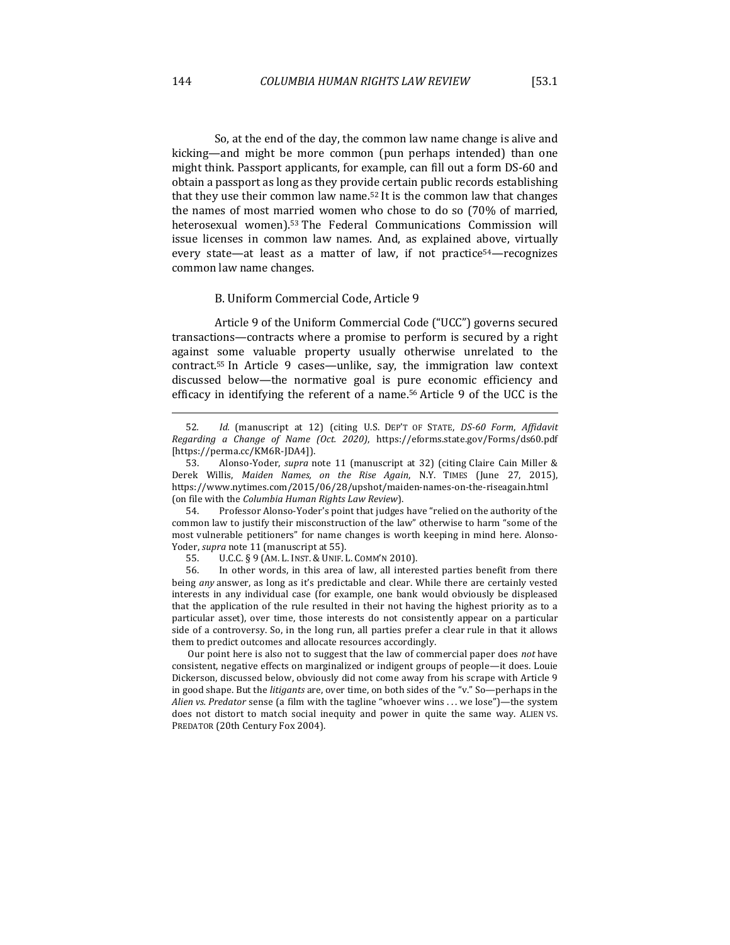So, at the end of the day, the common law name change is alive and kicking—and might be more common (pun perhaps intended) than one might think. Passport applicants, for example, can fill out a form DS-60 and obtain a passport as long as they provide certain public records establishing that they use their common law name.<sup>52</sup> It is the common law that changes the names of most married women who chose to do so (70% of married, heterosexual women).<sup>53</sup> The Federal Communications Commission will issue licenses in common law names. And, as explained above, virtually every state—at least as a matter of law, if not practice<sup>54</sup>—recognizes common law name changes.

#### B. Uniform Commercial Code, Article 9

Article 9 of the Uniform Commercial Code ("UCC") governs secured transactions—contracts where a promise to perform is secured by a right against some valuable property usually otherwise unrelated to the contract.<sup>55</sup> In Article 9 cases—unlike, say, the immigration law context discussed below—the normative goal is pure economic efficiency and efficacy in identifying the referent of a name.<sup>56</sup> Article 9 of the UCC is the

54. Professor Alonso-Yoder's point that judges have "relied on the authority of the common law to justify their misconstruction of the law" otherwise to harm "some of the most vulnerable petitioners" for name changes is worth keeping in mind here. Alonso-Yoder, *supra* note 11 (manuscript at 55).

56. In other words, in this area of law, all interested parties benefit from there being *any* answer, as long as it's predictable and clear. While there are certainly vested interests in any individual case (for example, one bank would obviously be displeased that the application of the rule resulted in their not having the highest priority as to a particular asset), over time, those interests do not consistently appear on a particular side of a controversy. So, in the long run, all parties prefer a clear rule in that it allows them to predict outcomes and allocate resources accordingly.

Our point here is also not to suggest that the law of commercial paper does not have consistent, negative effects on marginalized or indigent groups of people—it does. Louie Dickerson, discussed below, obviously did not come away from his scrape with Article 9 in good shape. But the *litigants* are, over time, on both sides of the "v." So—perhaps in the *Alien vs. Predator* sense (a film with the tagline "whoever wins . . . we lose")—the system does not distort to match social inequity and power in quite the same way. ALIEN VS. PREDATOR (20th Century Fox 2004).

<sup>52</sup>*. Id.*  (manuscript at 12) (citing U.S. DEP'T OF STATE, *DS-60 Form*, *Affidavit Regarding a Change of Name (Oct. 2020)*, https://eforms.state.gov/Forms/ds60.pdf [https://perma.cc/KM6R-JDA4]).

<sup>53.</sup> Alonso-Yoder, *supra* note 11 (manuscript at 32) (citing Claire Cain Miller & Derek Willis, Maiden Names, on the Rise Again, N.Y. TIMES (June 27, 2015), https://www.nytimes.com/2015/06/28/upshot/maiden-names-on-the-riseagain.html (on file with the *Columbia Human Rights Law Review*).

<sup>55.</sup> U.C.C. § 9 (AM. L. INST. & UNIF. L. COMM'N 2010).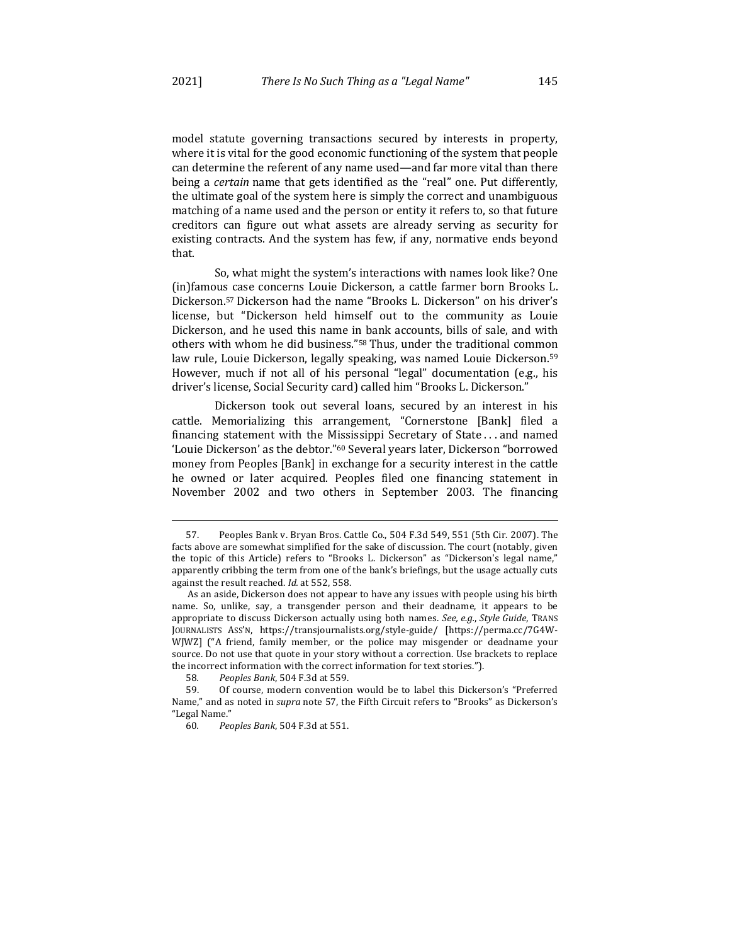model statute governing transactions secured by interests in property, where it is vital for the good economic functioning of the system that people can determine the referent of any name used—and far more vital than there being a *certain* name that gets identified as the "real" one. Put differently, the ultimate goal of the system here is simply the correct and unambiguous matching of a name used and the person or entity it refers to, so that future creditors can figure out what assets are already serving as security for existing contracts. And the system has few, if any, normative ends beyond that.

So, what might the system's interactions with names look like? One (in)famous case concerns Louie Dickerson, a cattle farmer born Brooks L. Dickerson.<sup>57</sup> Dickerson had the name "Brooks L. Dickerson" on his driver's license, but "Dickerson held himself out to the community as Louie Dickerson, and he used this name in bank accounts, bills of sale, and with others with whom he did business."<sup>58</sup> Thus, under the traditional common law rule, Louie Dickerson, legally speaking, was named Louie Dickerson.<sup>59</sup> However, much if not all of his personal "legal" documentation (e.g., his driver's license, Social Security card) called him "Brooks L. Dickerson."

Dickerson took out several loans, secured by an interest in his cattle. Memorializing this arrangement, "Cornerstone [Bank] filed a financing statement with the Mississippi Secretary of State  $\dots$  and named 'Louie Dickerson' as the debtor."<sup>60</sup> Several years later, Dickerson "borrowed money from Peoples [Bank] in exchange for a security interest in the cattle he owned or later acquired. Peoples filed one financing statement in November 2002 and two others in September 2003. The financing

<sup>57.</sup> Peoples Bank v. Bryan Bros. Cattle Co., 504 F.3d 549, 551 (5th Cir. 2007). The facts above are somewhat simplified for the sake of discussion. The court (notably, given the topic of this Article) refers to "Brooks L. Dickerson" as "Dickerson's legal name," apparently cribbing the term from one of the bank's briefings, but the usage actually cuts against the result reached. *Id.* at 552, 558.

As an aside, Dickerson does not appear to have any issues with people using his birth name. So, unlike, say, a transgender person and their deadname, it appears to be appropriate to discuss Dickerson actually using both names. See, e.g., Style Guide, TRANS JOURNALISTS ASS'N, https://transjournalists.org/style-guide/ [https://perma.cc/7G4W-WJWZ] ("A friend, family member, or the police may misgender or deadname your source. Do not use that quote in your story without a correction. Use brackets to replace the incorrect information with the correct information for text stories.").

<sup>58</sup>*. Peoples Bank*, 504 F.3d at 559.

<sup>59.</sup> Of course, modern convention would be to label this Dickerson's "Preferred Name," and as noted in *supra* note 57, the Fifth Circuit refers to "Brooks" as Dickerson's "Legal Name."

<sup>60</sup>*. Peoples Bank*, 504 F.3d at 551.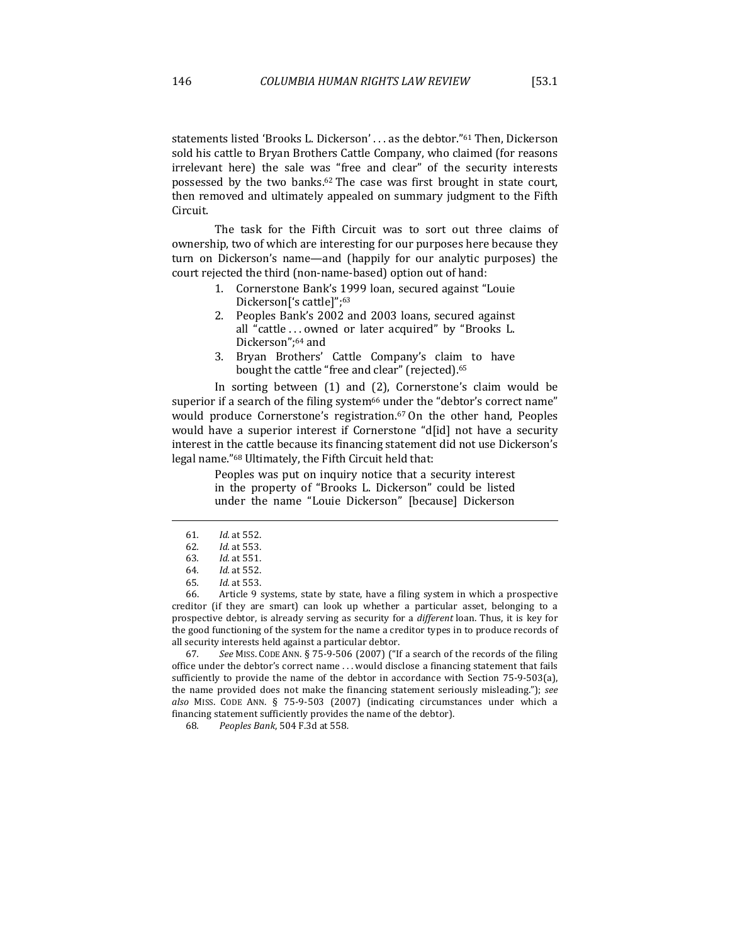statements listed 'Brooks L. Dickerson' . . . as the debtor."<sup>61</sup> Then, Dickerson sold his cattle to Bryan Brothers Cattle Company, who claimed (for reasons irrelevant here) the sale was "free and clear" of the security interests possessed by the two banks.<sup>62</sup> The case was first brought in state court, then removed and ultimately appealed on summary judgment to the Fifth Circuit.

The task for the Fifth Circuit was to sort out three claims of ownership, two of which are interesting for our purposes here because they turn on Dickerson's name—and (happily for our analytic purposes) the court rejected the third (non-name-based) option out of hand:

- 1. Cornerstone Bank's 1999 loan, secured against "Louie Dickerson<sup>['</sup>s cattle]";<sup>63</sup>
- 2. Peoples Bank's 2002 and 2003 loans, secured against all "cattle  $\dots$  owned or later acquired" by "Brooks L. Dickerson";<sup>64</sup> and
- 3. Bryan Brothers' Cattle Company's claim to have bought the cattle "free and clear" (rejected).<sup>65</sup>

In sorting between  $(1)$  and  $(2)$ , Cornerstone's claim would be superior if a search of the filing system<sup>66</sup> under the "debtor's correct name" would produce Cornerstone's registration.<sup>67</sup> On the other hand, Peoples would have a superior interest if Cornerstone "d[id] not have a security interest in the cattle because its financing statement did not use Dickerson's legal name."<sup>68</sup> Ultimately, the Fifth Circuit held that:

> Peoples was put on inquiry notice that a security interest in the property of "Brooks L. Dickerson" could be listed under the name "Louie Dickerson" [because] Dickerson

66. Article 9 systems, state by state, have a filing system in which a prospective creditor (if they are smart) can look up whether a particular asset, belonging to a prospective debtor, is already serving as security for a *different* loan. Thus, it is key for the good functioning of the system for the name a creditor types in to produce records of all security interests held against a particular debtor.

67. See MISS. CODE ANN. § 75-9-506 (2007) ("If a search of the records of the filing office under the debtor's correct name ... would disclose a financing statement that fails sufficiently to provide the name of the debtor in accordance with Section  $75-9-503(a)$ , the name provided does not make the financing statement seriously misleading."); see also MISS. CODE ANN. § 75-9-503 (2007) (indicating circumstances under which a financing statement sufficiently provides the name of the debtor).

68*. Peoples Bank*, 504 F.3d at 558*.*

<sup>61</sup>*. Id.* at 552.

<sup>62</sup>*. Id.* at 553.

<sup>63</sup>*. Id.* at 551.

<sup>64</sup>*. Id.* at 552.

<sup>65</sup>*. Id.* at 553.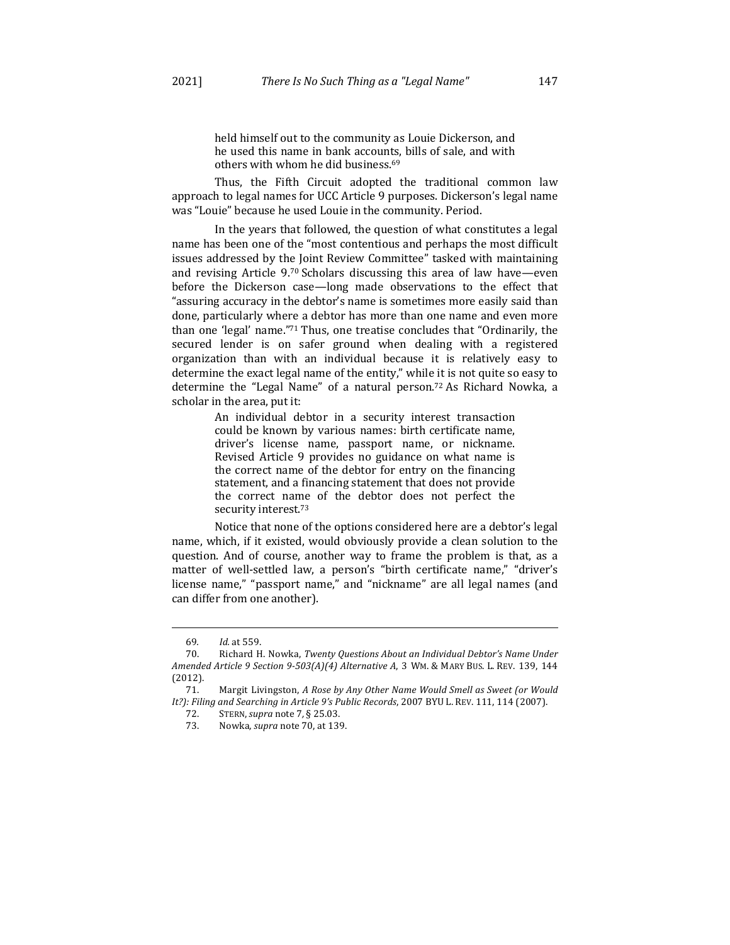held himself out to the community as Louie Dickerson, and he used this name in bank accounts, bills of sale, and with others with whom he did business.<sup>69</sup>

Thus, the Fifth Circuit adopted the traditional common law approach to legal names for UCC Article 9 purposes. Dickerson's legal name was "Louie" because he used Louie in the community. Period.

In the years that followed, the question of what constitutes a legal name has been one of the "most contentious and perhaps the most difficult issues addressed by the Joint Review Committee" tasked with maintaining and revising Article  $9.70$  Scholars discussing this area of law have—even before the Dickerson case—long made observations to the effect that "assuring accuracy in the debtor's name is sometimes more easily said than done, particularly where a debtor has more than one name and even more than one 'legal' name."<sup>71</sup> Thus, one treatise concludes that "Ordinarily, the secured lender is on safer ground when dealing with a registered organization than with an individual because it is relatively easy to determine the exact legal name of the entity," while it is not quite so easy to determine the "Legal Name" of a natural person.<sup>72</sup> As Richard Nowka, a scholar in the area, put it:

> An individual debtor in a security interest transaction could be known by various names: birth certificate name, driver's license name, passport name, or nickname. Revised Article 9 provides no guidance on what name is the correct name of the debtor for entry on the financing statement, and a financing statement that does not provide the correct name of the debtor does not perfect the security interest.<sup>73</sup>

Notice that none of the options considered here are a debtor's legal name, which, if it existed, would obviously provide a clean solution to the question. And of course, another way to frame the problem is that, as a matter of well-settled law, a person's "birth certificate name," "driver's license name," "passport name," and "nickname" are all legal names (and can differ from one another).

<sup>69</sup>*. Id.* at 559.

<sup>70.</sup> Richard H. Nowka, *Twenty Questions About an Individual Debtor's Name Under Amended Article 9 Section 9-503(A)(4) Alternative A, 3 WM. & MARY BUS. L. REV. 139, 144* (2012).

<sup>71.</sup> Margit Livingston, *A Rose by Any Other Name Would Smell as Sweet (or Would* It?): Filing and Searching in Article 9's Public Records, 2007 BYU L. REV. 111, 114 (2007).

<sup>72.</sup>  STERN,*supra* note 7*,* § 25.03.

<sup>73.</sup> Nowka, *supra* note 70, at 139.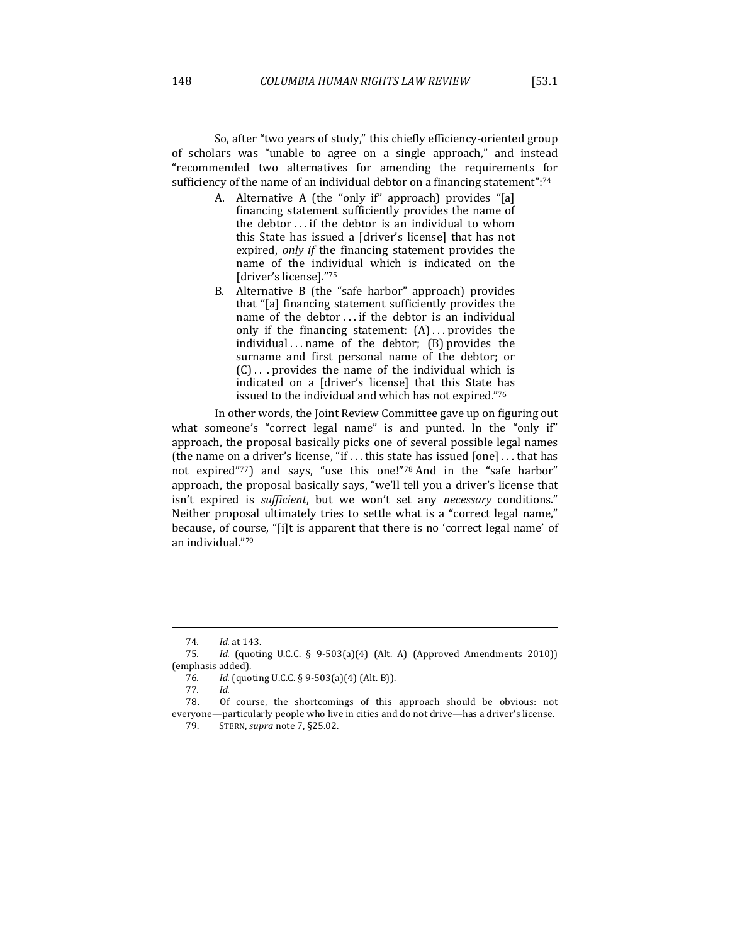So, after "two years of study," this chiefly efficiency-oriented group of scholars was "unable to agree on a single approach," and instead "recommended two alternatives for amending the requirements for sufficiency of the name of an individual debtor on a financing statement": $74$ 

- A. Alternative A (the "only if" approach) provides "[a] financing statement sufficiently provides the name of the debtor  $\dots$  if the debtor is an individual to whom this State has issued a [driver's license] that has not expired, only if the financing statement provides the name of the individual which is indicated on the [driver's license]."75
- B. Alternative B (the "safe harbor" approach) provides that "[a] financing statement sufficiently provides the name of the debtor ... if the debtor is an individual only if the financing statement:  $(A)$ ... provides the individual  $\ldots$  name of the debtor; (B) provides the surname and first personal name of the debtor; or  $(C)$ ... provides the name of the individual which is indicated on a [driver's license] that this State has issued to the individual and which has not expired."76

In other words, the Joint Review Committee gave up on figuring out what someone's "correct legal name" is and punted. In the "only if" approach, the proposal basically picks one of several possible legal names (the name on a driver's license, "if ... this state has issued  $[one] \dots$  that has not expired"77) and says, "use this one!"78 And in the "safe harbor" approach, the proposal basically says, "we'll tell you a driver's license that isn't expired is *sufficient*, but we won't set any *necessary* conditions." Neither proposal ultimately tries to settle what is a "correct legal name," because, of course, "[i]t is apparent that there is no 'correct legal name' of an individual."79

<sup>74</sup>*. Id.* at 143.

<sup>75.</sup> *Id.* (quoting U.C.C. § 9-503(a)(4) (Alt. A) (Approved Amendments 2010)) (emphasis added).

<sup>76.</sup> *Id.* (quoting U.C.C. § 9-503(a)(4) (Alt. B)).

<sup>77</sup>*. Id.*

<sup>78.</sup> Of course, the shortcomings of this approach should be obvious: not everyone—particularly people who live in cities and do not drive—has a driver's license.

<sup>79.</sup>  STERN, *supra* note 7, §25.02.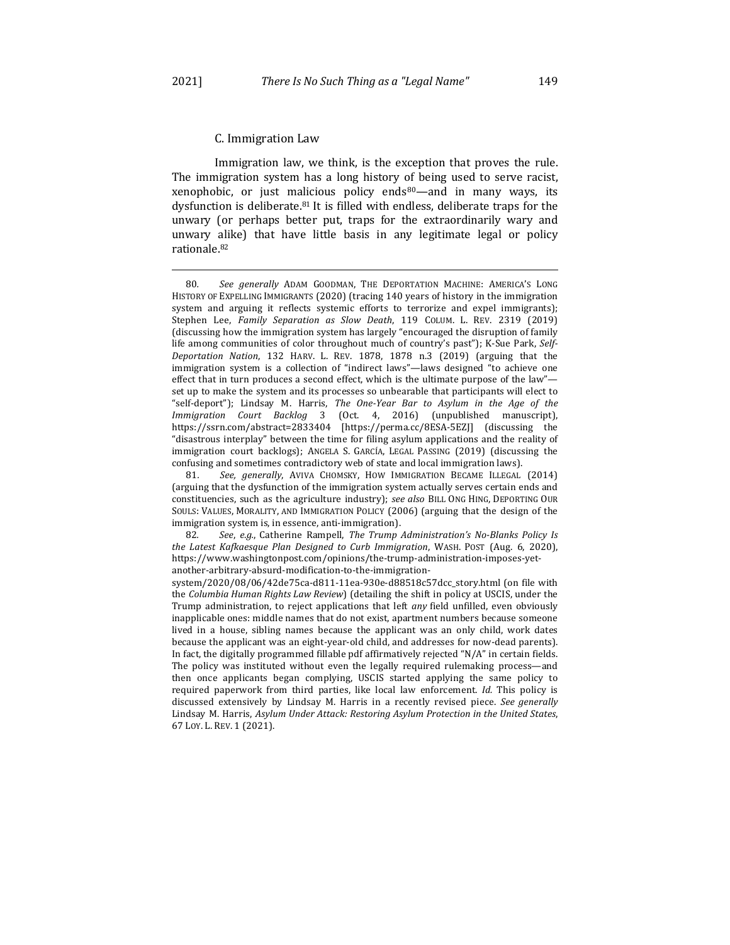Immigration law, we think, is the exception that proves the rule. The immigration system has a long history of being used to serve racist, xenophobic, or just malicious policy ends<sup>80</sup>—and in many ways, its dysfunction is deliberate. $81$  It is filled with endless, deliberate traps for the unwary (or perhaps better put, traps for the extraordinarily wary and unwary alike) that have little basis in any legitimate legal or policy rationale.82

<sup>80</sup>*. See generally*  ADAM GOODMAN, THE DEPORTATION MACHINE: AMERICA'S LONG HISTORY OF EXPELLING IMMIGRANTS (2020) (tracing 140 years of history in the immigration system and arguing it reflects systemic efforts to terrorize and expel immigrants); Stephen Lee, *Family Separation as Slow Death*, 119 COLUM. L. REV. 2319 (2019) (discussing how the immigration system has largely "encouraged the disruption of family life among communities of color throughout much of country's past"); K-Sue Park, Self-*Deportation Nation*, 132 HARV. L. REV. 1878, 1878 n.3 (2019) (arguing that the immigration system is a collection of "indirect laws"—laws designed "to achieve one effect that in turn produces a second effect, which is the ultimate purpose of the law"set up to make the system and its processes so unbearable that participants will elect to "self-deport"); Lindsay M. Harris, The One-Year Bar to Asylum in the Age of the *Immigration Court Backlog* 3 (Oct. 4, 2016) (unpublished manuscript), https://ssrn.com/abstract=2833404 [https://perma.cc/8ESA-5EZJ] (discussing the "disastrous interplay" between the time for filing asylum applications and the reality of immigration court backlogs); ANGELA S. GARCÍA, LEGAL PASSING (2019) (discussing the confusing and sometimes contradictory web of state and local immigration laws).

<sup>81.</sup> See, generally, AVIVA CHOMSKY, HOW IMMIGRATION BECAME ILLEGAL (2014) (arguing that the dysfunction of the immigration system actually serves certain ends and constituencies, such as the agriculture industry); see also BILL ONG HING, DEPORTING OUR SOULS: VALUES, MORALITY, AND IMMIGRATION POLICY (2006) (arguing that the design of the immigration system is, in essence, anti-immigration).

<sup>82.</sup> See, e.g., Catherine Rampell, *The Trump Administration's No-Blanks Policy Is the Latest Kafkaesque Plan Designed to Curb Immigration*, WASH. POST (Aug. 6, 2020), https://www.washingtonpost.com/opinions/the-trump-administration-imposes-yetanother-arbitrary-absurd-modification-to-the-immigration-

system/2020/08/06/42de75ca-d811-11ea-930e-d88518c57dcc\_story.html (on file with the *Columbia Human Rights Law Review*) (detailing the shift in policy at USCIS, under the Trump administration, to reject applications that left *any* field unfilled, even obviously inapplicable ones: middle names that do not exist, apartment numbers because someone lived in a house, sibling names because the applicant was an only child, work dates because the applicant was an eight-year-old child, and addresses for now-dead parents). In fact, the digitally programmed fillable pdf affirmatively rejected "N/A" in certain fields. The policy was instituted without even the legally required rulemaking process—and then once applicants began complying, USCIS started applying the same policy to required paperwork from third parties, like local law enforcement. *Id.* This policy is discussed extensively by Lindsay M. Harris in a recently revised piece. See generally Lindsay M. Harris, *Asylum Under Attack: Restoring Asylum Protection in the United States*, 67 Loy. L. REV. 1 (2021).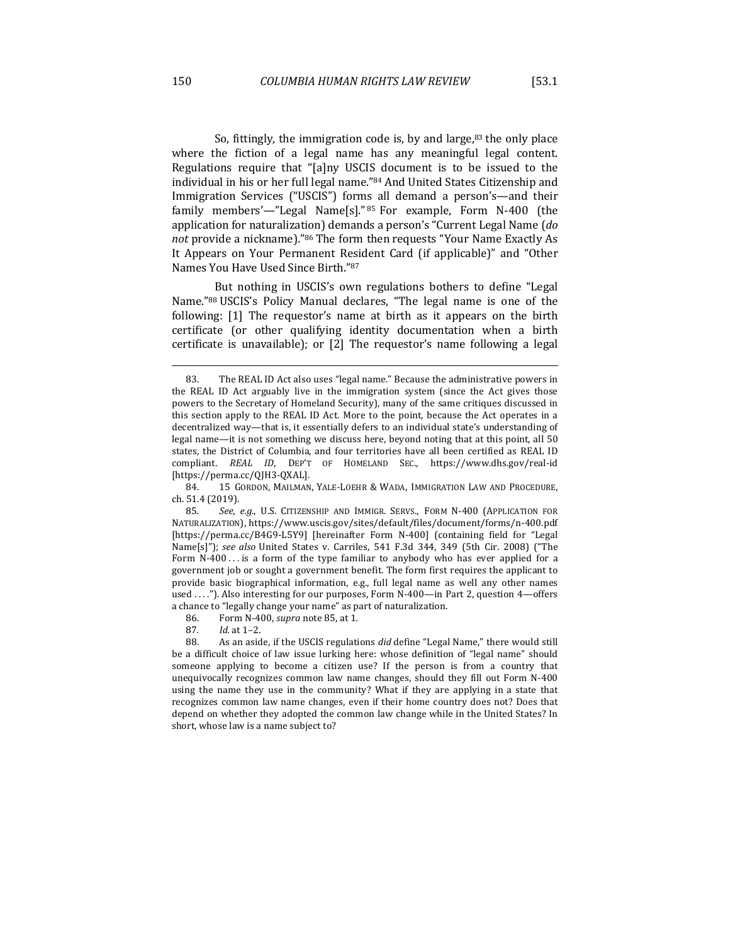So, fittingly, the immigration code is, by and large, $83$  the only place where the fiction of a legal name has any meaningful legal content. Regulations require that "[a]ny USCIS document is to be issued to the individual in his or her full legal name."84 And United States Citizenship and Immigration Services ("USCIS") forms all demand a person's-and their family members'—"Legal Name[s]." 85 For example, Form N-400 (the application for naturalization) demands a person's "Current Legal Name (do not provide a nickname)."<sup>86</sup> The form then requests "Your Name Exactly As It Appears on Your Permanent Resident Card (if applicable)" and "Other Names You Have Used Since Birth."87

But nothing in USCIS's own regulations bothers to define "Legal Name."88 USCIS's Policy Manual declares, "The legal name is one of the following: [1] The requestor's name at birth as it appears on the birth certificate (or other qualifying identity documentation when a birth certificate is unavailable); or  $[2]$  The requestor's name following a legal

84. 15 GORDON, MAILMAN, YALE-LOEHR & WADA, IMMIGRATION LAW AND PROCEDURE, ch. 51.4 (2019).

85. See, e.g., U.S. CITIZENSHIP AND IMMIGR. SERVS., FORM N-400 (APPLICATION FOR NATURALIZATION), https://www.uscis.gov/sites/default/files/document/forms/n-400.pdf [https://perma.cc/B4G9-L5Y9] [hereinafter Form N-400] (containing field for "Legal Name[s]"); *see also* United States v. Carriles, 541 F.3d 344, 349 (5th Cir. 2008) ("The Form  $N-400...$  is a form of the type familiar to anybody who has ever applied for a government job or sought a government benefit. The form first requires the applicant to provide basic biographical information, e.g., full legal name as well any other names used ...."). Also interesting for our purposes, Form N-400—in Part 2, question 4—offers a chance to "legally change your name" as part of naturalization.

<sup>83.</sup> The REAL ID Act also uses "legal name." Because the administrative powers in the REAL ID Act arguably live in the immigration system (since the Act gives those powers to the Secretary of Homeland Security), many of the same critiques discussed in this section apply to the REAL ID Act. More to the point, because the Act operates in a decentralized way—that is, it essentially defers to an individual state's understanding of legal name—it is not something we discuss here, beyond noting that at this point, all 50 states, the District of Columbia, and four territories have all been certified as REAL ID compliant. *REAL ID*, DEP'T OF HOMELAND SEC., https://www.dhs.gov/real-id [https://perma.cc/QJH3-QXAL].

<sup>86.</sup> Form N-400, *supra* note 85, at 1.

<sup>87</sup>*. Id.* at 1–2.

<sup>88.</sup> As an aside, if the USCIS regulations *did* define "Legal Name," there would still be a difficult choice of law issue lurking here: whose definition of "legal name" should someone applying to become a citizen use? If the person is from a country that unequivocally recognizes common law name changes, should they fill out Form N-400 using the name they use in the community? What if they are applying in a state that recognizes common law name changes, even if their home country does not? Does that depend on whether they adopted the common law change while in the United States? In short, whose law is a name subject to?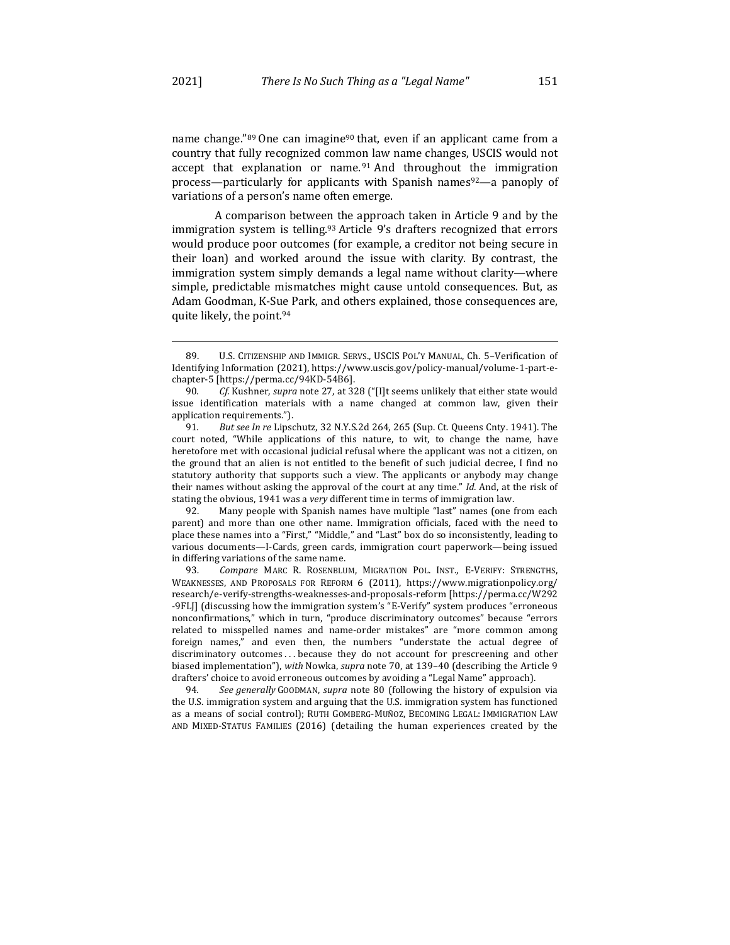name change."89 One can imagine<sup>90</sup> that, even if an applicant came from a country that fully recognized common law name changes, USCIS would not accept that explanation or name. $91$  And throughout the immigration process—particularly for applicants with Spanish names $92-$ a panoply of variations of a person's name often emerge.

A comparison between the approach taken in Article 9 and by the immigration system is telling.<sup>93</sup> Article 9's drafters recognized that errors would produce poor outcomes (for example, a creditor not being secure in their loan) and worked around the issue with clarity. By contrast, the immigration system simply demands a legal name without clarity—where simple, predictable mismatches might cause untold consequences. But, as Adam Goodman, K-Sue Park, and others explained, those consequences are, quite likely, the point.<sup>94</sup>

92. Many people with Spanish names have multiple "last" names (one from each parent) and more than one other name. Immigration officials, faced with the need to place these names into a "First," "Middle," and "Last" box do so inconsistently, leading to various documents—I-Cards, green cards, immigration court paperwork—being issued in differing variations of the same name.

93. Compare MARC R. ROSENBLUM, MIGRATION POL. INST., E-VERIFY: STRENGTHS, WEAKNESSES, AND PROPOSALS FOR REFORM 6 (2011), https://www.migrationpolicy.org/ research/e-verify-strengths-weaknesses-and-proposals-reform [https://perma.cc/W292 -9FLJ] (discussing how the immigration system's "E-Verify" system produces "erroneous nonconfirmations," which in turn, "produce discriminatory outcomes" because "errors related to misspelled names and name-order mistakes" are "more common among foreign names," and even then, the numbers "understate the actual degree of discriminatory outcomes ... because they do not account for prescreening and other biased implementation"), with Nowka, *supra* note 70, at 139-40 (describing the Article 9 drafters' choice to avoid erroneous outcomes by avoiding a "Legal Name" approach).

94. See generally GOODMAN, *supra* note 80 (following the history of expulsion via the U.S. immigration system and arguing that the U.S. immigration system has functioned as a means of social control); RUTH GOMBERG-MUÑOZ, BECOMING LEGAL: IMMIGRATION LAW AND MIXED-STATUS FAMILIES (2016) (detailing the human experiences created by the

<sup>89.</sup> U.S. CITIZENSHIP AND IMMIGR. SERVS., USCIS POL'Y MANUAL, Ch. 5-Verification of Identifying Information (2021), https://www.uscis.gov/policy-manual/volume-1-part-echapter-5 [https://perma.cc/94KD-54B6].

<sup>90.</sup> *Cf.* Kushner, *supra* note 27, at 328 ("[I]t seems unlikely that either state would issue identification materials with a name changed at common law, given their application requirements.").

<sup>91</sup>*. But see In re* Lipschutz, 32 N.Y.S.2d 264, 265 (Sup. Ct. Queens Cnty. 1941). The court noted, "While applications of this nature, to wit, to change the name, have heretofore met with occasional judicial refusal where the applicant was not a citizen, on the ground that an alien is not entitled to the benefit of such judicial decree, I find no statutory authority that supports such a view. The applicants or anybody may change their names without asking the approval of the court at any time." *Id.* And, at the risk of stating the obvious, 1941 was a *very* different time in terms of immigration law.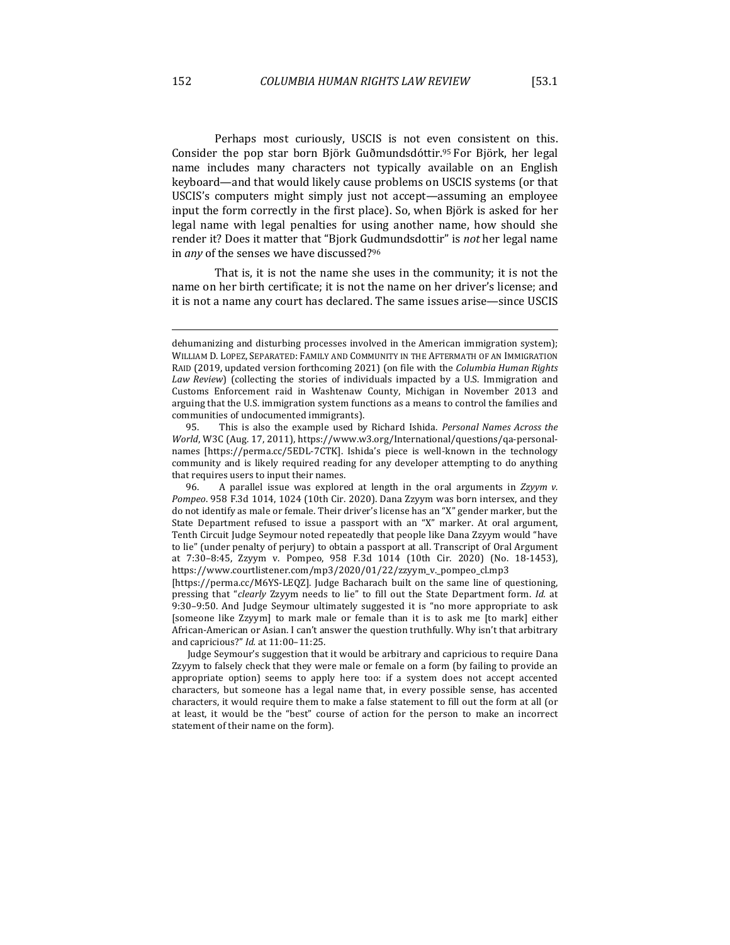Perhaps most curiously, USCIS is not even consistent on this. Consider the pop star born Björk Guðmundsdóttir.<sup>95</sup> For Björk, her legal name includes many characters not typically available on an English keyboard—and that would likely cause problems on USCIS systems (or that USCIS's computers might simply just not accept-assuming an employee input the form correctly in the first place). So, when Björk is asked for her legal name with legal penalties for using another name, how should she render it? Does it matter that "Bjork Gudmundsdottir" is *not* her legal name in *any* of the senses we have discussed?<sup>96</sup>

That is, it is not the name she uses in the community; it is not the name on her birth certificate; it is not the name on her driver's license; and it is not a name any court has declared. The same issues arise—since USCIS

dehumanizing and disturbing processes involved in the American immigration system); WILLIAM D. LOPEZ, SEPARATED: FAMILY AND COMMUNITY IN THE AFTERMATH OF AN IMMIGRATION RAID (2019, updated version forthcoming 2021) (on file with the *Columbia Human Rights* Law Review) (collecting the stories of individuals impacted by a U.S. Immigration and Customs Enforcement raid in Washtenaw County, Michigan in November 2013 and arguing that the U.S. immigration system functions as a means to control the families and communities of undocumented immigrants).

<sup>95.</sup> This is also the example used by Richard Ishida. *Personal Names Across the World*, W3C (Aug. 17, 2011), https://www.w3.org/International/questions/qa-personalnames [https://perma.cc/5EDL-7CTK]. Ishida's piece is well-known in the technology community and is likely required reading for any developer attempting to do anything that requires users to input their names.

<sup>96.</sup> A parallel issue was explored at length in the oral arguments in Zzyym v. Pompeo. 958 F.3d 1014, 1024 (10th Cir. 2020). Dana Zzyym was born intersex, and they do not identify as male or female. Their driver's license has an "X" gender marker, but the State Department refused to issue a passport with an "X" marker. At oral argument, Tenth Circuit Judge Seymour noted repeatedly that people like Dana Zzyym would "have to lie" (under penalty of perjury) to obtain a passport at all. Transcript of Oral Argument at 7:30-8:45, Zzyym v. Pompeo, 958 F.3d 1014 (10th Cir. 2020) (No. 18-1453), https://www.courtlistener.com/mp3/2020/01/22/zzyym\_v.\_pompeo\_cl.mp3 

<sup>[</sup>https://perma.cc/M6YS-LEQZ]. Judge Bacharach built on the same line of questioning, pressing that "*clearly* Zzyym needs to lie" to fill out the State Department form. Id. at 9:30-9:50. And Judge Seymour ultimately suggested it is "no more appropriate to ask [someone like Zzyym] to mark male or female than it is to ask me [to mark] either African-American or Asian. I can't answer the question truthfully. Why isn't that arbitrary and capricious?" *Id.* at 11:00-11:25.

Judge Seymour's suggestion that it would be arbitrary and capricious to require Dana Zzyym to falsely check that they were male or female on a form (by failing to provide an appropriate option) seems to apply here too: if a system does not accept accented characters, but someone has a legal name that, in every possible sense, has accented characters, it would require them to make a false statement to fill out the form at all (or at least, it would be the "best" course of action for the person to make an incorrect statement of their name on the form).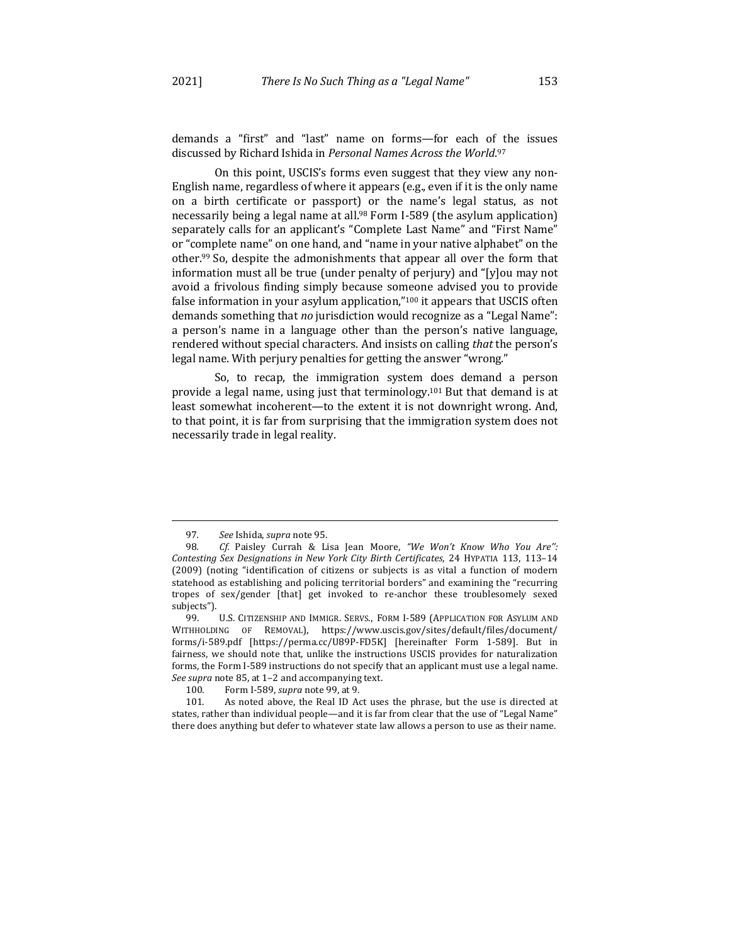demands a "first" and "last" name on forms-for each of the issues discussed by Richard Ishida in Personal Names Across the World.<sup>97</sup>

On this point, USCIS's forms even suggest that they view any non-English name, regardless of where it appears (e.g., even if it is the only name on a birth certificate or passport) or the name's legal status, as not necessarily being a legal name at all.<sup>98</sup> Form I-589 (the asylum application) separately calls for an applicant's "Complete Last Name" and "First Name" or "complete name" on one hand, and "name in your native alphabet" on the other.<sup>99</sup> So, despite the admonishments that appear all over the form that information must all be true (under penalty of perjury) and "[y]ou may not avoid a frivolous finding simply because someone advised you to provide false information in your asylum application,"<sup>100</sup> it appears that USCIS often demands something that no jurisdiction would recognize as a "Legal Name": a person's name in a language other than the person's native language, rendered without special characters. And insists on calling *that* the person's legal name. With perjury penalties for getting the answer "wrong."

So, to recap, the immigration system does demand a person provide a legal name, using just that terminology.<sup>101</sup> But that demand is at least somewhat incoherent-to the extent it is not downright wrong. And, to that point, it is far from surprising that the immigration system does not necessarily trade in legal reality.

<sup>97</sup>*. See* Ishida, *supra* note 95.

<sup>98.</sup> *Cf.* Paisley Currah & Lisa Jean Moore, "We Won't Know Who You Are": Contesting Sex Designations in New York City Birth Certificates, 24 HYPATIA 113, 113-14 (2009) (noting "identification of citizens or subjects is as vital a function of modern statehood as establishing and policing territorial borders" and examining the "recurring tropes of sex/gender [that] get invoked to re-anchor these troublesomely sexed subjects").

<sup>99.</sup> U.S. CITIZENSHIP AND IMMIGR. SERVS., FORM I-589 (APPLICATION FOR ASYLUM AND WITHHOLDING OF REMOVAL), https://www.uscis.gov/sites/default/files/document/ forms/i-589.pdf [https://perma.cc/U89P-FD5K] [hereinafter Form 1-589]. But in fairness, we should note that, unlike the instructions USCIS provides for naturalization forms, the Form I-589 instructions do not specify that an applicant must use a legal name. *See supra* note 85, at 1-2 and accompanying text.

<sup>100.</sup> Form I-589, *supra* note 99, at 9.

<sup>101.</sup> As noted above, the Real ID Act uses the phrase, but the use is directed at states, rather than individual people—and it is far from clear that the use of "Legal Name" there does anything but defer to whatever state law allows a person to use as their name.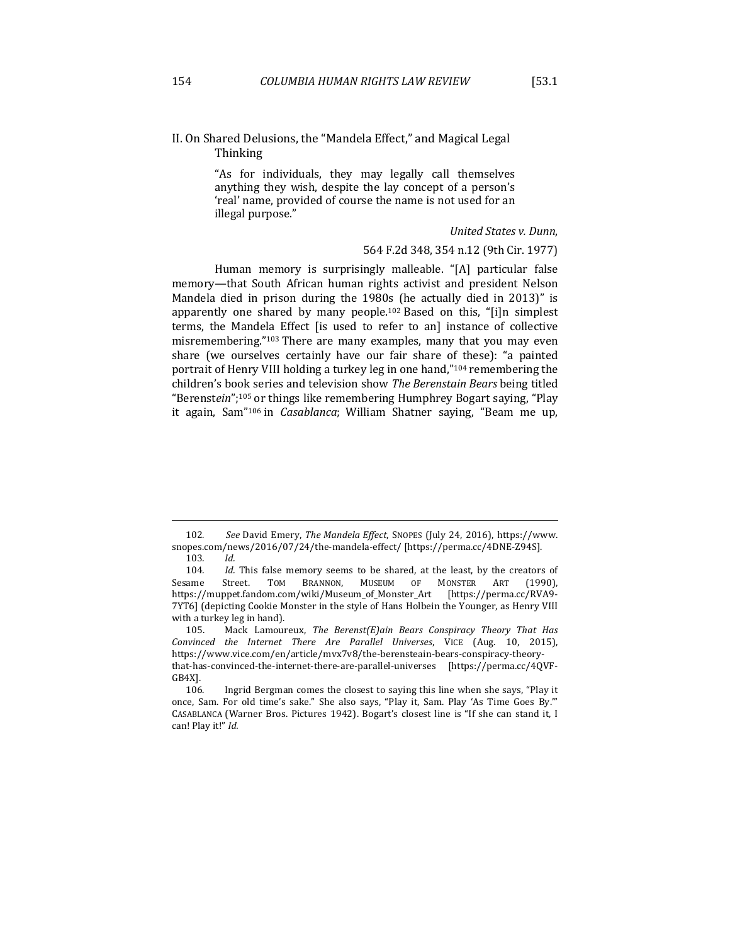# II. On Shared Delusions, the "Mandela Effect," and Magical Legal Thinking

"As for individuals, they may legally call themselves anything they wish, despite the lay concept of a person's 'real' name, provided of course the name is not used for an illegal purpose."

*United States v. Dunn*,

# 564 F.2d 348, 354 n.12 (9th Cir. 1977)

Human memory is surprisingly malleable. "[A] particular false memory—that South African human rights activist and president Nelson Mandela died in prison during the 1980s (he actually died in 2013)" is apparently one shared by many people.<sup>102</sup> Based on this, "[i]n simplest terms, the Mandela Effect [is used to refer to an] instance of collective misremembering."<sup>103</sup> There are many examples, many that you may even share (we ourselves certainly have our fair share of these): "a painted portrait of Henry VIII holding a turkey leg in one hand,"<sup>104</sup> remembering the children's book series and television show *The Berenstain Bears* being titled "Berenstein";<sup>105</sup> or things like remembering Humphrey Bogart saying, "Play it again, Sam<sup>"106</sup> in *Casablanca*; William Shatner saying, "Beam me up,

<sup>102.</sup> See David Emery, The Mandela Effect, SNOPES (July 24, 2016), https://www. snopes.com/news/2016/07/24/the-mandela-effect/ [https://perma.cc/4DNE-Z94S]. 103*. Id.*

<sup>104.</sup> *Id.* This false memory seems to be shared, at the least, by the creators of Sesame Street. TOM BRANNON, MUSEUM OF MONSTER ART (1990), https://muppet.fandom.com/wiki/Museum\_of\_Monster\_Art [https://perma.cc/RVA9- 7YT6] (depicting Cookie Monster in the style of Hans Holbein the Younger, as Henry VIII with a turkey leg in hand).

<sup>105.</sup> Mack Lamoureux, *The Berenst(E)ain Bears Conspiracy Theory That Has Convinced the Internet There Are Parallel Universes*, VICE (Aug. 10, 2015), https://www.vice.com/en/article/mvx7v8/the-berensteain-bears-conspiracy-theorythat-has-convinced-the-internet-there-are-parallel-universes [https://perma.cc/4QVF-GB4X].

<sup>106.</sup> Ingrid Bergman comes the closest to saying this line when she says, "Play it once, Sam. For old time's sake." She also says, "Play it, Sam. Play 'As Time Goes By." CASABLANCA (Warner Bros. Pictures 1942). Bogart's closest line is "If she can stand it, I can! Play it!" Id.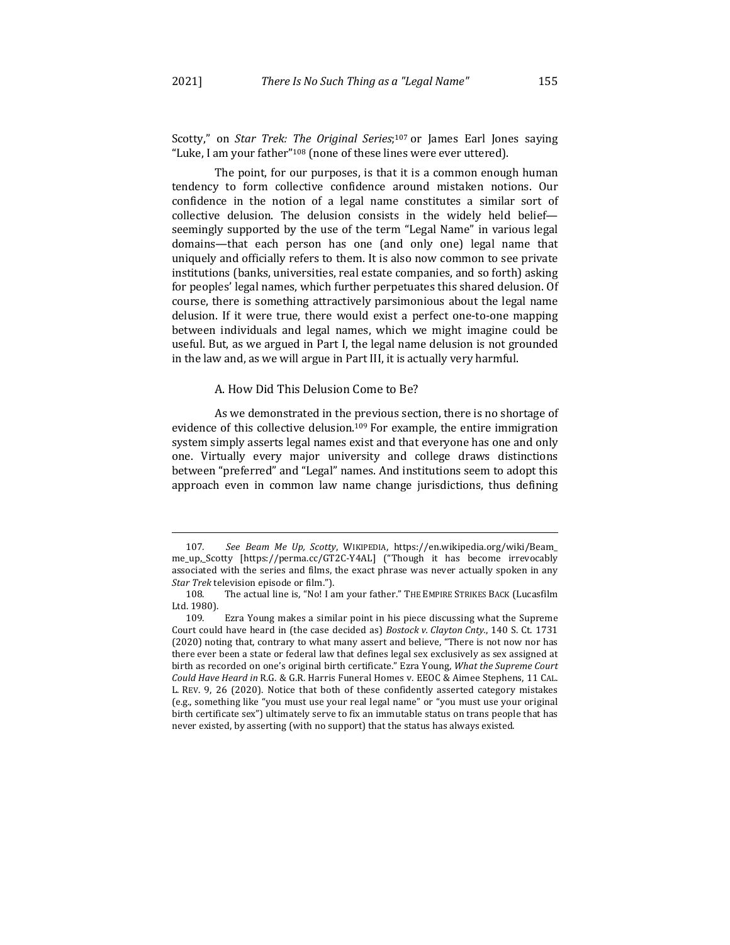Scotty," on *Star Trek: The Original Series*;<sup>107</sup> or James Earl Jones saying "Luke, I am your father"<sup>108</sup> (none of these lines were ever uttered).

The point, for our purposes, is that it is a common enough human tendency to form collective confidence around mistaken notions. Our confidence in the notion of a legal name constitutes a similar sort of collective delusion. The delusion consists in the widely held beliefseemingly supported by the use of the term "Legal Name" in various legal domains—that each person has one (and only one) legal name that uniquely and officially refers to them. It is also now common to see private institutions (banks, universities, real estate companies, and so forth) asking for peoples' legal names, which further perpetuates this shared delusion. Of course, there is something attractively parsimonious about the legal name delusion. If it were true, there would exist a perfect one-to-one mapping between individuals and legal names, which we might imagine could be useful. But, as we argued in Part I, the legal name delusion is not grounded in the law and, as we will argue in Part III, it is actually very harmful.

#### A. How Did This Delusion Come to Be?

As we demonstrated in the previous section, there is no shortage of evidence of this collective delusion.<sup>109</sup> For example, the entire immigration system simply asserts legal names exist and that everyone has one and only one. Virtually every major university and college draws distinctions between "preferred" and "Legal" names. And institutions seem to adopt this approach even in common law name change jurisdictions, thus defining

<sup>107</sup>*. See Beam Me Up, Scotty*, WIKIPEDIA, https://en.wikipedia.org/wiki/Beam\_ me\_up,\_Scotty [https://perma.cc/GT2C-Y4AL] ("Though it has become irrevocably associated with the series and films, the exact phrase was never actually spoken in any *Star Trek* television episode or film.").

<sup>108.</sup> The actual line is, "No! I am your father." THE EMPIRE STRIKES BACK (Lucasfilm Ltd. 1980).

<sup>109.</sup> Ezra Young makes a similar point in his piece discussing what the Supreme Court could have heard in (the case decided as) *Bostock v. Clayton Cnty.*, 140 S. Ct. 1731 (2020) noting that, contrary to what many assert and believe, "There is not now nor has there ever been a state or federal law that defines legal sex exclusively as sex assigned at birth as recorded on one's original birth certificate." Ezra Young, What the Supreme Court Could Have Heard in R.G. & G.R. Harris Funeral Homes v. EEOC & Aimee Stephens, 11 CAL. L. REV. 9, 26 (2020). Notice that both of these confidently asserted category mistakes (e.g., something like "you must use your real legal name" or "you must use your original birth certificate sex") ultimately serve to fix an immutable status on trans people that has never existed, by asserting (with no support) that the status has always existed.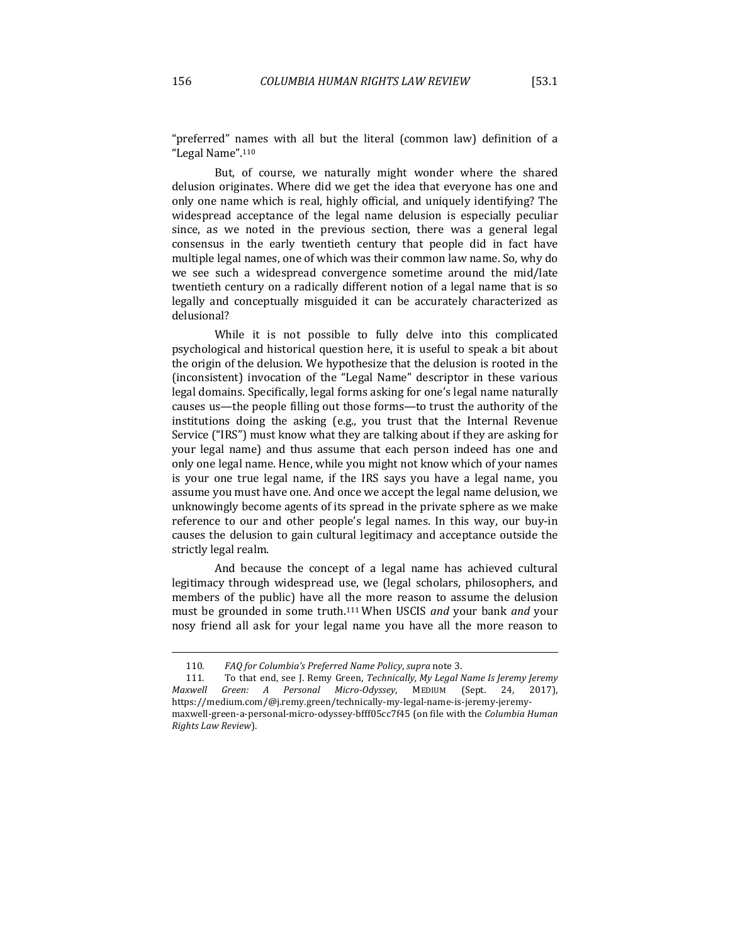"preferred" names with all but the literal (common law) definition of a "Legal Name".<sup>110</sup>

But, of course, we naturally might wonder where the shared delusion originates. Where did we get the idea that everyone has one and only one name which is real, highly official, and uniquely identifying? The widespread acceptance of the legal name delusion is especially peculiar since, as we noted in the previous section, there was a general legal consensus in the early twentieth century that people did in fact have multiple legal names, one of which was their common law name. So, why do we see such a widespread convergence sometime around the mid/late twentieth century on a radically different notion of a legal name that is so legally and conceptually misguided it can be accurately characterized as delusional?

While it is not possible to fully delve into this complicated psychological and historical question here, it is useful to speak a bit about the origin of the delusion. We hypothesize that the delusion is rooted in the (inconsistent) invocation of the "Legal Name" descriptor in these various legal domains. Specifically, legal forms asking for one's legal name naturally causes us—the people filling out those forms—to trust the authority of the institutions doing the asking  $(e.g., you trust that the Internal Revenue)$ Service ("IRS") must know what they are talking about if they are asking for your legal name) and thus assume that each person indeed has one and only one legal name. Hence, while you might not know which of your names is your one true legal name, if the IRS says you have a legal name, you assume you must have one. And once we accept the legal name delusion, we unknowingly become agents of its spread in the private sphere as we make reference to our and other people's legal names. In this way, our buy-in causes the delusion to gain cultural legitimacy and acceptance outside the strictly legal realm.

And because the concept of a legal name has achieved cultural legitimacy through widespread use, we (legal scholars, philosophers, and members of the public) have all the more reason to assume the delusion must be grounded in some truth.<sup>111</sup> When USCIS *and* your bank *and* your nosy friend all ask for your legal name you have all the more reason to

<sup>110.</sup> FAQ for Columbia's Preferred Name Policy, supra note 3.

<sup>111.</sup> To that end, see J. Remy Green, *Technically, My Legal Name Is Jeremy Jeremy Maxwell Green: A Personal Micro-Odyssey*, MEDIUM (Sept. 24, 2017), https://medium.com/@j.remy.green/technically-my-legal-name-is-jeremy-jeremymaxwell-green-a-personal-micro-odyssey-bfff05cc7f45 (on file with the *Columbia Human Rights Law Review*).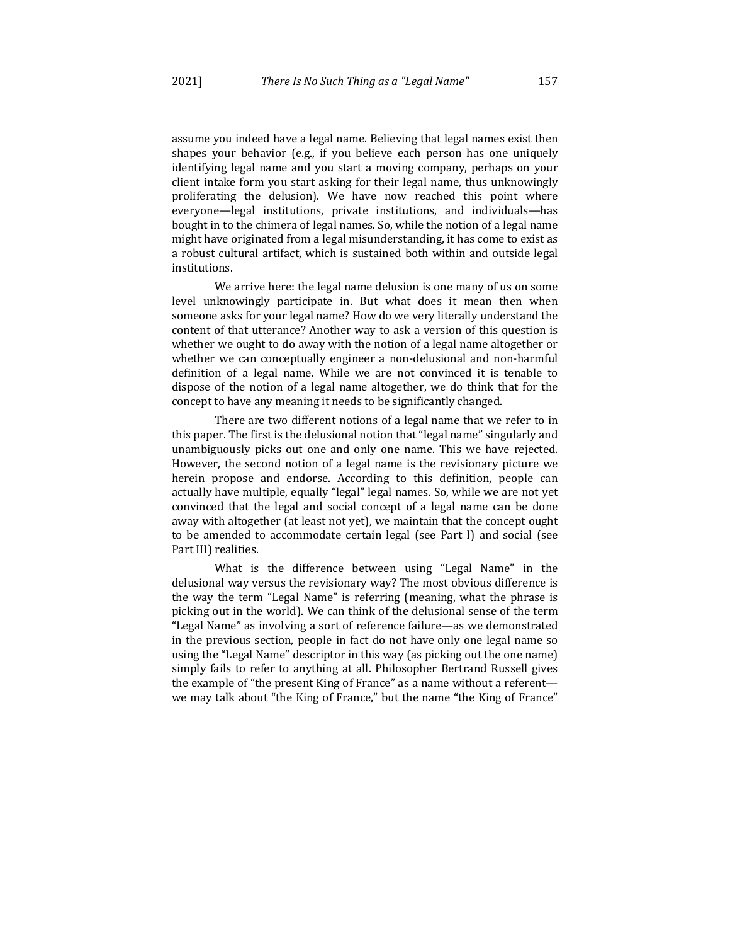assume you indeed have a legal name. Believing that legal names exist then shapes your behavior (e.g., if you believe each person has one uniquely identifying legal name and you start a moving company, perhaps on your client intake form you start asking for their legal name, thus unknowingly proliferating the delusion). We have now reached this point where everyone—legal institutions, private institutions, and individuals—has bought in to the chimera of legal names. So, while the notion of a legal name might have originated from a legal misunderstanding, it has come to exist as a robust cultural artifact, which is sustained both within and outside legal institutions.

We arrive here: the legal name delusion is one many of us on some level unknowingly participate in. But what does it mean then when someone asks for your legal name? How do we very literally understand the content of that utterance? Another way to ask a version of this question is whether we ought to do away with the notion of a legal name altogether or whether we can conceptually engineer a non-delusional and non-harmful definition of a legal name. While we are not convinced it is tenable to dispose of the notion of a legal name altogether, we do think that for the concept to have any meaning it needs to be significantly changed.

There are two different notions of a legal name that we refer to in this paper. The first is the delusional notion that "legal name" singularly and unambiguously picks out one and only one name. This we have rejected. However, the second notion of a legal name is the revisionary picture we herein propose and endorse. According to this definition, people can actually have multiple, equally "legal" legal names. So, while we are not yet convinced that the legal and social concept of a legal name can be done away with altogether (at least not yet), we maintain that the concept ought to be amended to accommodate certain legal (see Part I) and social (see Part III) realities.

What is the difference between using "Legal Name" in the delusional way versus the revisionary way? The most obvious difference is the way the term "Legal Name" is referring (meaning, what the phrase is picking out in the world). We can think of the delusional sense of the term "Legal Name" as involving a sort of reference failure—as we demonstrated in the previous section, people in fact do not have only one legal name so using the "Legal Name" descriptor in this way (as picking out the one name) simply fails to refer to anything at all. Philosopher Bertrand Russell gives the example of "the present King of France" as a name without a referentwe may talk about "the King of France," but the name "the King of France"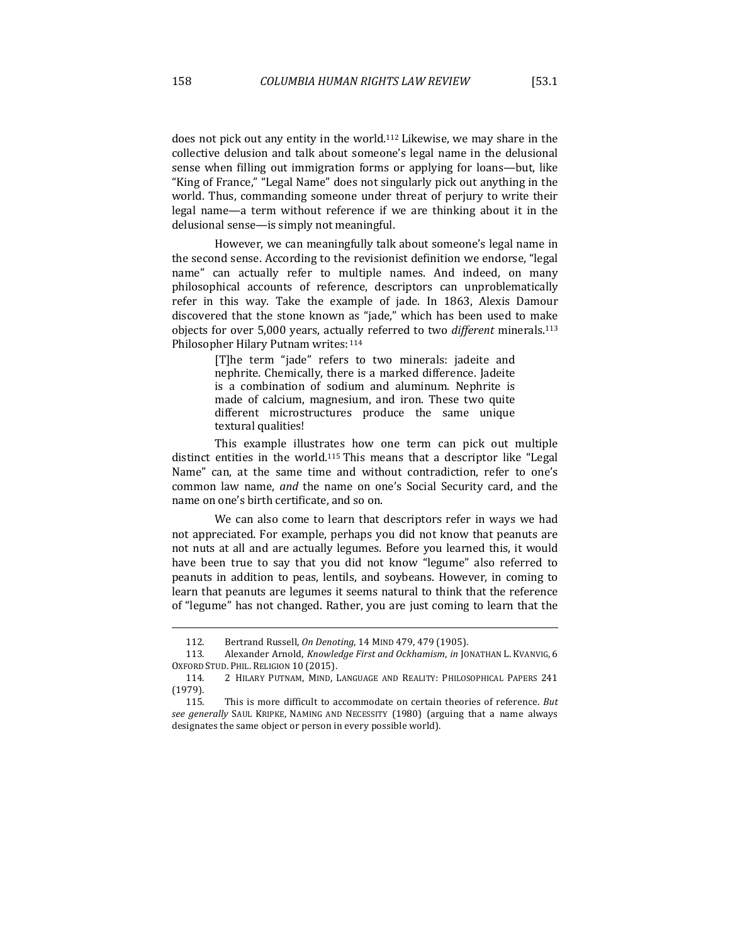does not pick out any entity in the world.<sup>112</sup> Likewise, we may share in the collective delusion and talk about someone's legal name in the delusional sense when filling out immigration forms or applying for loans—but, like "King of France," "Legal Name" does not singularly pick out anything in the world. Thus, commanding someone under threat of perjury to write their legal name—a term without reference if we are thinking about it in the delusional sense—is simply not meaningful.

However, we can meaningfully talk about someone's legal name in the second sense. According to the revisionist definition we endorse, "legal name" can actually refer to multiple names. And indeed, on many philosophical accounts of reference, descriptors can unproblematically refer in this way. Take the example of jade. In 1863, Alexis Damour discovered that the stone known as "jade," which has been used to make objects for over 5,000 years, actually referred to two *different* minerals.113 Philosopher Hilary Putnam writes: 114

> [T]he term "jade" refers to two minerals: jadeite and nephrite. Chemically, there is a marked difference. Jadeite is a combination of sodium and aluminum. Nephrite is made of calcium, magnesium, and iron. These two quite different microstructures produce the same unique textural qualities!

This example illustrates how one term can pick out multiple distinct entities in the world.<sup>115</sup> This means that a descriptor like "Legal Name" can, at the same time and without contradiction, refer to one's common law name, and the name on one's Social Security card, and the name on one's birth certificate, and so on.

We can also come to learn that descriptors refer in ways we had not appreciated. For example, perhaps you did not know that peanuts are not nuts at all and are actually legumes. Before you learned this, it would have been true to say that you did not know "legume" also referred to peanuts in addition to peas, lentils, and soybeans. However, in coming to learn that peanuts are legumes it seems natural to think that the reference of "legume" has not changed. Rather, you are just coming to learn that the

<sup>112.</sup> Bertrand Russell, *On Denoting*, 14 MIND 479, 479 (1905).

<sup>113.</sup> Alexander Arnold, *Knowledge First and Ockhamism*, *in* JONATHAN L. KVANVIG, 6 OXFORD STUD. PHIL. RELIGION 10 (2015).

<sup>114. 2</sup> HILARY PUTNAM, MIND, LANGUAGE AND REALITY: PHILOSOPHICAL PAPERS 241 (1979).

<sup>115.</sup> This is more difficult to accommodate on certain theories of reference. But *see generally* SAUL KRIPKE, NAMING AND NECESSITY (1980) (arguing that a name always designates the same object or person in every possible world).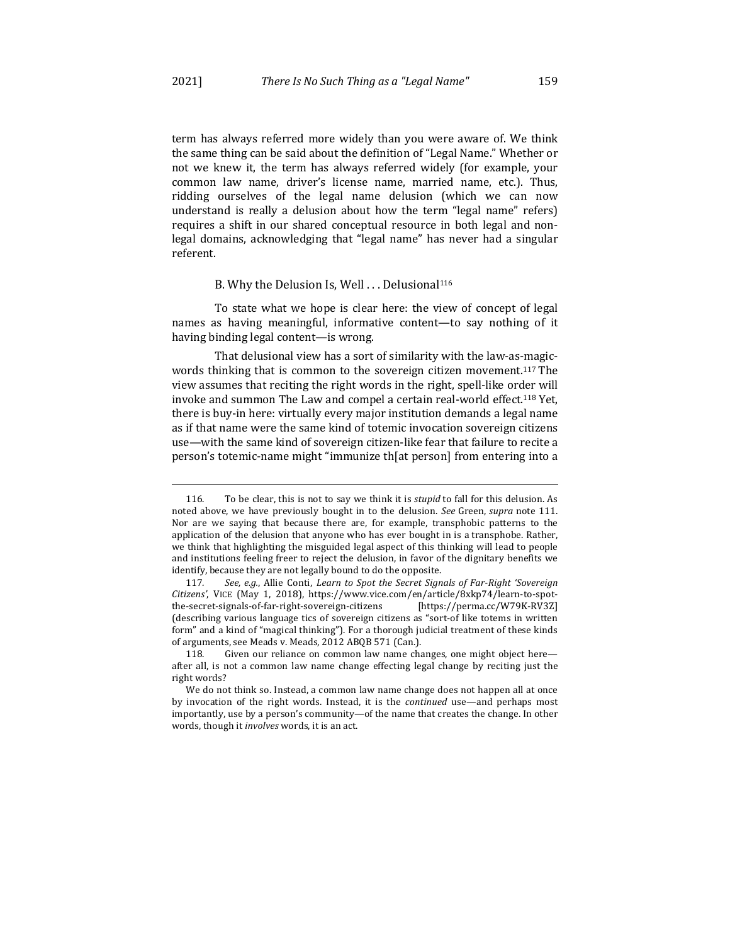term has always referred more widely than you were aware of. We think the same thing can be said about the definition of "Legal Name." Whether or not we knew it, the term has always referred widely (for example, your common law name, driver's license name, married name, etc.). Thus, ridding ourselves of the legal name delusion (which we can now understand is really a delusion about how the term "legal name" refers) requires a shift in our shared conceptual resource in both legal and nonlegal domains, acknowledging that "legal name" has never had a singular referent.

#### B. Why the Delusion Is, Well . . . Delusional<sup>116</sup>

To state what we hope is clear here: the view of concept of legal names as having meaningful, informative content—to say nothing of it having binding legal content—is wrong.

That delusional view has a sort of similarity with the law-as-magicwords thinking that is common to the sovereign citizen movement.<sup>117</sup> The view assumes that reciting the right words in the right, spell-like order will invoke and summon The Law and compel a certain real-world effect.<sup>118</sup> Yet, there is buy-in here: virtually every major institution demands a legal name as if that name were the same kind of totemic invocation sovereign citizens use—with the same kind of sovereign citizen-like fear that failure to recite a person's totemic-name might "immunize th[at person] from entering into a

<sup>116.</sup> To be clear, this is not to say we think it is *stupid* to fall for this delusion. As noted above, we have previously bought in to the delusion. See Green, *supra* note 111. Nor are we saying that because there are, for example, transphobic patterns to the application of the delusion that anyone who has ever bought in is a transphobe. Rather, we think that highlighting the misguided legal aspect of this thinking will lead to people and institutions feeling freer to reject the delusion, in favor of the dignitary benefits we identify, because they are not legally bound to do the opposite.

<sup>117.</sup> See, e.g., Allie Conti, Learn to Spot the Secret Signals of Far-Right 'Sovereign *Citizens'*, VICE (May 1, 2018), https://www.vice.com/en/article/8xkp74/learn-to-spotthe-secret-signals-of-far-right-sovereign-citizens [https://perma.cc/W79K-RV3Z] (describing various language tics of sovereign citizens as "sort-of like totems in written form" and a kind of "magical thinking"). For a thorough judicial treatment of these kinds of arguments, see Meads v. Meads, 2012 ABQB 571 (Can.).

<sup>118.</sup> Given our reliance on common law name changes, one might object hereafter all, is not a common law name change effecting legal change by reciting just the right words?

We do not think so. Instead, a common law name change does not happen all at once by invocation of the right words. Instead, it is the *continued* use—and perhaps most importantly, use by a person's community—of the name that creates the change. In other words, though it *involves* words, it is an act.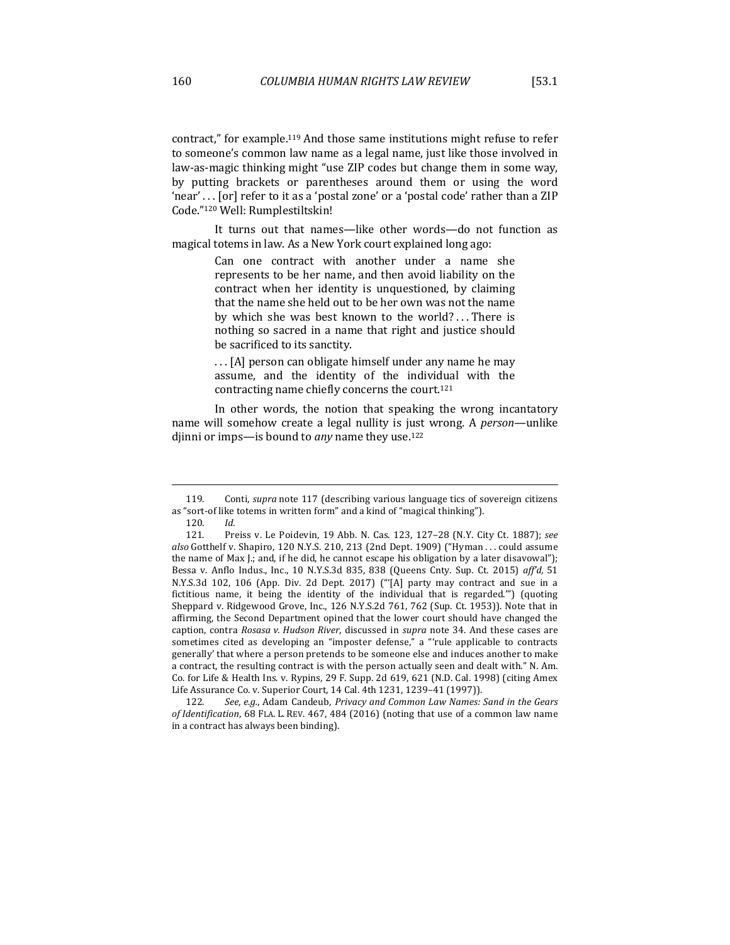contract," for example.<sup>119</sup> And those same institutions might refuse to refer to someone's common law name as a legal name, just like those involved in law-as-magic thinking might "use ZIP codes but change them in some way, by putting brackets or parentheses around them or using the word 'near' . . . [or] refer to it as a 'postal zone' or a 'postal code' rather than a ZIP Code."120 Well: Rumplestiltskin!

It turns out that names—like other words—do not function as magical totems in law. As a New York court explained long ago:

> Can one contract with another under a name she represents to be her name, and then avoid liability on the contract when her identity is unquestioned, by claiming that the name she held out to be her own was not the name by which she was best known to the world? . . There is nothing so sacred in a name that right and justice should be sacrificed to its sanctity.

> ... [A] person can obligate himself under any name he may assume, and the identity of the individual with the contracting name chiefly concerns the court.<sup>121</sup>

In other words, the notion that speaking the wrong incantatory name will somehow create a legal nullity is just wrong. A *person*—unlike djinni or imps—is bound to *any* name they use.<sup>122</sup>

<sup>119.</sup> Conti, *supra* note 117 (describing various language tics of sovereign citizens as "sort-of like totems in written form" and a kind of "magical thinking").

<sup>120</sup>*. Id.*

<sup>121.</sup> Preiss v. Le Poidevin, 19 Abb. N. Cas. 123, 127-28 (N.Y. City Ct. 1887); see also Gotthelf v. Shapiro, 120 N.Y.S. 210, 213 (2nd Dept. 1909) ("Hyman . . . could assume the name of Max J.; and, if he did, he cannot escape his obligation by a later disavowal"); Bessa v. Anflo Indus., Inc., 10 N.Y.S.3d 835, 838 (Queens Cnty. Sup. Ct. 2015) aff'd, 51 N.Y.S.3d 102, 106 (App. Div. 2d Dept. 2017) ("'[A] party may contract and sue in a fictitious name, it being the identity of the individual that is regarded."") (quoting Sheppard v. Ridgewood Grove, Inc., 126 N.Y.S.2d 761, 762 (Sup. Ct. 1953)). Note that in affirming, the Second Department opined that the lower court should have changed the caption, contra *Rosasa v. Hudson River*, discussed in *supra* note 34. And these cases are sometimes cited as developing an "imposter defense," a "'rule applicable to contracts generally' that where a person pretends to be someone else and induces another to make a contract, the resulting contract is with the person actually seen and dealt with." N. Am. Co. for Life & Health Ins. v. Rypins, 29 F. Supp. 2d 619, 621 (N.D. Cal. 1998) (citing Amex Life Assurance Co. v. Superior Court, 14 Cal. 4th 1231, 1239-41 (1997)).

<sup>122.</sup> See, e.g., Adam Candeub, Privacy and Common Law Names: Sand in the Gears of Identification, 68 FLA. L. REV. 467, 484 (2016) (noting that use of a common law name in a contract has always been binding).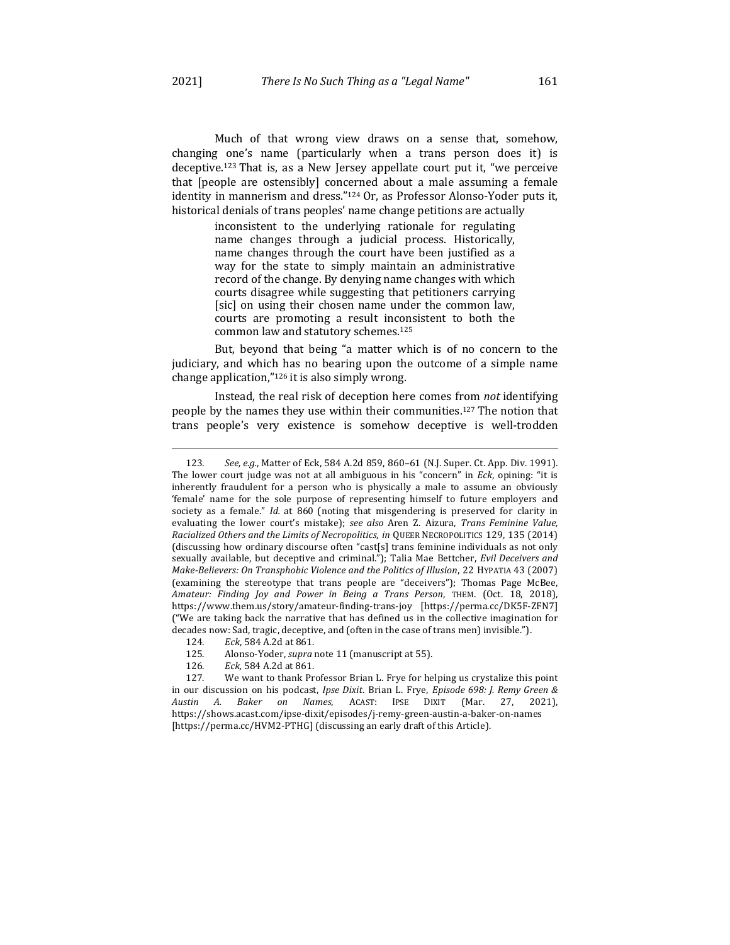Much of that wrong view draws on a sense that, somehow, changing one's name (particularly when a trans person does it) is deceptive.<sup>123</sup> That is, as a New Jersey appellate court put it, "we perceive that [people are ostensibly] concerned about a male assuming a female identity in mannerism and dress."124 Or, as Professor Alonso-Yoder puts it, historical denials of trans peoples' name change petitions are actually

> inconsistent to the underlying rationale for regulating name changes through a judicial process. Historically, name changes through the court have been justified as a way for the state to simply maintain an administrative record of the change. By denying name changes with which courts disagree while suggesting that petitioners carrying [sic] on using their chosen name under the common law, courts are promoting a result inconsistent to both the common law and statutory schemes.<sup>125</sup>

But, beyond that being "a matter which is of no concern to the judiciary, and which has no bearing upon the outcome of a simple name change application," $126$  it is also simply wrong.

Instead, the real risk of deception here comes from *not* identifying people by the names they use within their communities.<sup>127</sup> The notion that trans people's very existence is somehow deceptive is well-trodden

126*. Eck,* 584 A.2d at 861.

<sup>123.</sup> *See, e.g.*, Matter of Eck, 584 A.2d 859, 860–61 (N.J. Super. Ct. App. Div. 1991). The lower court judge was not at all ambiguous in his "concern" in *Eck*, opining: "it is inherently fraudulent for a person who is physically a male to assume an obviously 'female' name for the sole purpose of representing himself to future employers and society as a female." *Id.* at 860 (noting that misgendering is preserved for clarity in evaluating the lower court's mistake); see also Aren Z. Aizura, Trans Feminine Value, *Racialized Others and the Limits of Necropolitics, in QUEER NECROPOLITICS* 129, 135 (2014) (discussing how ordinary discourse often "cast[s] trans feminine individuals as not only sexually available, but deceptive and criminal."); Talia Mae Bettcher, *Evil Deceivers and Make-Believers: On Transphobic Violence and the Politics of Illusion*, 22 HYPATIA 43 (2007) (examining the stereotype that trans people are "deceivers"); Thomas Page McBee, Amateur: Finding Joy and Power in Being a Trans Person, THEM. (Oct. 18, 2018), https://www.them.us/story/amateur-finding-trans-joy [https://perma.cc/DK5F-ZFN7] ("We are taking back the narrative that has defined us in the collective imagination for decades now: Sad, tragic, deceptive, and (often in the case of trans men) invisible.").

<sup>124</sup>*. Eck*, 584 A.2d at 861.

<sup>125.</sup> Alonso-Yoder, *supra* note 11 (manuscript at 55).

<sup>127.</sup> We want to thank Professor Brian L. Frye for helping us crystalize this point in our discussion on his podcast, *Ipse Dixit*. Brian L. Frye, *Episode* 698: J. Remy Green & *Austin A. Baker on Names*, ACAST: IPSE DIXIT (Mar. 27, 2021), https://shows.acast.com/ipse-dixit/episodes/j-remy-green-austin-a-baker-on-names [https://perma.cc/HVM2-PTHG] (discussing an early draft of this Article).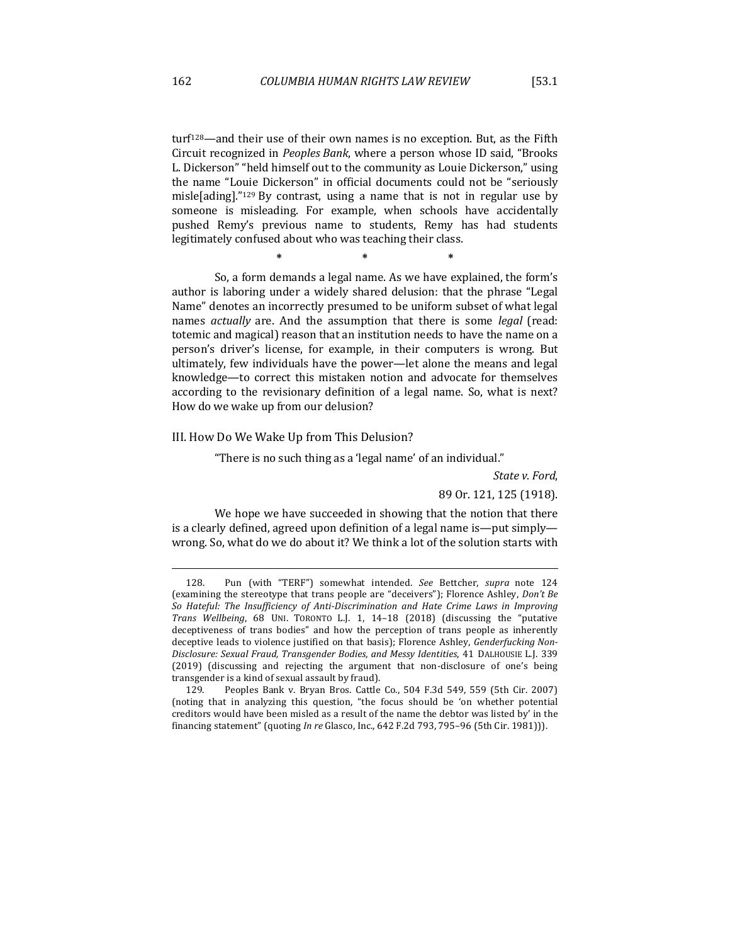turf<sup>128</sup>—and their use of their own names is no exception. But, as the Fifth Circuit recognized in *Peoples Bank*, where a person whose ID said, "Brooks L. Dickerson" "held himself out to the community as Louie Dickerson," using the name "Louie Dickerson" in official documents could not be "seriously misle[ading]." $129$  By contrast, using a name that is not in regular use by someone is misleading. For example, when schools have accidentally pushed Remy's previous name to students, Remy has had students legitimately confused about who was teaching their class.

**\* \* \***

So, a form demands a legal name. As we have explained, the form's author is laboring under a widely shared delusion: that the phrase "Legal Name" denotes an incorrectly presumed to be uniform subset of what legal names *actually* are. And the assumption that there is some *legal* (read: totemic and magical) reason that an institution needs to have the name on a person's driver's license, for example, in their computers is wrong. But ultimately, few individuals have the power—let alone the means and legal knowledge—to correct this mistaken notion and advocate for themselves according to the revisionary definition of a legal name. So, what is next? How do we wake up from our delusion?

#### III. How Do We Wake Up from This Delusion?

"There is no such thing as a 'legal name' of an individual."

State *v. Ford.* 

89 Or. 121, 125 (1918).

We hope we have succeeded in showing that the notion that there is a clearly defined, agreed upon definition of a legal name is—put simply wrong. So, what do we do about it? We think a lot of the solution starts with

129. Peoples Bank v. Bryan Bros. Cattle Co., 504 F.3d 549, 559 (5th Cir. 2007) (noting that in analyzing this question, "the focus should be 'on whether potential creditors would have been misled as a result of the name the debtor was listed by' in the financing statement" (quoting *In re* Glasco, Inc., 642 F.2d 793, 795-96 (5th Cir. 1981))).

<sup>128.</sup> Pun (with "TERF") somewhat intended. See Bettcher, supra note 124 (examining the stereotype that trans people are "deceivers"); Florence Ashley, *Don't Be* So Hateful: The Insufficiency of Anti-Discrimination and Hate Crime Laws in Improving *Trans Wellbeing*, 68 UNI. TORONTO L.J. 1, 14–18 (2018) (discussing the "putative deceptiveness of trans bodies" and how the perception of trans people as inherently deceptive leads to violence justified on that basis); Florence Ashley, *Genderfucking Non-Disclosure: Sexual Fraud, Transgender Bodies, and Messy Identities*, 41 DALHOUSIE L.J. 339 (2019) (discussing and rejecting the argument that non-disclosure of one's being transgender is a kind of sexual assault by fraud).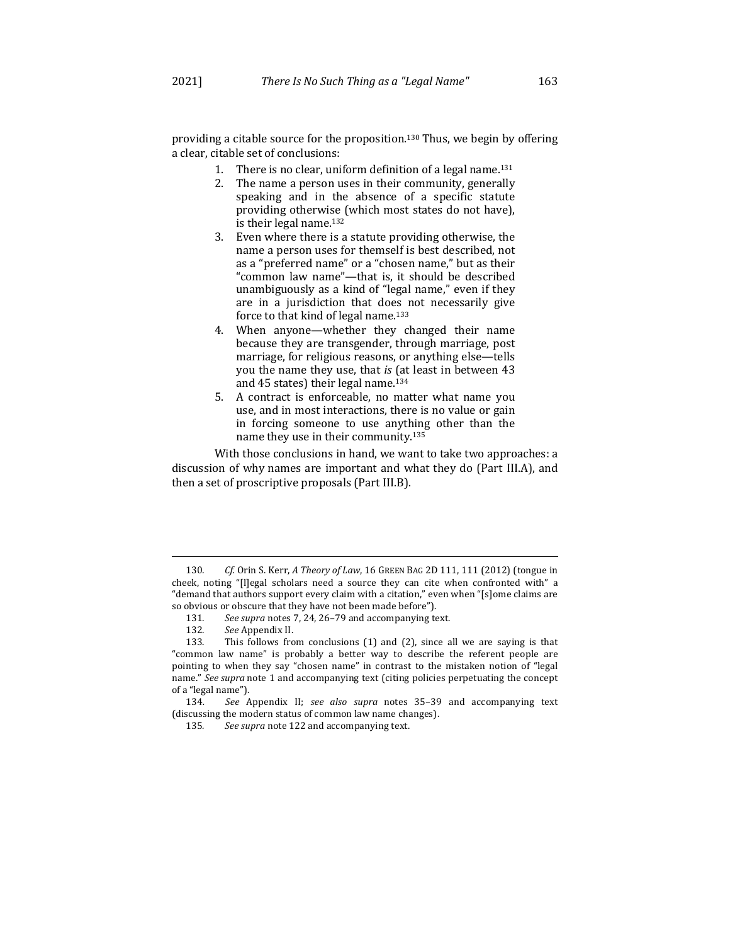providing a citable source for the proposition.<sup>130</sup> Thus, we begin by offering a clear, citable set of conclusions:

- 1. There is no clear, uniform definition of a legal name.<sup>131</sup>
- 2. The name a person uses in their community, generally speaking and in the absence of a specific statute providing otherwise (which most states do not have), is their legal name.<sup>132</sup>
- 3. Even where there is a statute providing otherwise, the name a person uses for themself is best described, not as a "preferred name" or a "chosen name," but as their "common law name"-that is, it should be described unambiguously as a kind of "legal name," even if they are in a jurisdiction that does not necessarily give force to that kind of legal name. $133$
- 4. When anyone—whether they changed their name because they are transgender, through marriage, post marriage, for religious reasons, or anything else—tells you the name they use, that *is* (at least in between 43 and 45 states) their legal name.<sup>134</sup>
- 5. A contract is enforceable, no matter what name you use, and in most interactions, there is no value or gain in forcing someone to use anything other than the name they use in their community.<sup>135</sup>

With those conclusions in hand, we want to take two approaches: a discussion of why names are important and what they do (Part III.A), and then a set of proscriptive proposals (Part III.B).

<sup>130</sup>*. Cf.* Orin S. Kerr, *A Theory of Law*, 16 GREEN BAG 2D 111, 111 (2012) (tongue in cheek, noting "[l]egal scholars need a source they can cite when confronted with" a "demand that authors support every claim with a citation," even when "[s]ome claims are so obvious or obscure that they have not been made before").

<sup>131.</sup> See supra notes 7, 24, 26-79 and accompanying text.

<sup>132</sup>*. See* Appendix II.

<sup>133.</sup> This follows from conclusions  $(1)$  and  $(2)$ , since all we are saying is that "common law name" is probably a better way to describe the referent people are pointing to when they say "chosen name" in contrast to the mistaken notion of "legal name." See supra note 1 and accompanying text (citing policies perpetuating the concept of a "legal name").

<sup>134</sup>*. See* Appendix II; *see also supra*  notes 35–39 and accompanying text (discussing the modern status of common law name changes).

<sup>135.</sup> See supra note 122 and accompanying text.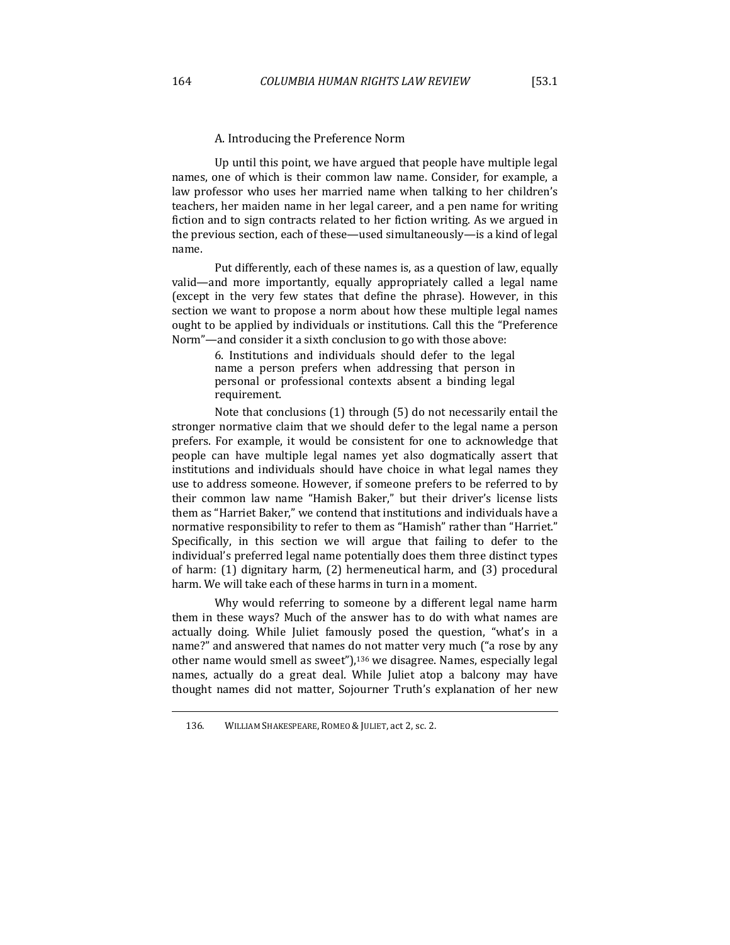Up until this point, we have argued that people have multiple legal names, one of which is their common law name. Consider, for example, a law professor who uses her married name when talking to her children's teachers, her maiden name in her legal career, and a pen name for writing fiction and to sign contracts related to her fiction writing. As we argued in the previous section, each of these—used simultaneously—is a kind of legal name.

Put differently, each of these names is, as a question of law, equally valid—and more importantly, equally appropriately called a legal name (except in the very few states that define the phrase). However, in this section we want to propose a norm about how these multiple legal names ought to be applied by individuals or institutions. Call this the "Preference" Norm"—and consider it a sixth conclusion to go with those above:

> 6. Institutions and individuals should defer to the legal name a person prefers when addressing that person in personal or professional contexts absent a binding legal requirement.

Note that conclusions  $(1)$  through  $(5)$  do not necessarily entail the stronger normative claim that we should defer to the legal name a person prefers. For example, it would be consistent for one to acknowledge that people can have multiple legal names yet also dogmatically assert that institutions and individuals should have choice in what legal names they use to address someone. However, if someone prefers to be referred to by their common law name "Hamish Baker," but their driver's license lists them as "Harriet Baker," we contend that institutions and individuals have a normative responsibility to refer to them as "Hamish" rather than "Harriet." Specifically, in this section we will argue that failing to defer to the individual's preferred legal name potentially does them three distinct types of harm:  $(1)$  dignitary harm,  $(2)$  hermeneutical harm, and  $(3)$  procedural harm. We will take each of these harms in turn in a moment.

Why would referring to someone by a different legal name harm them in these ways? Much of the answer has to do with what names are actually doing. While Juliet famously posed the question, "what's in a name?" and answered that names do not matter very much ("a rose by any other name would smell as sweet"), $136$  we disagree. Names, especially legal names, actually do a great deal. While Juliet atop a balcony may have thought names did not matter, Sojourner Truth's explanation of her new

<sup>136.</sup> WILLIAM SHAKESPEARE, ROMEO & JULIET, act 2, sc. 2.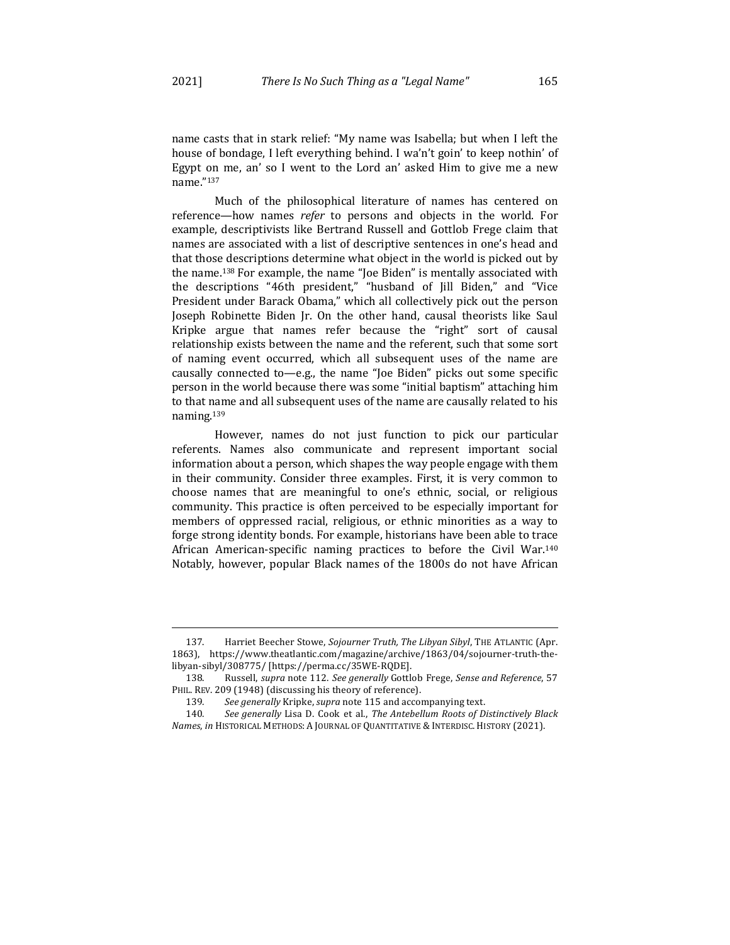name casts that in stark relief: "My name was Isabella; but when I left the house of bondage, I left everything behind. I wa'n't goin' to keep nothin' of Egypt on me, an' so I went to the Lord an' asked  $\text{Him}$  to give me a new name."137

Much of the philosophical literature of names has centered on reference—how names *refer* to persons and objects in the world. For example, descriptivists like Bertrand Russell and Gottlob Frege claim that names are associated with a list of descriptive sentences in one's head and that those descriptions determine what object in the world is picked out by the name.<sup>138</sup> For example, the name "Joe Biden" is mentally associated with the descriptions "46th president," "husband of [ill Biden," and "Vice President under Barack Obama," which all collectively pick out the person Joseph Robinette Biden Jr. On the other hand, causal theorists like Saul Kripke argue that names refer because the "right" sort of causal relationship exists between the name and the referent, such that some sort of naming event occurred, which all subsequent uses of the name are causally connected to—e.g., the name "Joe Biden" picks out some specific person in the world because there was some "initial baptism" attaching him to that name and all subsequent uses of the name are causally related to his naming.139

However, names do not just function to pick our particular referents. Names also communicate and represent important social information about a person, which shapes the way people engage with them in their community. Consider three examples. First, it is very common to choose names that are meaningful to one's ethnic, social, or religious community. This practice is often perceived to be especially important for members of oppressed racial, religious, or ethnic minorities as a way to forge strong identity bonds. For example, historians have been able to trace African American-specific naming practices to before the Civil War.<sup>140</sup> Notably, however, popular Black names of the 1800s do not have African

<sup>137.</sup> Harriet Beecher Stowe, *Sojourner Truth, The Libyan Sibyl*, THE ATLANTIC (Apr. 1863), https://www.theatlantic.com/magazine/archive/1863/04/sojourner-truth-thelibyan-sibyl/308775/ [https://perma.cc/35WE-RQDE].

<sup>138.</sup> Russell, *supra* note 112. *See generally* Gottlob Frege, *Sense and Reference*, 57 PHIL. REV. 209 (1948) (discussing his theory of reference).

<sup>139.</sup> See generally Kripke, *supra* note 115 and accompanying text.

<sup>140.</sup> See generally Lisa D. Cook et al., The Antebellum Roots of Distinctively Black *Names, in HISTORICAL METHODS: A JOURNAL OF QUANTITATIVE & INTERDISC. HISTORY (2021).*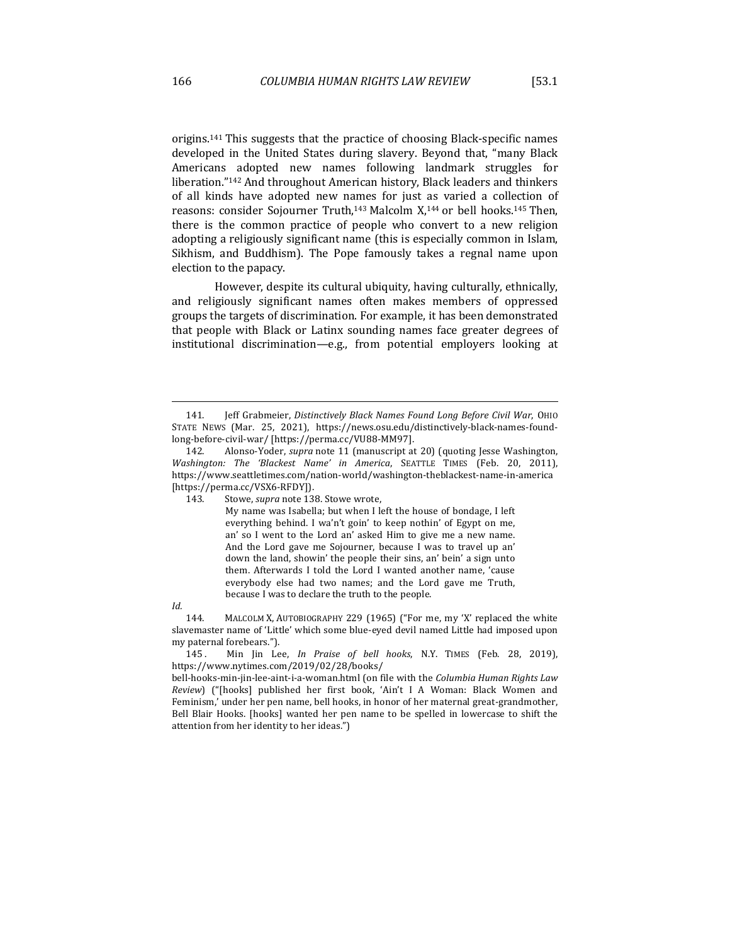origins.<sup>141</sup> This suggests that the practice of choosing Black-specific names developed in the United States during slavery. Beyond that, "many Black Americans adopted new names following landmark struggles for liberation."<sup>142</sup> And throughout American history, Black leaders and thinkers of all kinds have adopted new names for just as varied a collection of reasons: consider Sojourner Truth,<sup>143</sup> Malcolm  $X$ ,<sup>144</sup> or bell hooks.<sup>145</sup> Then, there is the common practice of people who convert to a new religion adopting a religiously significant name (this is especially common in Islam, Sikhism, and Buddhism). The Pope famously takes a regnal name upon election to the papacy.

However, despite its cultural ubiquity, having culturally, ethnically, and religiously significant names often makes members of oppressed groups the targets of discrimination. For example, it has been demonstrated that people with Black or Latinx sounding names face greater degrees of institutional discrimination—e.g., from potential employers looking at

My name was Isabella; but when I left the house of bondage, I left everything behind. I wa'n't goin' to keep nothin' of Egypt on me, an' so I went to the Lord an' asked Him to give me a new name. And the Lord gave me Sojourner, because I was to travel up an' down the land, showin' the people their sins, an' bein' a sign unto them. Afterwards I told the Lord I wanted another name, 'cause everybody else had two names; and the Lord gave me Truth, because I was to declare the truth to the people.

*Id.*

144. MALCOLM X, AUTOBIOGRAPHY 229 (1965) ("For me, my 'X' replaced the white slavemaster name of 'Little' which some blue-eyed devil named Little had imposed upon my paternal forebears.").

145. Min Jin Lee, *In Praise of bell hooks*, N.Y. TIMES (Feb. 28, 2019), https://www.nytimes.com/2019/02/28/books/

bell-hooks-min-jin-lee-aint-i-a-woman.html (on file with the *Columbia Human Rights Law Review*) ("[hooks] published her first book, 'Ain't I A Woman: Black Women and Feminism,' under her pen name, bell hooks, in honor of her maternal great-grandmother, Bell Blair Hooks. [hooks] wanted her pen name to be spelled in lowercase to shift the attention from her identity to her ideas.")

<sup>141.</sup> **Jeff Grabmeier, Distinctively Black Names Found Long Before Civil War, OHIO** STATE NEWS (Mar. 25, 2021), https://news.osu.edu/distinctively-black-names-foundlong-before-civil-war/ [https://perma.cc/VU88-MM97].

<sup>142.</sup> Alonso-Yoder, *supra* note 11 (manuscript at 20) (quoting Jesse Washington, *Washington: The 'Blackest Name' in America*, SEATTLE TIMES (Feb. 20, 2011), https://www.seattletimes.com/nation-world/washington-theblackest-name-in-america [https://perma.cc/VSX6-RFDY]).

<sup>143.</sup> Stowe, *supra* note 138. Stowe wrote,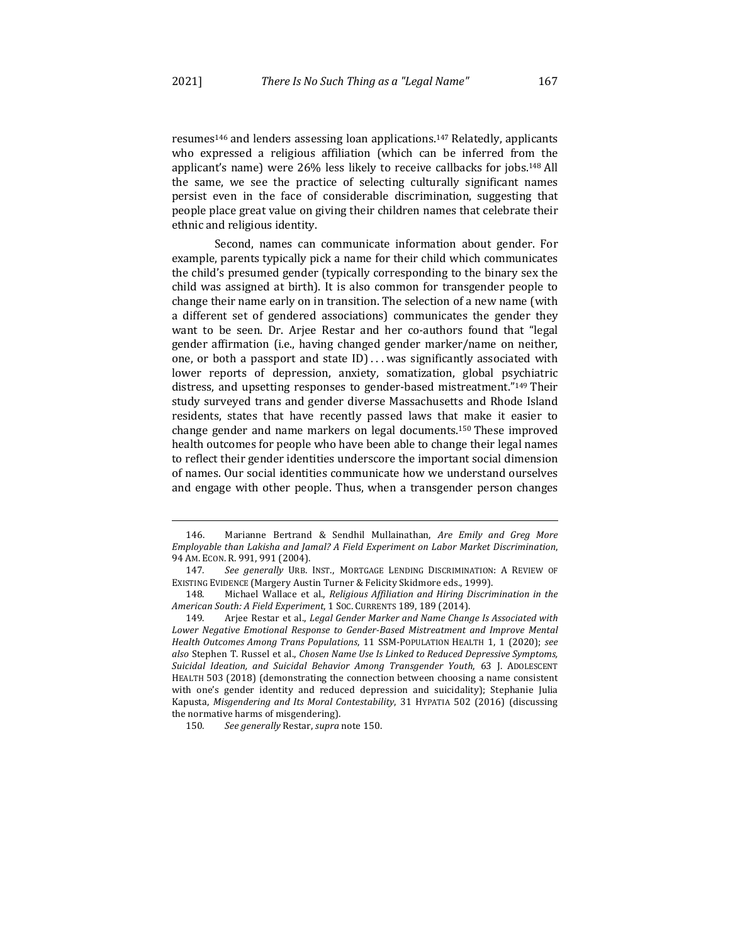resumes<sup>146</sup> and lenders assessing loan applications.<sup>147</sup> Relatedly, applicants who expressed a religious affiliation (which can be inferred from the applicant's name) were 26% less likely to receive callbacks for jobs.<sup>148</sup> All the same, we see the practice of selecting culturally significant names persist even in the face of considerable discrimination, suggesting that people place great value on giving their children names that celebrate their ethnic and religious identity.

Second, names can communicate information about gender. For example, parents typically pick a name for their child which communicates the child's presumed gender (typically corresponding to the binary sex the child was assigned at birth). It is also common for transgender people to change their name early on in transition. The selection of a new name (with a different set of gendered associations) communicates the gender they want to be seen. Dr. Arjee Restar and her co-authors found that "legal gender affirmation (i.e., having changed gender marker/name on neither, one, or both a passport and state  $ID$ )... was significantly associated with lower reports of depression, anxiety, somatization, global psychiatric distress, and upsetting responses to gender-based mistreatment."<sup>149</sup> Their study surveyed trans and gender diverse Massachusetts and Rhode Island residents, states that have recently passed laws that make it easier to change gender and name markers on legal documents.<sup>150</sup> These improved health outcomes for people who have been able to change their legal names to reflect their gender identities underscore the important social dimension of names. Our social identities communicate how we understand ourselves and engage with other people. Thus, when a transgender person changes

<sup>146.</sup> Marianne Bertrand & Sendhil Mullainathan, *Are Emily and Greg More Employable than Lakisha and Jamal? A Field Experiment on Labor Market Discrimination,* 94 AM. ECON. R. 991, 991 (2004).

<sup>147.</sup> See generally URB. INST., MORTGAGE LENDING DISCRIMINATION: A REVIEW OF EXISTING EVIDENCE (Margery Austin Turner & Felicity Skidmore eds., 1999).

<sup>148.</sup> Michael Wallace et al., *Religious Affiliation and Hiring Discrimination in the American South: A Field Experiment*, 1 SOC. CURRENTS 189, 189 (2014).

<sup>149.</sup> Arjee Restar et al., *Legal Gender Marker and Name Change Is Associated with* Lower Negative Emotional Response to Gender-Based Mistreatment and Improve Mental Health Outcomes Among Trans Populations, 11 SSM-POPULATION HEALTH 1, 1 (2020); see also Stephen T. Russel et al., *Chosen Name Use Is Linked to Reduced Depressive Symptoms*, *Suicidal Ideation, and Suicidal Behavior Among Transgender Youth*, 63 J. ADOLESCENT HEALTH 503 (2018) (demonstrating the connection between choosing a name consistent with one's gender identity and reduced depression and suicidality); Stephanie Julia Kapusta, *Misgendering and Its Moral Contestability*, 31 HYPATIA 502 (2016) (discussing the normative harms of misgendering).

<sup>150.</sup> See generally Restar, supra note 150.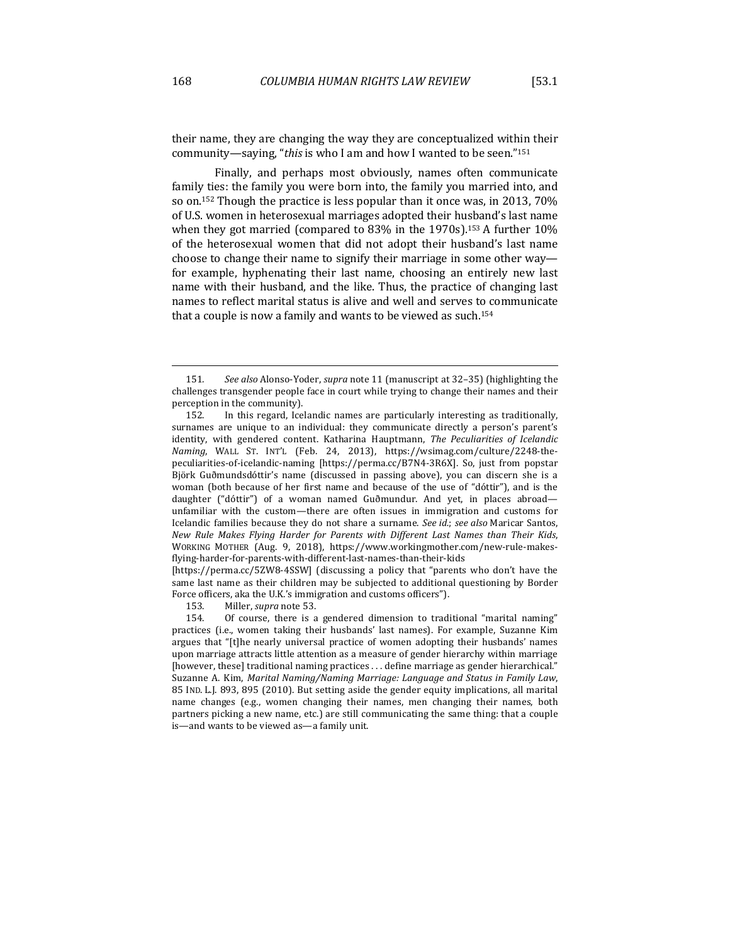their name, they are changing the way they are conceptualized within their community—saying, "*this* is who I am and how I wanted to be seen."<sup>151</sup>

Finally, and perhaps most obviously, names often communicate family ties: the family you were born into, the family you married into, and so on.<sup>152</sup> Though the practice is less popular than it once was, in 2013, 70% of U.S. women in heterosexual marriages adopted their husband's last name when they got married (compared to  $83\%$  in the  $1970s$ ).<sup>153</sup> A further  $10\%$ of the heterosexual women that did not adopt their husband's last name choose to change their name to signify their marriage in some other  $way$  for example, hyphenating their last name, choosing an entirely new last name with their husband, and the like. Thus, the practice of changing last names to reflect marital status is alive and well and serves to communicate that a couple is now a family and wants to be viewed as such.<sup>154</sup>

[https://perma.cc/5ZW8-4SSW] (discussing a policy that "parents who don't have the same last name as their children may be subjected to additional questioning by Border Force officers, aka the U.K.'s immigration and customs officers").

153. Miller, *supra* note 53.

154. Of course, there is a gendered dimension to traditional "marital naming" practices (i.e., women taking their husbands' last names). For example, Suzanne Kim argues that "[t]he nearly universal practice of women adopting their husbands' names upon marriage attracts little attention as a measure of gender hierarchy within marriage [however, these] traditional naming practices . . . define marriage as gender hierarchical." Suzanne A. Kim, Marital Naming/Naming Marriage: Language and Status in Family Law, 85 IND. L.J. 893, 895 (2010). But setting aside the gender equity implications, all marital name changes (e.g., women changing their names, men changing their names, both partners picking a new name, etc.) are still communicating the same thing: that a couple is-and wants to be viewed as-a family unit.

<sup>151.</sup> See also Alonso-Yoder, *supra* note 11 (manuscript at 32-35) (highlighting the challenges transgender people face in court while trying to change their names and their perception in the community).

<sup>152.</sup> In this regard, Icelandic names are particularly interesting as traditionally, surnames are unique to an individual: they communicate directly a person's parent's identity, with gendered content. Katharina Hauptmann, The Peculiarities of Icelandic *Naming*, WALL ST. INT'L (Feb. 24, 2013), https://wsimag.com/culture/2248-thepeculiarities-of-icelandic-naming [https://perma.cc/B7N4-3R6X]. So, just from popstar Björk Guðmundsdóttir's name (discussed in passing above), you can discern she is a woman (both because of her first name and because of the use of "dóttir"), and is the daughter ("dóttir") of a woman named Guðmundur. And yet, in places abroad unfamiliar with the custom—there are often issues in immigration and customs for Icelandic families because they do not share a surname. See id.; see also Maricar Santos, New Rule Makes Flying Harder for Parents with Different Last Names than Their Kids, WORKING MOTHER (Aug. 9, 2018), https://www.workingmother.com/new-rule-makesflying-harder-for-parents-with-different-last-names-than-their-kids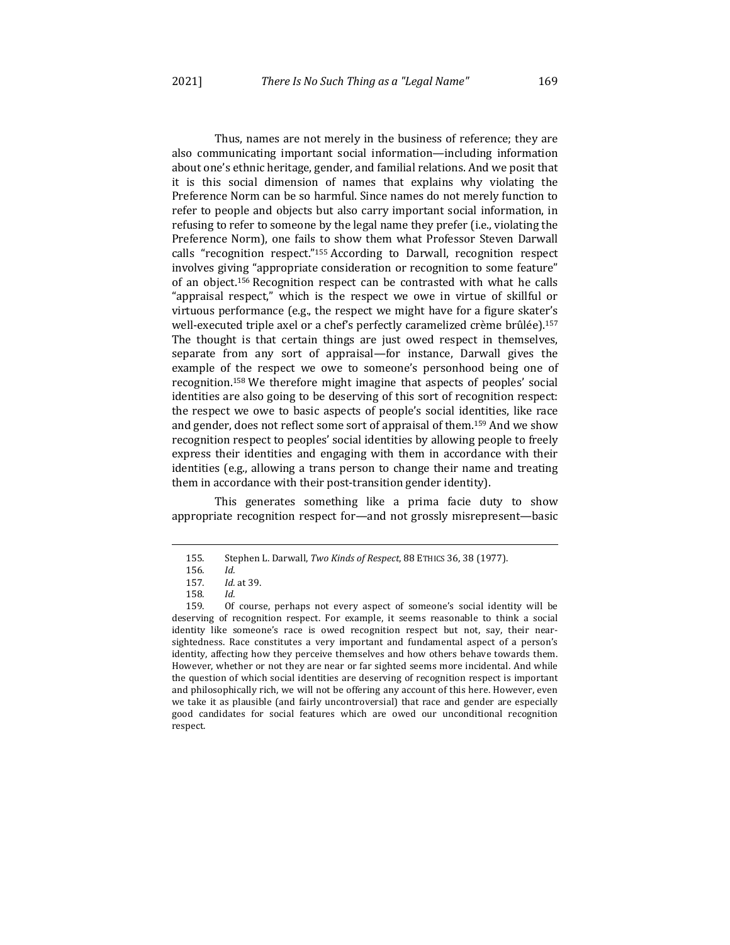Thus, names are not merely in the business of reference; they are also communicating important social information—including information about one's ethnic heritage, gender, and familial relations. And we posit that it is this social dimension of names that explains why violating the Preference Norm can be so harmful. Since names do not merely function to refer to people and objects but also carry important social information, in refusing to refer to someone by the legal name they prefer (i.e., violating the Preference Norm), one fails to show them what Professor Steven Darwall calls "recognition respect."<sup>155</sup> According to Darwall, recognition respect involves giving "appropriate consideration or recognition to some feature" of an object.<sup>156</sup> Recognition respect can be contrasted with what he calls "appraisal respect," which is the respect we owe in virtue of skillful or virtuous performance  $(e.g., the respect we might have for a figure skater's$ well-executed triple axel or a chef's perfectly caramelized crème brûlée).<sup>157</sup> The thought is that certain things are just owed respect in themselves, separate from any sort of appraisal—for instance, Darwall gives the example of the respect we owe to someone's personhood being one of recognition.<sup>158</sup> We therefore might imagine that aspects of peoples' social identities are also going to be deserving of this sort of recognition respect: the respect we owe to basic aspects of people's social identities, like race and gender, does not reflect some sort of appraisal of them.<sup>159</sup> And we show recognition respect to peoples' social identities by allowing people to freely express their identities and engaging with them in accordance with their identities (e.g., allowing a trans person to change their name and treating them in accordance with their post-transition gender identity).

This generates something like a prima facie duty to show appropriate recognition respect for—and not grossly misrepresent—basic

<sup>155.</sup> Stephen L. Darwall, Two Kinds of Respect, 88 ETHICS 36, 38 (1977).

<sup>156</sup>*. Id.*

<sup>157</sup>*. Id.* at 39.

<sup>158</sup>*. Id.*

<sup>159.</sup> Of course, perhaps not every aspect of someone's social identity will be deserving of recognition respect. For example, it seems reasonable to think a social identity like someone's race is owed recognition respect but not, say, their nearsightedness. Race constitutes a very important and fundamental aspect of a person's identity, affecting how they perceive themselves and how others behave towards them. However, whether or not they are near or far sighted seems more incidental. And while the question of which social identities are deserving of recognition respect is important and philosophically rich, we will not be offering any account of this here. However, even we take it as plausible (and fairly uncontroversial) that race and gender are especially good candidates for social features which are owed our unconditional recognition respect.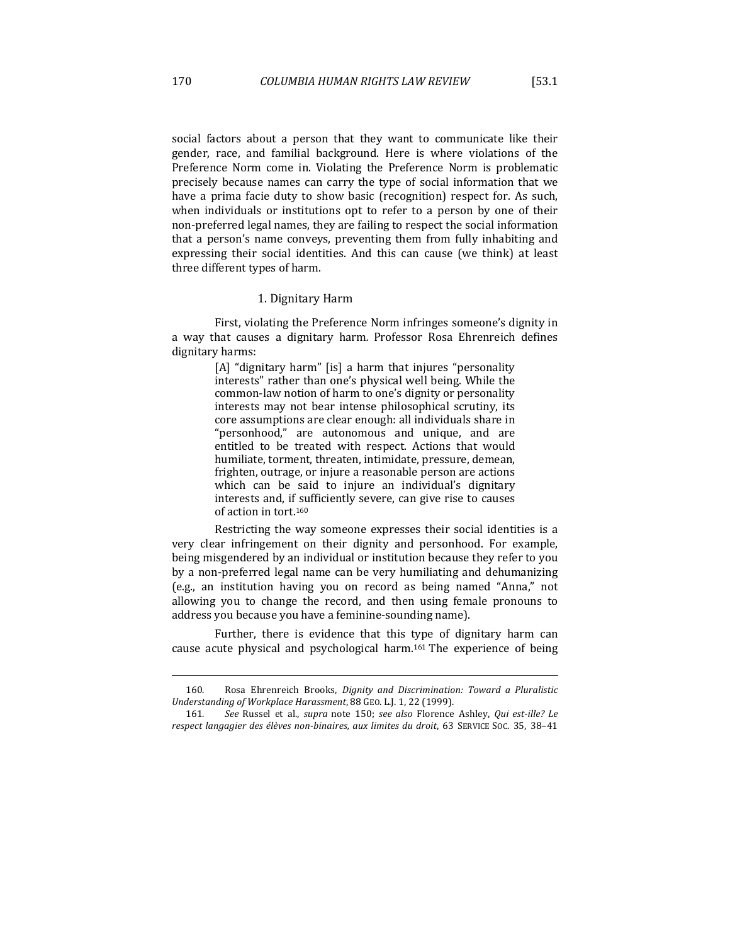social factors about a person that they want to communicate like their gender, race, and familial background. Here is where violations of the Preference Norm come in. Violating the Preference Norm is problematic precisely because names can carry the type of social information that we have a prima facie duty to show basic (recognition) respect for. As such, when individuals or institutions opt to refer to a person by one of their non-preferred legal names, they are failing to respect the social information that a person's name conveys, preventing them from fully inhabiting and expressing their social identities. And this can cause (we think) at least three different types of harm.

#### 1. Dignitary Harm

First, violating the Preference Norm infringes someone's dignity in a way that causes a dignitary harm. Professor Rosa Ehrenreich defines dignitary harms:

> [A] "dignitary harm" [is] a harm that injures "personality interests" rather than one's physical well being. While the common-law notion of harm to one's dignity or personality interests may not bear intense philosophical scrutiny, its core assumptions are clear enough: all individuals share in "personhood," are autonomous and unique, and are entitled to be treated with respect. Actions that would humiliate, torment, threaten, intimidate, pressure, demean, frighten, outrage, or injure a reasonable person are actions which can be said to injure an individual's dignitary interests and, if sufficiently severe, can give rise to causes of action in tort.<sup>160</sup>

Restricting the way someone expresses their social identities is a very clear infringement on their dignity and personhood. For example, being misgendered by an individual or institution because they refer to you by a non-preferred legal name can be very humiliating and dehumanizing (e.g., an institution having you on record as being named "Anna," not allowing you to change the record, and then using female pronouns to address you because you have a feminine-sounding name).

Further, there is evidence that this type of dignitary harm can cause acute physical and psychological harm.<sup>161</sup> The experience of being

<sup>160.</sup> Rosa Ehrenreich Brooks, *Dignity and Discrimination: Toward a Pluralistic* Understanding of Workplace Harassment, 88 GEO. L.J. 1, 22 (1999).

<sup>161.</sup> See Russel et al., *supra* note 150; see also Florence Ashley, *Qui est-ille? Le* respect langagier des élèves non-binaires, aux limites du droit, 63 SERVICE Soc. 35, 38-41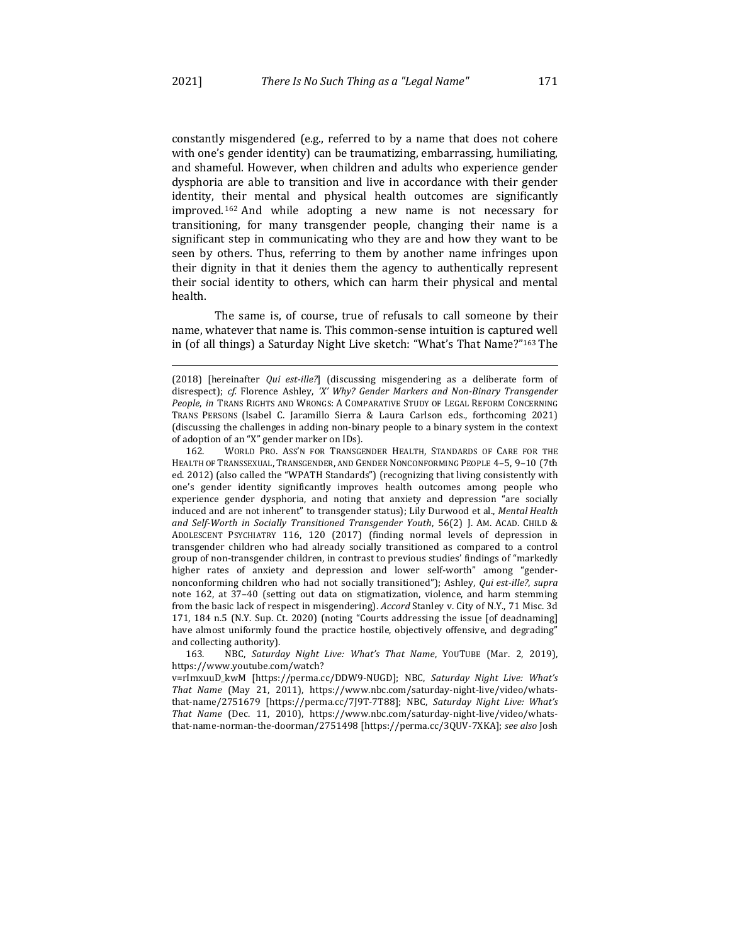constantly misgendered (e.g., referred to by a name that does not cohere with one's gender identity) can be traumatizing, embarrassing, humiliating, and shameful. However, when children and adults who experience gender dysphoria are able to transition and live in accordance with their gender identity, their mental and physical health outcomes are significantly improved.<sup>162</sup> And while adopting a new name is not necessary for transitioning, for many transgender people, changing their name is a significant step in communicating who they are and how they want to be seen by others. Thus, referring to them by another name infringes upon their dignity in that it denies them the agency to authentically represent their social identity to others, which can harm their physical and mental health.

The same is, of course, true of refusals to call someone by their name, whatever that name is. This common-sense intuition is captured well in (of all things) a Saturday Night Live sketch: "What's That Name?"<sup>163</sup> The

163. NBC, *Saturday Night Live: What's That Name*, YOUTUBE (Mar. 2, 2019), https://www.youtube.com/watch?

v=rImxuuD\_kwM [https://perma.cc/DDW9-NUGD]; NBC, *Saturday Night Live: What's That Name* (May 21, 2011), https://www.nbc.com/saturday-night-live/video/whatsthat-name/2751679 [https://perma.cc/7J9T-7T88]; NBC, Saturday Night Live: What's *That Name* (Dec. 11, 2010), https://www.nbc.com/saturday-night-live/video/whatsthat-name-norman-the-doorman/2751498 [https://perma.cc/3QUV-7XKA]; *see also* Josh 

<sup>(2018) [</sup>hereinafter *Qui est-ille?*] (discussing misgendering as a deliberate form of disrespect); *cf.* Florence Ashley, '*X' Why? Gender Markers and Non-Binary Transgender* People, in TRANS RIGHTS AND WRONGS: A COMPARATIVE STUDY OF LEGAL REFORM CONCERNING TRANS PERSONS (Isabel C. Jaramillo Sierra & Laura Carlson eds., forthcoming 2021) (discussing the challenges in adding non-binary people to a binary system in the context of adoption of an "X" gender marker on IDs).

<sup>162.</sup> WORLD PRO. ASS'N FOR TRANSGENDER HEALTH, STANDARDS OF CARE FOR THE HEALTH OF TRANSSEXUAL, TRANSGENDER, AND GENDER NONCONFORMING PEOPLE 4-5, 9-10 (7th ed. 2012) (also called the "WPATH Standards") (recognizing that living consistently with one's gender identity significantly improves health outcomes among people who experience gender dysphoria, and noting that anxiety and depression "are socially induced and are not inherent" to transgender status); Lily Durwood et al., *Mental Health* and Self-Worth in Socially Transitioned Transgender Youth, 56(2) J. AM. ACAD. CHILD & ADOLESCENT PSYCHIATRY 116, 120 (2017) (finding normal levels of depression in transgender children who had already socially transitioned as compared to a control group of non-transgender children, in contrast to previous studies' findings of "markedly higher rates of anxiety and depression and lower self-worth" among "gendernonconforming children who had not socially transitioned"); Ashley, *Qui est-ille?*, *supra* note 162, at 37-40 (setting out data on stigmatization, violence, and harm stemming from the basic lack of respect in misgendering). *Accord* Stanley v. City of N.Y., 71 Misc. 3d 171, 184 n.5 (N.Y. Sup. Ct. 2020) (noting "Courts addressing the issue [of deadnaming] have almost uniformly found the practice hostile, objectively offensive, and degrading" and collecting authority).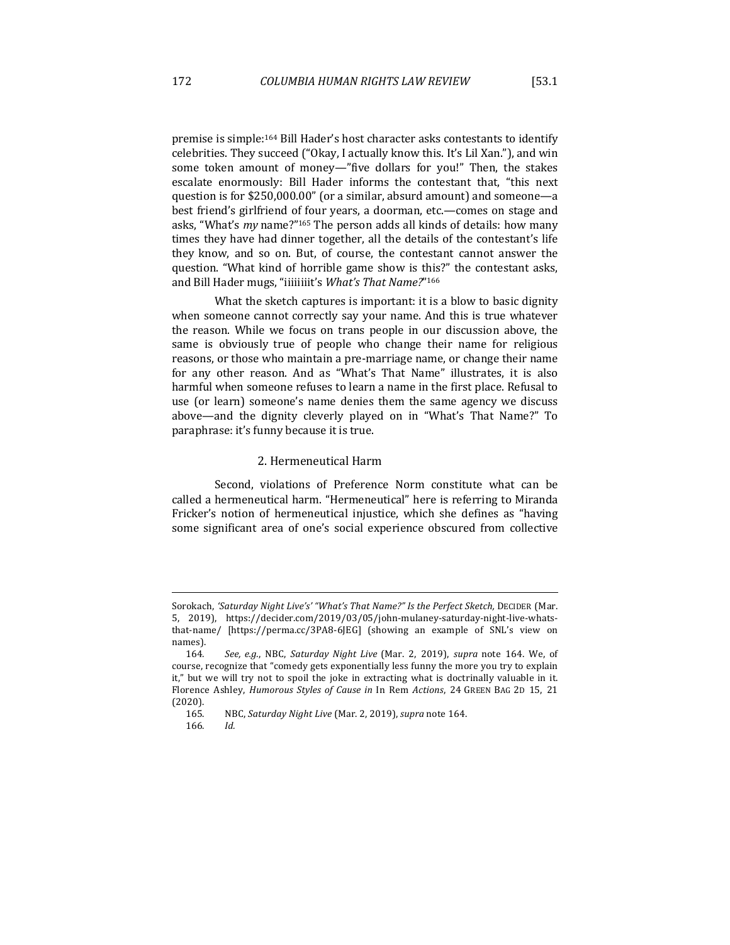premise is simple:<sup>164</sup> Bill Hader's host character asks contestants to identify celebrities. They succeed ("Okay, I actually know this. It's Lil Xan."), and win some token amount of money—"five dollars for you!" Then, the stakes escalate enormously: Bill Hader informs the contestant that, "this next question is for \$250,000.00" (or a similar, absurd amount) and someone-a best friend's girlfriend of four years, a doorman, etc.—comes on stage and asks, "What's *my* name?"<sup>165</sup> The person adds all kinds of details: how many times they have had dinner together, all the details of the contestant's life they know, and so on. But, of course, the contestant cannot answer the question. "What kind of horrible game show is this?" the contestant asks, and Bill Hader mugs, "iiiiiiiit's What's That Name?"<sup>166</sup>

What the sketch captures is important: it is a blow to basic dignity when someone cannot correctly say your name. And this is true whatever the reason. While we focus on trans people in our discussion above, the same is obviously true of people who change their name for religious reasons, or those who maintain a pre-marriage name, or change their name for any other reason. And as "What's That Name" illustrates, it is also harmful when someone refuses to learn a name in the first place. Refusal to use (or learn) someone's name denies them the same agency we discuss above—and the dignity cleverly played on in "What's That Name?" To paraphrase: it's funny because it is true.

# 2. Hermeneutical Harm

Second, violations of Preference Norm constitute what can be called a hermeneutical harm. "Hermeneutical" here is referring to Miranda Fricker's notion of hermeneutical injustice, which she defines as "having some significant area of one's social experience obscured from collective

Sorokach, 'Saturday Night Live's' "What's That Name?" Is the Perfect Sketch, DECIDER (Mar. 5, 2019), https://decider.com/2019/03/05/john-mulaney-saturday-night-live-whatsthat-name/ [https://perma.cc/3PA8-6JEG] (showing an example of SNL's view on names).

<sup>164.</sup> See, e.g., NBC, Saturday Night Live (Mar. 2, 2019), supra note 164. We, of course, recognize that "comedy gets exponentially less funny the more you try to explain it," but we will try not to spoil the joke in extracting what is doctrinally valuable in it. Florence Ashley, *Humorous Styles of Cause in* In Rem Actions, 24 GREEN BAG 2D 15, 21 (2020).

<sup>165.</sup> NBC, *Saturday Night Live* (Mar. 2, 2019), *supra* note 164.

<sup>166</sup>*. Id.*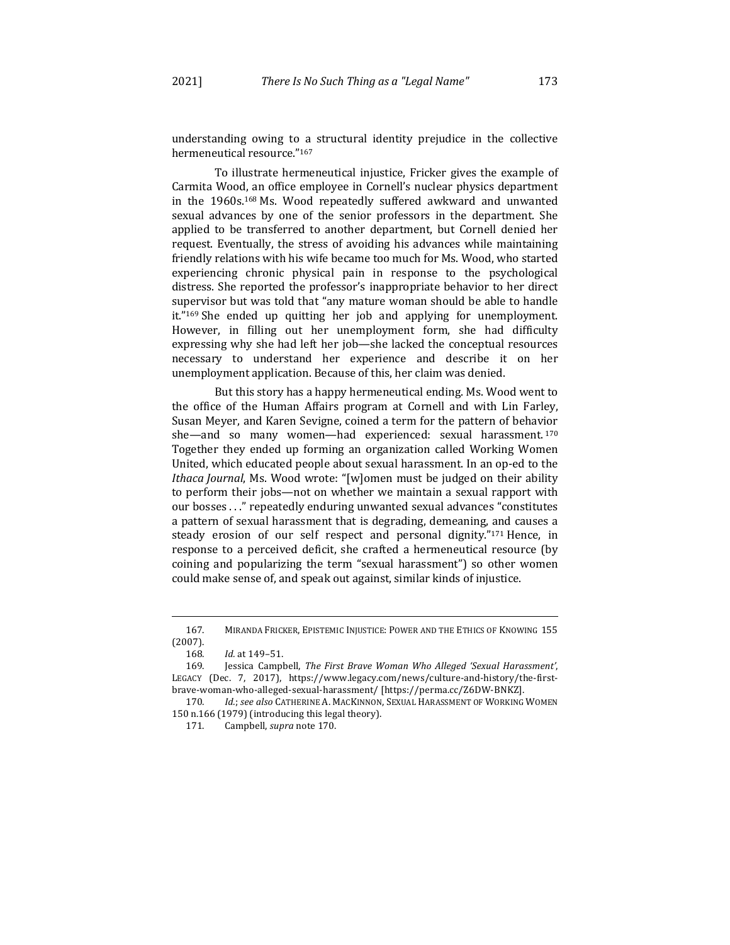understanding owing to a structural identity prejudice in the collective hermeneutical resource."167

To illustrate hermeneutical injustice, Fricker gives the example of Carmita Wood, an office employee in Cornell's nuclear physics department in the  $1960s$ .<sup>168</sup> Ms. Wood repeatedly suffered awkward and unwanted sexual advances by one of the senior professors in the department. She applied to be transferred to another department, but Cornell denied her request. Eventually, the stress of avoiding his advances while maintaining friendly relations with his wife became too much for Ms. Wood, who started experiencing chronic physical pain in response to the psychological distress. She reported the professor's inappropriate behavior to her direct supervisor but was told that "any mature woman should be able to handle it."<sup>169</sup> She ended up quitting her job and applying for unemployment. However, in filling out her unemployment form, she had difficulty expressing why she had left her job—she lacked the conceptual resources necessary to understand her experience and describe it on her unemployment application. Because of this, her claim was denied.

But this story has a happy hermeneutical ending. Ms. Wood went to the office of the Human Affairs program at Cornell and with Lin Farley, Susan Meyer, and Karen Sevigne, coined a term for the pattern of behavior she—and so many women—had experienced: sexual harassment.<sup>170</sup> Together they ended up forming an organization called Working Women United, which educated people about sexual harassment. In an op-ed to the *Ithaca Journal*, Ms. Wood wrote: "[w]omen must be judged on their ability to perform their jobs—not on whether we maintain a sexual rapport with our bosses . . ." repeatedly enduring unwanted sexual advances "constitutes" a pattern of sexual harassment that is degrading, demeaning, and causes a steady erosion of our self respect and personal dignity." $171$  Hence, in response to a perceived deficit, she crafted a hermeneutical resource (by coining and popularizing the term "sexual harassment") so other women could make sense of, and speak out against, similar kinds of injustice.

<sup>167.</sup> MIRANDA FRICKER, EPISTEMIC INJUSTICE: POWER AND THE ETHICS OF KNOWING 155 (2007).

<sup>168.</sup> *Id.* at 149-51.

<sup>169.</sup> Jessica Campbell, *The First Brave Woman Who Alleged 'Sexual Harassment'*, LEGACY (Dec. 7, 2017), https://www.legacy.com/news/culture-and-history/the-firstbrave-woman-who-alleged-sexual-harassment/ [https://perma.cc/Z6DW-BNKZ].

<sup>170.</sup> Id.; see also Catherine A. MacKinnon, Sexual Harassment of Working Women 150 n.166 (1979) (introducing this legal theory).

<sup>171.</sup> Campbell, *supra* note 170.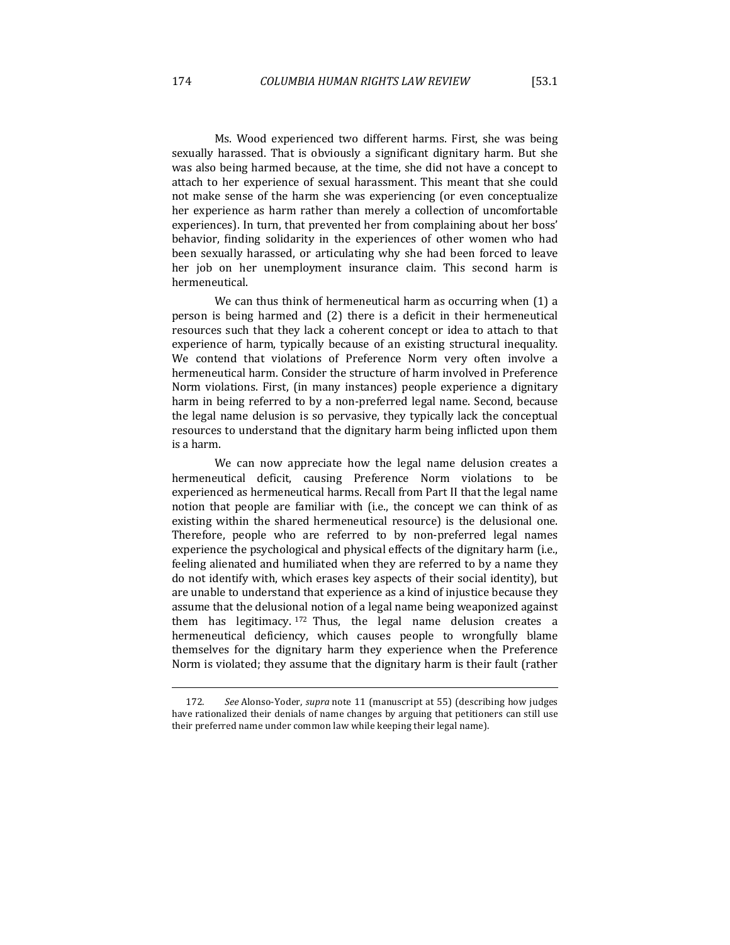Ms. Wood experienced two different harms. First, she was being sexually harassed. That is obviously a significant dignitary harm. But she was also being harmed because, at the time, she did not have a concept to attach to her experience of sexual harassment. This meant that she could not make sense of the harm she was experiencing (or even conceptualize her experience as harm rather than merely a collection of uncomfortable experiences). In turn, that prevented her from complaining about her boss' behavior, finding solidarity in the experiences of other women who had been sexually harassed, or articulating why she had been forced to leave her job on her unemployment insurance claim. This second harm is hermeneutical.

We can thus think of hermeneutical harm as occurring when  $(1)$  a person is being harmed and (2) there is a deficit in their hermeneutical resources such that they lack a coherent concept or idea to attach to that experience of harm, typically because of an existing structural inequality. We contend that violations of Preference Norm very often involve a hermeneutical harm. Consider the structure of harm involved in Preference Norm violations. First, (in many instances) people experience a dignitary harm in being referred to by a non-preferred legal name. Second, because the legal name delusion is so pervasive, they typically lack the conceptual resources to understand that the dignitary harm being inflicted upon them is a harm.

We can now appreciate how the legal name delusion creates a hermeneutical deficit, causing Preference Norm violations to be experienced as hermeneutical harms. Recall from Part II that the legal name notion that people are familiar with (i.e., the concept we can think of as existing within the shared hermeneutical resource) is the delusional one. Therefore, people who are referred to by non-preferred legal names experience the psychological and physical effects of the dignitary harm (i.e., feeling alienated and humiliated when they are referred to by a name they do not identify with, which erases key aspects of their social identity), but are unable to understand that experience as a kind of injustice because they assume that the delusional notion of a legal name being weaponized against them has legitimacy. 172 Thus, the legal name delusion creates a hermeneutical deficiency, which causes people to wrongfully blame themselves for the dignitary harm they experience when the Preference Norm is violated; they assume that the dignitary harm is their fault (rather

<sup>172.</sup> See Alonso-Yoder, *supra* note 11 (manuscript at 55) (describing how judges have rationalized their denials of name changes by arguing that petitioners can still use their preferred name under common law while keeping their legal name).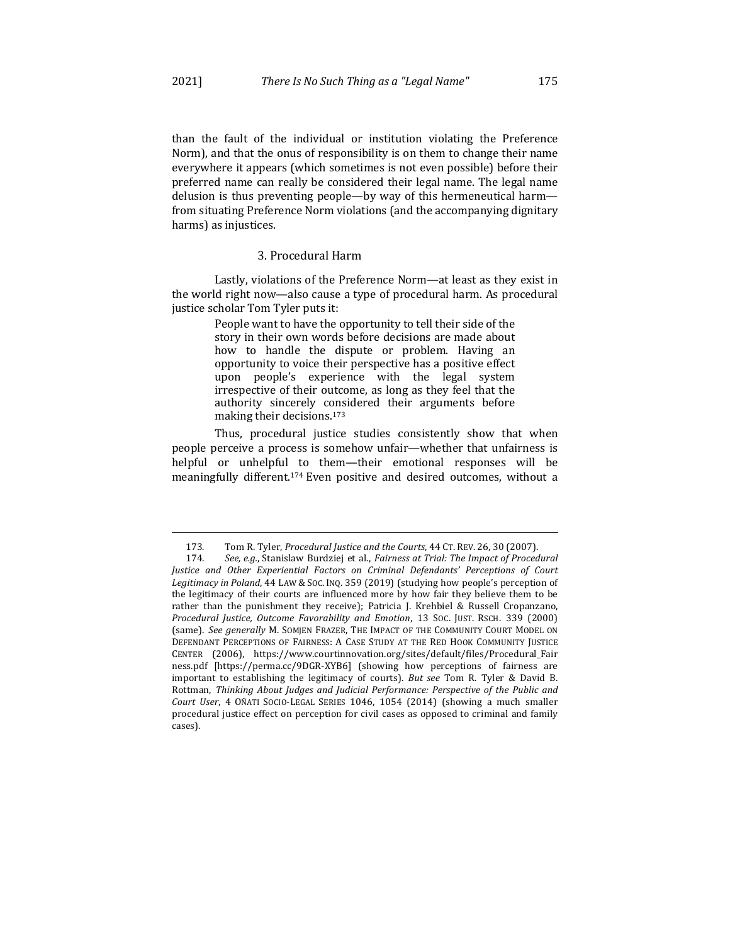than the fault of the individual or institution violating the Preference Norm), and that the onus of responsibility is on them to change their name everywhere it appears (which sometimes is not even possible) before their preferred name can really be considered their legal name. The legal name delusion is thus preventing people—by way of this hermeneutical harm from situating Preference Norm violations (and the accompanying dignitary harms) as injustices.

#### 3. Procedural Harm

Lastly, violations of the Preference Norm—at least as they exist in the world right now—also cause a type of procedural harm. As procedural justice scholar Tom Tyler puts it:

> People want to have the opportunity to tell their side of the story in their own words before decisions are made about how to handle the dispute or problem. Having an opportunity to voice their perspective has a positive effect upon people's experience with the legal system irrespective of their outcome, as long as they feel that the authority sincerely considered their arguments before making their decisions.<sup>173</sup>

Thus, procedural justice studies consistently show that when people perceive a process is somehow unfair—whether that unfairness is helpful or unhelpful to them—their emotional responses will be meaningfully different.<sup>174</sup> Even positive and desired outcomes, without a

<sup>173.</sup> Tom R. Tyler, *Procedural Justice and the Courts*, 44 CT. REV. 26, 30 (2007).<br>174. See, e.g., Stanislaw Burdziej et al., *Fairness at Trial: The Impact of Proced* 

See, e.g., Stanislaw Burdziej et al., *Fairness at Trial: The Impact of Procedural Justice and Other Experiential Factors on Criminal Defendants' Perceptions of Court* Legitimacy in Poland, 44 LAW & Soc. INQ. 359 (2019) (studying how people's perception of the legitimacy of their courts are influenced more by how fair they believe them to be rather than the punishment they receive); Patricia J. Krehbiel & Russell Cropanzano, *Procedural Justice, Outcome Favorability and Emotion*, 13 SOC. JUST. RSCH. 339 (2000) (same). See generally M. SOMJEN FRAZER, THE IMPACT OF THE COMMUNITY COURT MODEL ON DEFENDANT PERCEPTIONS OF FAIRNESS: A CASE STUDY AT THE RED HOOK COMMUNITY JUSTICE CENTER (2006), https://www.courtinnovation.org/sites/default/files/Procedural\_Fair ness.pdf [https://perma.cc/9DGR-XYB6] (showing how perceptions of fairness are important to establishing the legitimacy of courts). But see Tom R. Tyler & David B. Rottman, Thinking About Judges and Judicial Performance: Perspective of the Public and *Court User*, 4 OÑATI SOCIO-LEGAL SERIES 1046, 1054 (2014) (showing a much smaller procedural justice effect on perception for civil cases as opposed to criminal and family cases).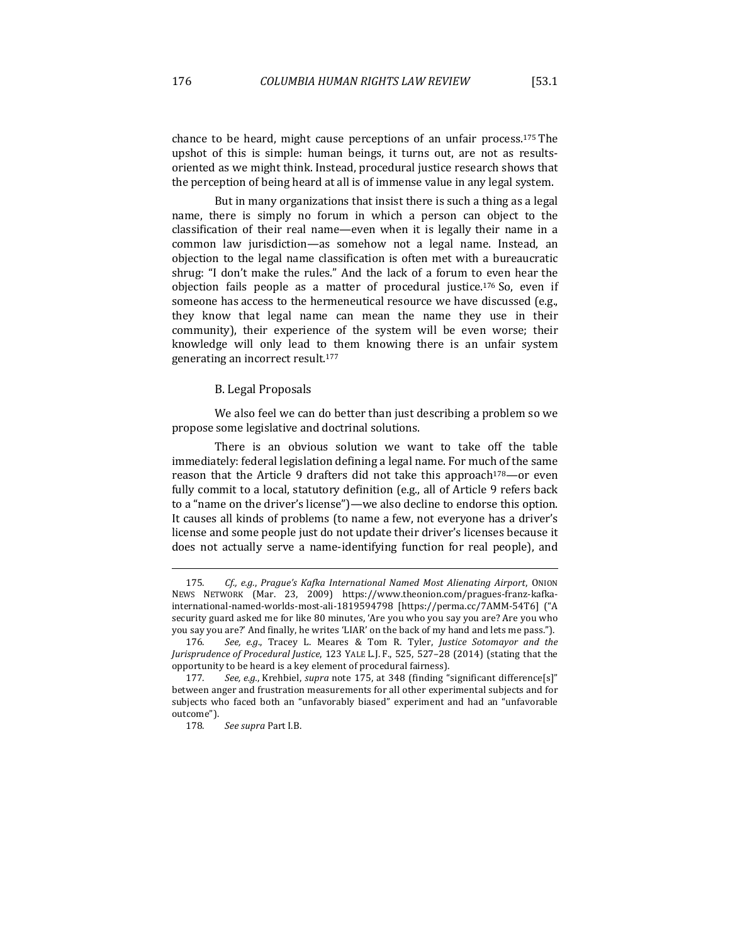chance to be heard, might cause perceptions of an unfair process.<sup>175</sup> The upshot of this is simple: human beings, it turns out, are not as resultsoriented as we might think. Instead, procedural justice research shows that the perception of being heard at all is of immense value in any legal system.

But in many organizations that insist there is such a thing as a legal name, there is simply no forum in which a person can object to the classification of their real name—even when it is legally their name in a common law jurisdiction—as somehow not a legal name. Instead, an objection to the legal name classification is often met with a bureaucratic shrug: "I don't make the rules." And the lack of a forum to even hear the objection fails people as a matter of procedural justice.<sup>176</sup> So, even if someone has access to the hermeneutical resource we have discussed (e.g., they know that legal name can mean the name they use in their community), their experience of the system will be even worse; their knowledge will only lead to them knowing there is an unfair system generating an incorrect result.<sup>177</sup>

#### B. Legal Proposals

We also feel we can do better than just describing a problem so we propose some legislative and doctrinal solutions.

There is an obvious solution we want to take off the table immediately: federal legislation defining a legal name. For much of the same reason that the Article 9 drafters did not take this approach<sup>178</sup>—or even fully commit to a local, statutory definition (e.g., all of Article 9 refers back to a "name on the driver's license")—we also decline to endorse this option. It causes all kinds of problems (to name a few, not everyone has a driver's license and some people just do not update their driver's licenses because it does not actually serve a name-identifying function for real people), and

<sup>175.</sup> Cf., e.g., *Prague's Kafka International Named Most Alienating Airport*, ONION NEWS NETWORK (Mar. 23, 2009) https://www.theonion.com/pragues-franz-kafkainternational-named-worlds-most-ali-1819594798 [https://perma.cc/7AMM-54T6] ("A security guard asked me for like 80 minutes, 'Are you who you say you are? Are you who you say you are?' And finally, he writes 'LIAR' on the back of my hand and lets me pass.").

<sup>176.</sup> See, e.g., Tracey L. Meares & Tom R. Tyler, *Justice Sotomayor and the Jurisprudence of Procedural Justice*, 123 YALE L.J. F., 525, 527-28 (2014) (stating that the opportunity to be heard is a key element of procedural fairness).

<sup>177.</sup> See, e.g., Krehbiel, *supra* note 175, at 348 (finding "significant difference[s]" between anger and frustration measurements for all other experimental subjects and for subjects who faced both an "unfavorably biased" experiment and had an "unfavorable outcome").

<sup>178.</sup> See supra Part I.B.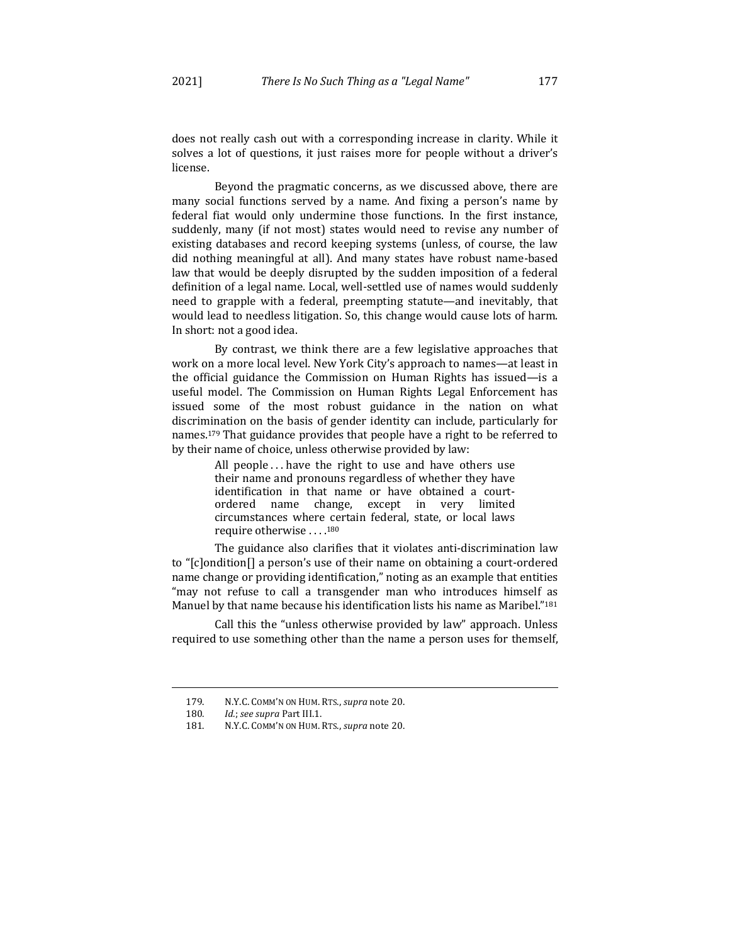does not really cash out with a corresponding increase in clarity. While it solves a lot of questions, it just raises more for people without a driver's license.

Beyond the pragmatic concerns, as we discussed above, there are many social functions served by a name. And fixing a person's name by federal fiat would only undermine those functions. In the first instance, suddenly, many (if not most) states would need to revise any number of existing databases and record keeping systems (unless, of course, the law did nothing meaningful at all). And many states have robust name-based law that would be deeply disrupted by the sudden imposition of a federal definition of a legal name. Local, well-settled use of names would suddenly need to grapple with a federal, preempting statute—and inevitably, that would lead to needless litigation. So, this change would cause lots of harm. In short: not a good idea.

By contrast, we think there are a few legislative approaches that work on a more local level. New York City's approach to names—at least in the official guidance the Commission on Human Rights has issued—is a useful model. The Commission on Human Rights Legal Enforcement has issued some of the most robust guidance in the nation on what discrimination on the basis of gender identity can include, particularly for names.<sup>179</sup> That guidance provides that people have a right to be referred to by their name of choice, unless otherwise provided by law:

> All people  $\dots$  have the right to use and have others use their name and pronouns regardless of whether they have identification in that name or have obtained a courtordered name change, except in very limited circumstances where certain federal, state, or local laws require otherwise . . . . 180

The guidance also clarifies that it violates anti-discrimination law to "[c]ondition[] a person's use of their name on obtaining a court-ordered name change or providing identification," noting as an example that entities "may not refuse to call a transgender man who introduces himself as Manuel by that name because his identification lists his name as Maribel."<sup>181</sup>

Call this the "unless otherwise provided by law" approach. Unless required to use something other than the name a person uses for themself,

<sup>179.</sup> N.Y.C. COMM'N ON HUM. RTS., *supra* note 20.

<sup>180</sup>*. Id.*; *see supra* Part III.1.

<sup>181.</sup> N.Y.C. COMM'N ON HUM. RTS., *supra* note 20.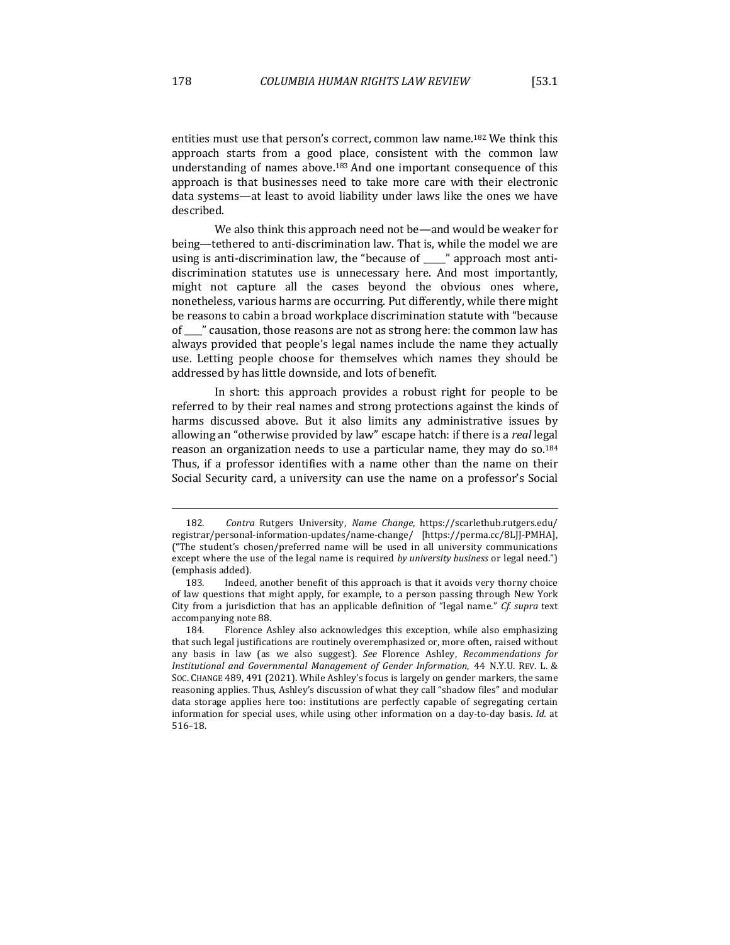entities must use that person's correct, common law name.<sup>182</sup> We think this approach starts from a good place, consistent with the common law understanding of names above.<sup>183</sup> And one important consequence of this approach is that businesses need to take more care with their electronic data systems-at least to avoid liability under laws like the ones we have described.

We also think this approach need not be—and would be weaker for being—tethered to anti-discrimination law. That is, while the model we are using is anti-discrimination law, the "because of  $\_\_\_\$ " approach most antidiscrimination statutes use is unnecessary here. And most importantly, might not capture all the cases beyond the obvious ones where, nonetheless, various harms are occurring. Put differently, while there might be reasons to cabin a broad workplace discrimination statute with "because of  $\Box$ " causation, those reasons are not as strong here: the common law has always provided that people's legal names include the name they actually use. Letting people choose for themselves which names they should be addressed by has little downside, and lots of benefit.

In short: this approach provides a robust right for people to be referred to by their real names and strong protections against the kinds of harms discussed above. But it also limits any administrative issues by allowing an "otherwise provided by law" escape hatch: if there is a *real* legal reason an organization needs to use a particular name, they may do so.<sup>184</sup> Thus, if a professor identifies with a name other than the name on their Social Security card, a university can use the name on a professor's Social

<sup>182</sup>*. Contra*  Rutgers University, *Name Change,*  https://scarlethub.rutgers.edu/ registrar/personal-information-updates/name-change/ [https://perma.cc/8LJJ-PMHA], ("The student's chosen/preferred name will be used in all university communications except where the use of the legal name is required by university business or legal need.") (emphasis added).

<sup>183.</sup> Indeed, another benefit of this approach is that it avoids very thorny choice of law questions that might apply, for example, to a person passing through New York City from a jurisdiction that has an applicable definition of "legal name." *Cf.* supra text accompanying note 88.

<sup>184.</sup> Florence Ashley also acknowledges this exception, while also emphasizing that such legal justifications are routinely overemphasized or, more often, raised without any basis in law (as we also suggest). See Florence Ashley, Recommendations for *Institutional and Governmental Management of Gender Information*, 44 N.Y.U. REV. L. & SOC. CHANGE 489, 491 (2021). While Ashley's focus is largely on gender markers, the same reasoning applies. Thus, Ashley's discussion of what they call "shadow files" and modular data storage applies here too: institutions are perfectly capable of segregating certain information for special uses, while using other information on a day-to-day basis. *Id.* at 516–18.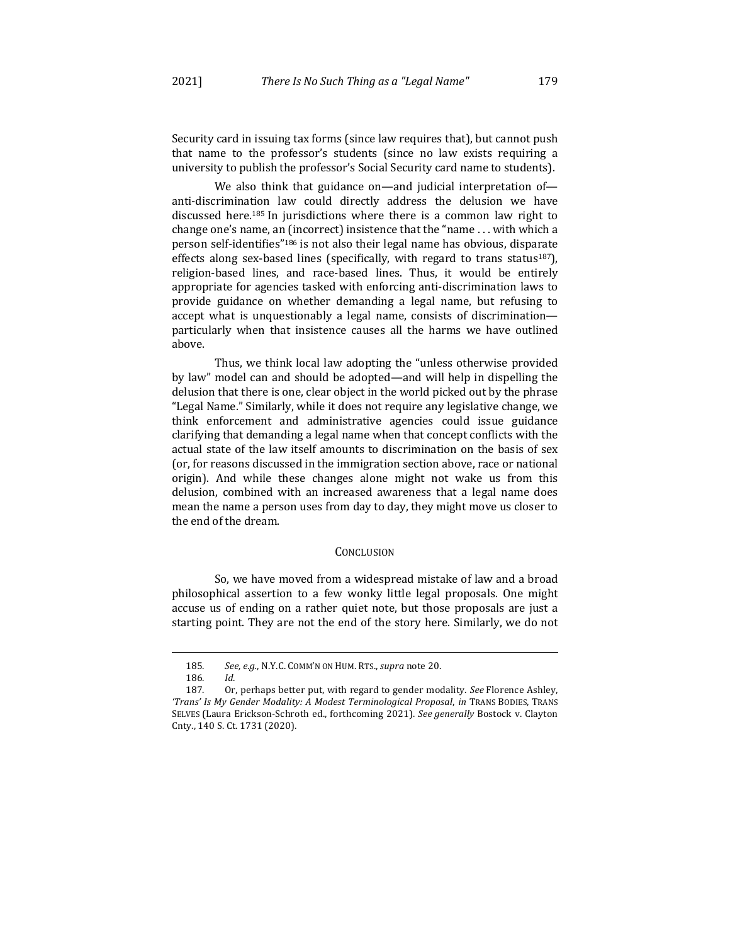Security card in issuing tax forms (since law requires that), but cannot push that name to the professor's students (since no law exists requiring a university to publish the professor's Social Security card name to students).

We also think that guidance on—and judicial interpretation of anti-discrimination law could directly address the delusion we have discussed here.<sup>185</sup> In jurisdictions where there is a common law right to change one's name, an (incorrect) insistence that the "name  $\dots$  with which a person self-identifies"<sup>186</sup> is not also their legal name has obvious, disparate effects along sex-based lines (specifically, with regard to trans status<sup>187</sup>), religion-based lines, and race-based lines. Thus, it would be entirely appropriate for agencies tasked with enforcing anti-discrimination laws to provide guidance on whether demanding a legal name, but refusing to accept what is unquestionably a legal name, consists of discriminationparticularly when that insistence causes all the harms we have outlined above.

Thus, we think local law adopting the "unless otherwise provided by law" model can and should be adopted—and will help in dispelling the delusion that there is one, clear object in the world picked out by the phrase "Legal Name." Similarly, while it does not require any legislative change, we think enforcement and administrative agencies could issue guidance clarifying that demanding a legal name when that concept conflicts with the actual state of the law itself amounts to discrimination on the basis of sex (or, for reasons discussed in the immigration section above, race or national origin). And while these changes alone might not wake us from this delusion, combined with an increased awareness that a legal name does mean the name a person uses from day to day, they might move us closer to the end of the dream.

## **CONCLUSION**

So, we have moved from a widespread mistake of law and a broad philosophical assertion to a few wonky little legal proposals. One might accuse us of ending on a rather quiet note, but those proposals are just a starting point. They are not the end of the story here. Similarly, we do not

<sup>185.</sup> See, e.g., N.Y.C. COMM'N ON HUM. RTS., supra note 20.

<sup>186</sup>*. Id.*

<sup>187.</sup> Or, perhaps better put, with regard to gender modality. See Florence Ashley, 'Trans' Is My Gender Modality: A Modest Terminological Proposal, in TRANS BODIES, TRANS SELVES (Laura Erickson-Schroth ed., forthcoming 2021). See generally Bostock v. Clayton Cnty., 140 S. Ct. 1731 (2020).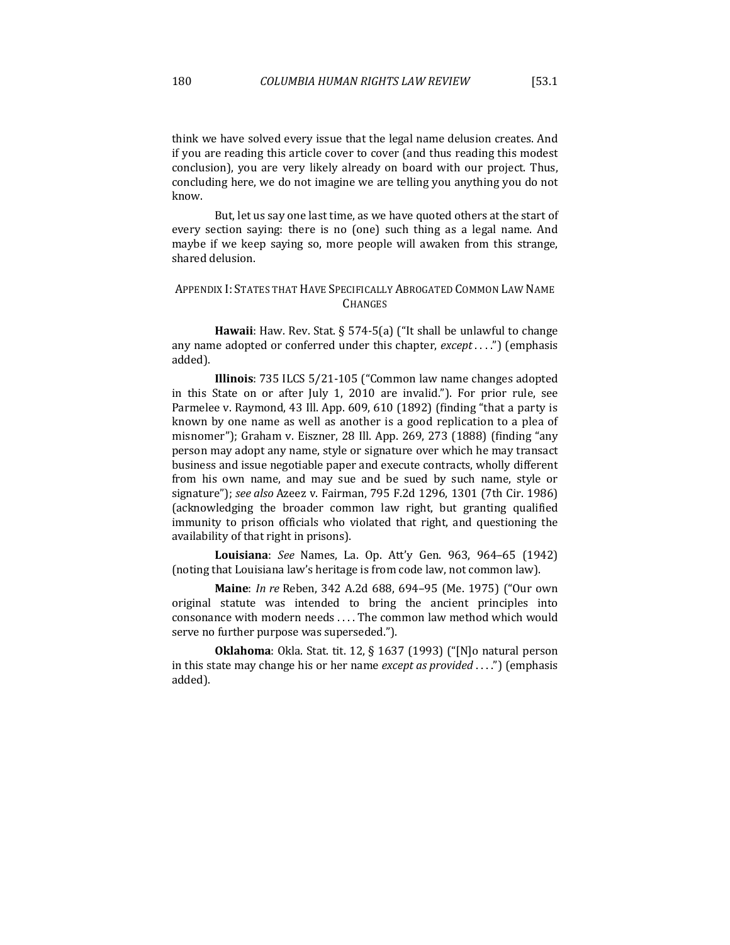think we have solved every issue that the legal name delusion creates. And if you are reading this article cover to cover (and thus reading this modest conclusion), you are very likely already on board with our project. Thus, concluding here, we do not imagine we are telling you anything you do not know.

But, let us say one last time, as we have quoted others at the start of every section saying: there is no (one) such thing as a legal name. And maybe if we keep saying so, more people will awaken from this strange, shared delusion.

# APPENDIX I: STATES THAT HAVE SPECIFICALLY ABROGATED COMMON LAW NAME **CHANGES**

**Hawaii**: Haw. Rev. Stat.  $\S$  574-5(a) ("It shall be unlawful to change any name adopted or conferred under this chapter, *except* . . . .") (emphasis added).

**Illinois**: 735 ILCS 5/21-105 ("Common law name changes adopted in this State on or after  $\lceil \text{uly 1}, \text{ 2010} \rceil$  are invalid."). For prior rule, see Parmelee v. Raymond, 43 Ill. App. 609, 610 (1892) (finding "that a party is known by one name as well as another is a good replication to a plea of misnomer"); Graham v. Eiszner, 28 Ill. App. 269, 273 (1888) (finding "any person may adopt any name, style or signature over which he may transact business and issue negotiable paper and execute contracts, wholly different from his own name, and may sue and be sued by such name, style or signature"); *see also* Azeez v. Fairman, 795 F.2d 1296, 1301 (7th Cir. 1986) (acknowledging the broader common law right, but granting qualified immunity to prison officials who violated that right, and questioning the availability of that right in prisons).

**Louisiana**: *See*  Names, La. Op. Att'y Gen. 963, 964–65 (1942) (noting that Louisiana law's heritage is from code law, not common law).

**Maine**: *In re* Reben, 342 A.2d 688, 694–95 (Me. 1975) ("Our own original statute was intended to bring the ancient principles into consonance with modern needs .... The common law method which would serve no further purpose was superseded.").

**Oklahoma**: Okla. Stat. tit. 12, § 1637 (1993) ("[N]o natural person in this state may change his or her name *except as provided* . . . .") (emphasis added).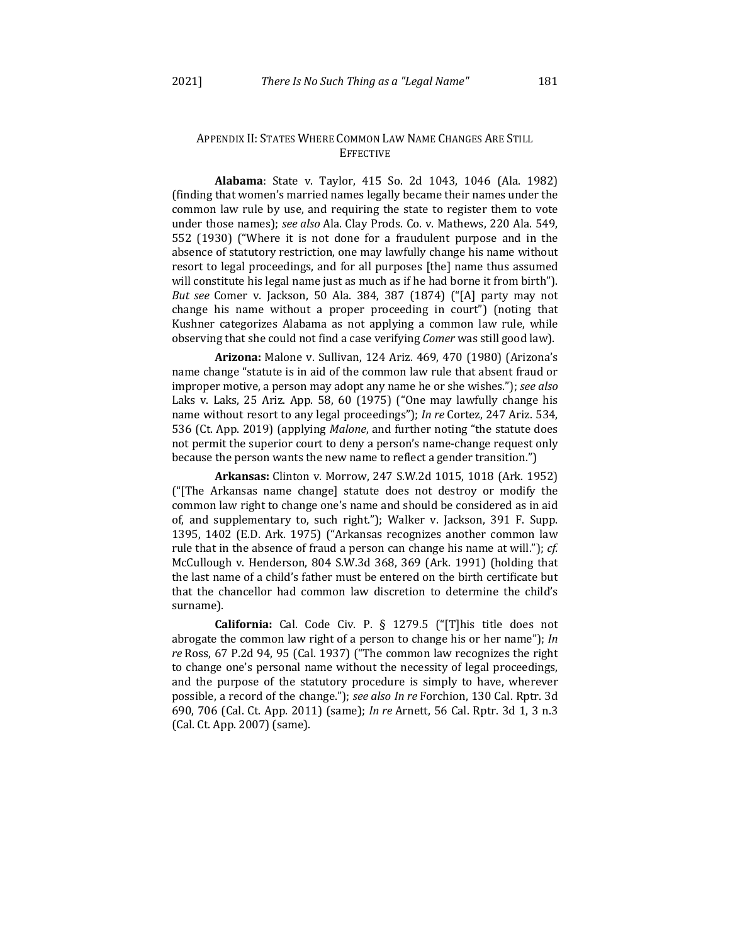# APPENDIX II: STATES WHERE COMMON LAW NAME CHANGES ARE STILL EFFECTIVE

**Alabama**: State v. Taylor, 415 So. 2d 1043, 1046 (Ala. 1982) (finding that women's married names legally became their names under the common law rule by use, and requiring the state to register them to vote under those names); see also Ala. Clay Prods. Co. v. Mathews, 220 Ala. 549, 552 (1930) ("Where it is not done for a fraudulent purpose and in the absence of statutory restriction, one may lawfully change his name without resort to legal proceedings, and for all purposes [the] name thus assumed will constitute his legal name just as much as if he had borne it from birth"). *But see* Comer v. Jackson, 50 Ala. 384, 387 (1874) ("[A] party may not change his name without a proper proceeding in court") (noting that Kushner categorizes Alabama as not applying a common law rule, while observing that she could not find a case verifying *Comer* was still good law).

**Arizona:** Malone v. Sullivan, 124 Ariz. 469, 470 (1980) (Arizona's name change "statute is in aid of the common law rule that absent fraud or improper motive, a person may adopt any name he or she wishes."); see also Laks v. Laks, 25 Ariz. App. 58, 60 (1975) ("One may lawfully change his name without resort to any legal proceedings"); *In re* Cortez, 247 Ariz. 534, 536 (Ct. App. 2019) (applying *Malone*, and further noting "the statute does not permit the superior court to deny a person's name-change request only because the person wants the new name to reflect a gender transition.")

**Arkansas:** Clinton v. Morrow, 247 S.W.2d 1015, 1018 (Ark. 1952) (" $[$ The Arkansas name change] statute does not destroy or modify the common law right to change one's name and should be considered as in aid of, and supplementary to, such right."); Walker v. Jackson, 391 F. Supp. 1395, 1402 (E.D. Ark. 1975) ("Arkansas recognizes another common law rule that in the absence of fraud a person can change his name at will."); *cf.* McCullough v. Henderson,  $804$  S.W.3d  $368$ ,  $369$  (Ark. 1991) (holding that the last name of a child's father must be entered on the birth certificate but that the chancellor had common law discretion to determine the child's surname).

**California:** Cal. Code Civ. P. § 1279.5 ("[T]his title does not abrogate the common law right of a person to change his or her name"); *In re* Ross, 67 P.2d 94, 95 (Cal. 1937) ("The common law recognizes the right to change one's personal name without the necessity of legal proceedings, and the purpose of the statutory procedure is simply to have, wherever possible, a record of the change."); see also In re Forchion, 130 Cal. Rptr. 3d 690, 706 (Cal. Ct. App. 2011) (same); *In re* Arnett, 56 Cal. Rptr. 3d 1, 3 n.3 (Cal. Ct. App. 2007) (same).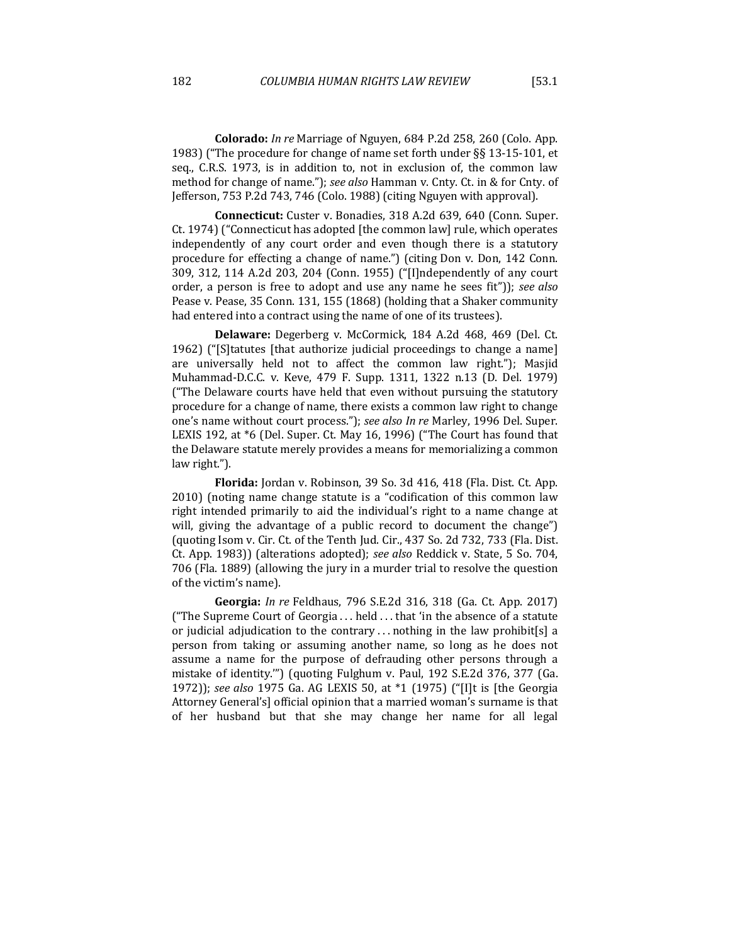**Colorado:** *In re* Marriage of Nguyen, 684 P.2d 258, 260 (Colo. App. 1983) ("The procedure for change of name set forth under  $\S$ § 13-15-101, et seq., C.R.S. 1973, is in addition to, not in exclusion of, the common law method for change of name."); see also Hamman v. Cnty. Ct. in & for Cnty. of Jefferson, 753 P.2d 743, 746 (Colo. 1988) (citing Nguyen with approval).

**Connecticut:** Custer v. Bonadies, 318 A.2d 639, 640 (Conn. Super. Ct. 1974) ("Connecticut has adopted [the common law] rule, which operates independently of any court order and even though there is a statutory procedure for effecting a change of name.") (citing Don v. Don, 142 Conn. 309, 312, 114 A.2d 203, 204 (Conn. 1955) ("[I]ndependently of any court order, a person is free to adopt and use any name he sees fit")); see also Pease v. Pease, 35 Conn. 131, 155 (1868) (holding that a Shaker community had entered into a contract using the name of one of its trustees).

Delaware: Degerberg v. McCormick, 184 A.2d 468, 469 (Del. Ct. 1962) ("S catures [that authorize judicial proceedings to change a name] are universally held not to affect the common law right."); Masjid Muhammad-D.C.C. v. Keve, 479 F. Supp. 1311, 1322 n.13 (D. Del. 1979) ("The Delaware courts have held that even without pursuing the statutory procedure for a change of name, there exists a common law right to change one's name without court process."); *see also In re* Marley, 1996 Del. Super. LEXIS 192, at \*6 (Del. Super. Ct. May 16, 1996) ("The Court has found that the Delaware statute merely provides a means for memorializing a common law right.").

Florida: Jordan v. Robinson, 39 So. 3d 416, 418 (Fla. Dist. Ct. App.  $2010$ ) (noting name change statute is a "codification of this common law right intended primarily to aid the individual's right to a name change at will, giving the advantage of a public record to document the change") (quoting Isom v. Cir. Ct. of the Tenth Jud. Cir.,  $437$  So. 2d  $732$ ,  $733$  (Fla. Dist. Ct. App. 1983)) (alterations adopted); *see also* Reddick v. State, 5 So. 704, 706 (Fla. 1889) (allowing the jury in a murder trial to resolve the question of the victim's name).

**Georgia:** *In re* Feldhaus, 796 S.E.2d 316, 318 (Ga. Ct. App. 2017) ("The Supreme Court of Georgia  $\dots$  held  $\dots$  that 'in the absence of a statute or judicial adjudication to the contrary ... nothing in the law prohibit[s] a person from taking or assuming another name, so long as he does not assume a name for the purpose of defrauding other persons through a mistake of identity."") (quoting Fulghum v. Paul, 192 S.E.2d 376, 377 (Ga. 1972)); *see also* 1975 Ga. AG LEXIS 50, at \*1 (1975) ("[I]t is [the Georgia Attorney General's] official opinion that a married woman's surname is that of her husband but that she may change her name for all legal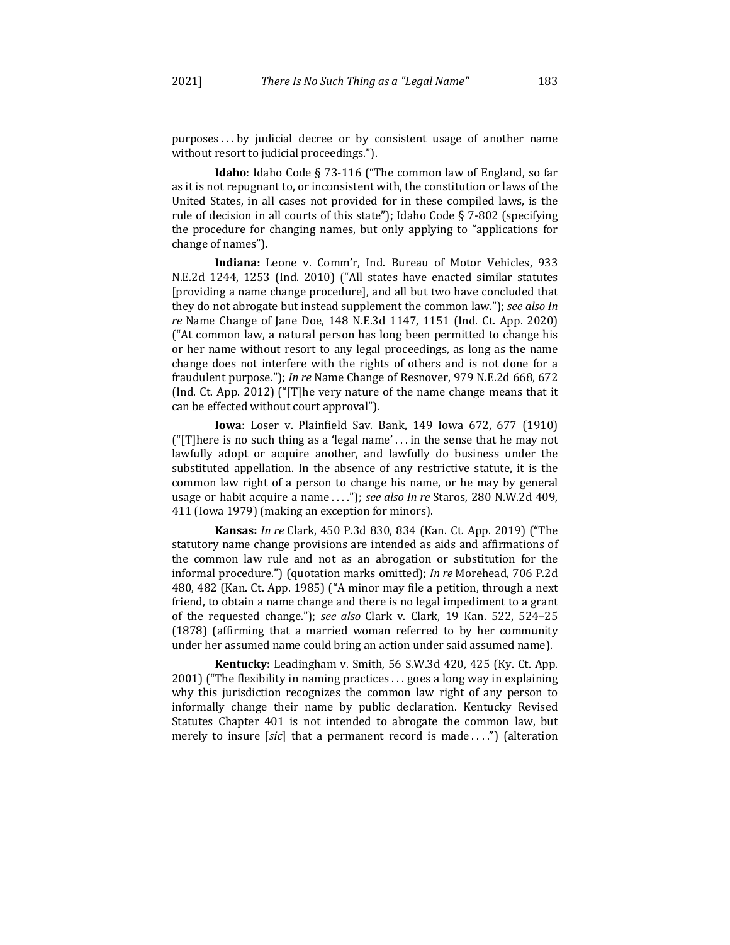$p$ urposes...by judicial decree or by consistent usage of another name without resort to judicial proceedings.").

**Idaho**: Idaho Code § 73-116 ("The common law of England, so far as it is not repugnant to, or inconsistent with, the constitution or laws of the United States, in all cases not provided for in these compiled laws, is the rule of decision in all courts of this state"); Idaho Code § 7-802 (specifying the procedure for changing names, but only applying to "applications for change of names").

Indiana: Leone v. Comm'r, Ind. Bureau of Motor Vehicles, 933 N.E.2d 1244, 1253 (Ind. 2010) ("All states have enacted similar statutes [providing a name change procedure], and all but two have concluded that they do not abrogate but instead supplement the common law."); see also In *re* Name Change of Jane Doe, 148 N.E.3d 1147, 1151 (Ind. Ct. App. 2020) ("At common law, a natural person has long been permitted to change his or her name without resort to any legal proceedings, as long as the name change does not interfere with the rights of others and is not done for a fraudulent purpose."); *In re* Name Change of Resnover, 979 N.E.2d 668, 672 (Ind. Ct. App. 2012) ("[T]he very nature of the name change means that it can be effected without court approval").

**Iowa**: Loser v. Plainfield Sav. Bank, 149 Iowa 672, 677 (1910) ("[T]here is no such thing as a 'legal name' ... in the sense that he may not lawfully adopt or acquire another, and lawfully do business under the substituted appellation. In the absence of any restrictive statute, it is the common law right of a person to change his name, or he may by general usage or habit acquire a name ...."); see also In re Staros, 280 N.W.2d 409, 411 (Iowa 1979) (making an exception for minors).

**Kansas:** *In re* Clark, 450 P.3d 830, 834 (Kan. Ct. App. 2019) ("The statutory name change provisions are intended as aids and affirmations of the common law rule and not as an abrogation or substitution for the informal procedure.") (quotation marks omitted); *In re* Morehead, 706 P.2d 480, 482 (Kan. Ct. App. 1985) ("A minor may file a petition, through a next friend, to obtain a name change and there is no legal impediment to a grant of the requested change."); see also Clark v. Clark, 19 Kan. 522, 524-25 (1878) (affirming that a married woman referred to by her community under her assumed name could bring an action under said assumed name).

**Kentucky:** Leadingham v. Smith, 56 S.W.3d 420, 425 (Ky. Ct. App.  $2001$ ) ("The flexibility in naming practices ... goes a long way in explaining why this jurisdiction recognizes the common law right of any person to informally change their name by public declaration. Kentucky Revised Statutes Chapter 401 is not intended to abrogate the common law, but merely to insure [*sic*] that a permanent record is made ....") (alteration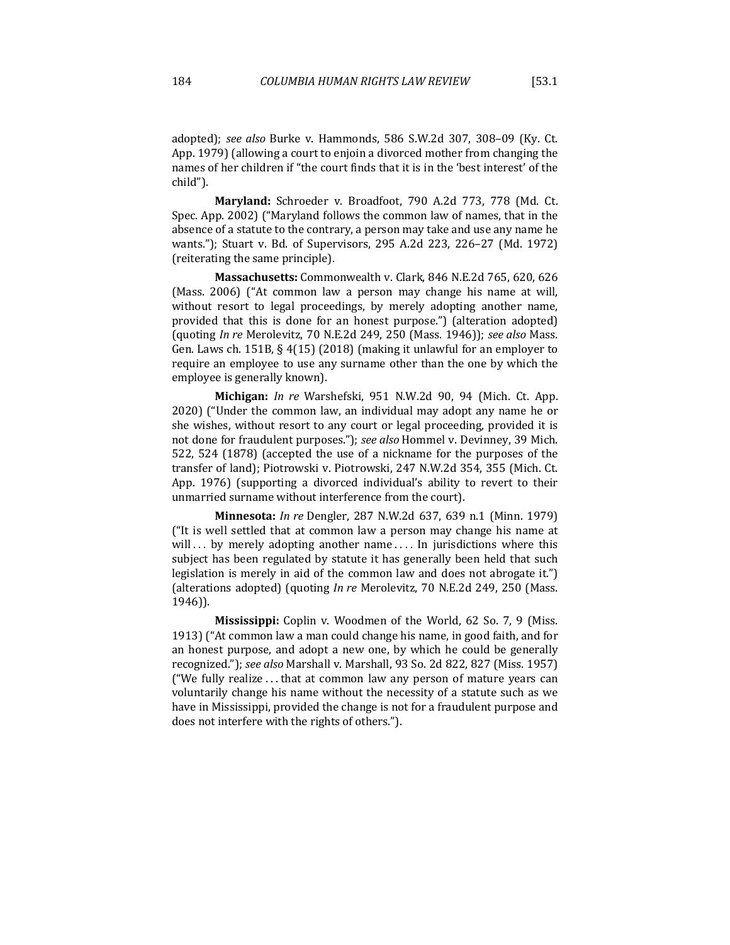adopted); see also Burke v. Hammonds, 586 S.W.2d 307, 308-09 (Ky. Ct. App. 1979) (allowing a court to enjoin a divorced mother from changing the names of her children if "the court finds that it is in the 'best interest' of the child").

**Maryland:** Schroeder v. Broadfoot, 790 A.2d 773, 778 (Md. Ct.) Spec. App. 2002) ("Maryland follows the common law of names, that in the absence of a statute to the contrary, a person may take and use any name he wants."); Stuart v. Bd. of Supervisors, 295 A.2d 223, 226–27 (Md. 1972) (reiterating the same principle).

Massachusetts: Commonwealth v. Clark, 846 N.E.2d 765, 620, 626 (Mass. 2006) ("At common law a person may change his name at will, without resort to legal proceedings, by merely adopting another name, provided that this is done for an honest purpose.") (alteration adopted) (quoting *In re* Merolevitz, 70 N.E.2d 249, 250 (Mass. 1946)); see also Mass. Gen. Laws ch. 151B,  $\S$  4(15) (2018) (making it unlawful for an employer to require an employee to use any surname other than the one by which the employee is generally known).

**Michigan:** *In re* Warshefski, 951 N.W.2d 90, 94 (Mich. Ct. App. 2020) ("Under the common law, an individual may adopt any name he or she wishes, without resort to any court or legal proceeding, provided it is not done for fraudulent purposes."); see also Hommel v. Devinney, 39 Mich. 522, 524 (1878) (accepted the use of a nickname for the purposes of the transfer of land); Piotrowski v. Piotrowski, 247 N.W.2d 354, 355 (Mich. Ct. App. 1976) (supporting a divorced individual's ability to revert to their unmarried surname without interference from the court).

**Minnesota:** *In re* Dengler, 287 N.W.2d 637, 639 n.1 (Minn. 1979) ("It is well settled that at common law a person may change his name at will ... by merely adopting another name .... In jurisdictions where this subject has been regulated by statute it has generally been held that such legislation is merely in aid of the common law and does not abrogate it.") (alterations adopted) (quoting In re Merolevitz, 70 N.E.2d 249, 250 (Mass. 1946)).

**Mississippi:** Coplin v. Woodmen of the World, 62 So. 7, 9 (Miss. 1913) ("At common law a man could change his name, in good faith, and for an honest purpose, and adopt a new one, by which he could be generally recognized."); see also Marshall v. Marshall, 93 So. 2d 822, 827 (Miss. 1957) ("We fully realize  $\dots$  that at common law any person of mature years can voluntarily change his name without the necessity of a statute such as we have in Mississippi, provided the change is not for a fraudulent purpose and does not interfere with the rights of others.").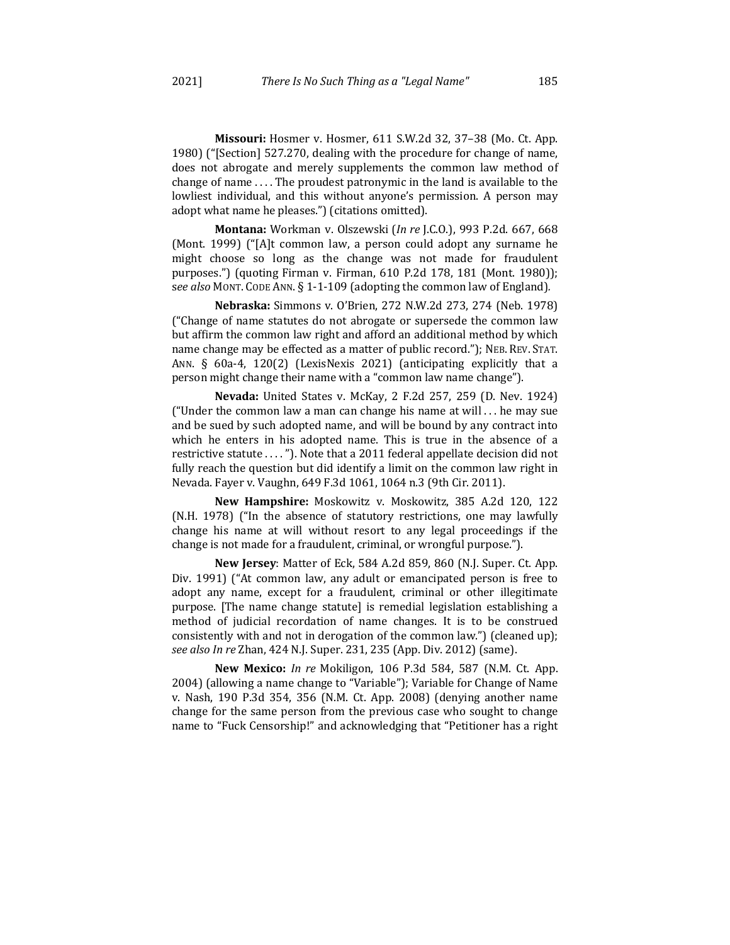**Missouri:** Hosmer v. Hosmer, 611 S.W.2d 32, 37-38 (Mo. Ct. App. 1980) ("[Section] 527.270, dealing with the procedure for change of name, does not abrogate and merely supplements the common law method of change of name  $\dots$ . The proudest patronymic in the land is available to the lowliest individual, and this without anyone's permission. A person may adopt what name he pleases.") (citations omitted).

**Montana:** Workman v. Olszewski (*In re* J.C.O.), 993 P.2d. 667, 668 (Mont. 1999) (" $[A]$ t common law, a person could adopt any surname he might choose so long as the change was not made for fraudulent purposes.") (quoting Firman v. Firman,  $610$  P.2d 178, 181 (Mont. 1980)); see also MONT. CODE ANN. § 1-1-109 (adopting the common law of England).

**Nebraska:** Simmons v. O'Brien, 272 N.W.2d 273, 274 (Neb. 1978) ("Change of name statutes do not abrogate or supersede the common law but affirm the common law right and afford an additional method by which name change may be effected as a matter of public record."); NEB. REV. STAT. ANN. § 60a-4, 120(2) (LexisNexis 2021) (anticipating explicitly that a person might change their name with a "common law name change").

**Nevada:** United States v. McKay, 2 F.2d 257, 259 (D. Nev. 1924) ("Under the common law a man can change his name at will  $\dots$  he may sue and be sued by such adopted name, and will be bound by any contract into which he enters in his adopted name. This is true in the absence of a restrictive statute ...."). Note that a 2011 federal appellate decision did not fully reach the question but did identify a limit on the common law right in Nevada. Fayer v. Vaughn, 649 F.3d 1061, 1064 n.3 (9th Cir. 2011).

New Hampshire: Moskowitz v. Moskowitz, 385 A.2d 120, 122 (N.H. 1978) ("In the absence of statutory restrictions, one may lawfully change his name at will without resort to any legal proceedings if the change is not made for a fraudulent, criminal, or wrongful purpose.").

**New Jersey**: Matter of Eck, 584 A.2d 859, 860 (N.J. Super. Ct. App. Div. 1991) ("At common law, any adult or emancipated person is free to adopt any name, except for a fraudulent, criminal or other illegitimate purpose. The name change statute is remedial legislation establishing a method of judicial recordation of name changes. It is to be construed consistently with and not in derogation of the common law.") (cleaned up); *see also In re* Zhan, 424 N.J. Super. 231, 235 (App. Div. 2012) (same).

**New Mexico:** *In re Mokiligon,* 106 P.3d 584, 587 (N.M. Ct. App. 2004) (allowing a name change to "Variable"); Variable for Change of Name v. Nash, 190 P.3d 354, 356 (N.M. Ct. App. 2008) (denying another name change for the same person from the previous case who sought to change name to "Fuck Censorship!" and acknowledging that "Petitioner has a right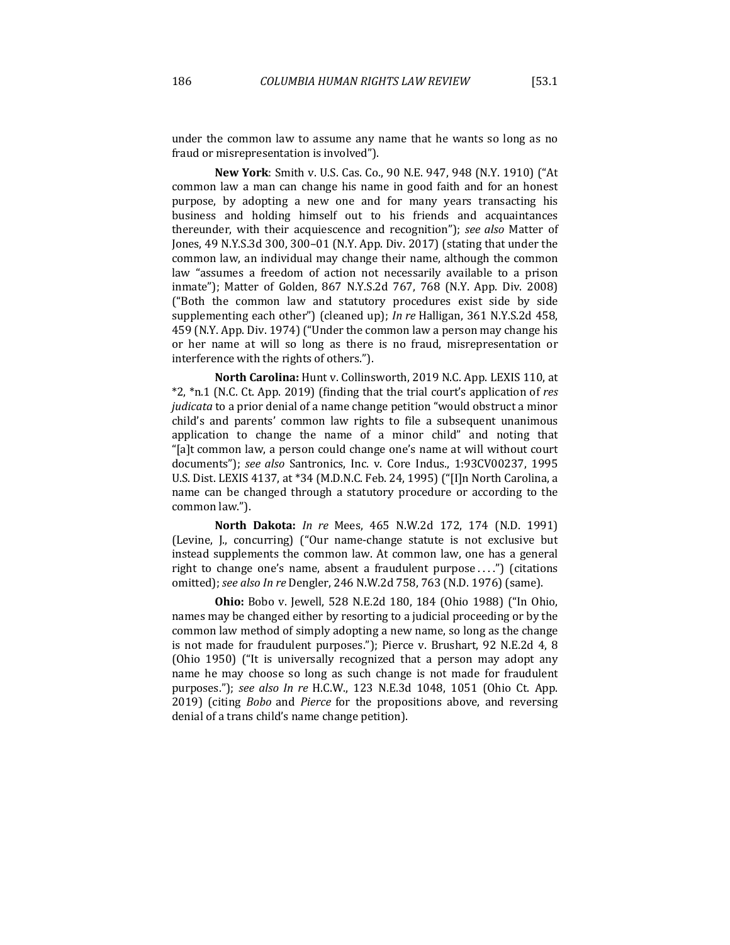under the common law to assume any name that he wants so long as no fraud or misrepresentation is involved").

**New York**: Smith v. U.S. Cas. Co., 90 N.E. 947, 948 (N.Y. 1910) ("At common law a man can change his name in good faith and for an honest purpose, by adopting a new one and for many years transacting his business and holding himself out to his friends and acquaintances thereunder, with their acquiescence and recognition"); *see also* Matter of Jones, 49 N.Y.S.3d 300, 300–01 (N.Y. App. Div. 2017) (stating that under the common law, an individual may change their name, although the common law "assumes a freedom of action not necessarily available to a prison inmate"); Matter of Golden, 867 N.Y.S.2d 767, 768 (N.Y. App. Div. 2008) ("Both the common law and statutory procedures exist side by side supplementing each other") (cleaned up); *In re* Halligan, 361 N.Y.S.2d 458, 459 (N.Y. App. Div. 1974) ("Under the common law a person may change his or her name at will so long as there is no fraud, misrepresentation or interference with the rights of others.").

**North Carolina:** Hunt v. Collinsworth, 2019 N.C. App. LEXIS 110, at \*2, \*n.1 (N.C. Ct. App. 2019) (finding that the trial court's application of *res judicata* to a prior denial of a name change petition "would obstruct a minor child's and parents' common law rights to file a subsequent unanimous application to change the name of a minor child" and noting that "[a]t common law, a person could change one's name at will without court documents"); see also Santronics, Inc. v. Core Indus., 1:93CV00237, 1995 U.S. Dist. LEXIS 4137, at \*34 (M.D.N.C. Feb. 24, 1995) ("[I]n North Carolina, a name can be changed through a statutory procedure or according to the common law.").

**North Dakota:** *In re Mees*, 465 N.W.2d 172, 174 (N.D. 1991) (Levine, J., concurring) ("Our name-change statute is not exclusive but instead supplements the common law. At common law, one has a general right to change one's name, absent a fraudulent purpose ....") (citations omitted); see also In re Dengler, 246 N.W.2d 758, 763 (N.D. 1976) (same).

**Ohio:** Bobo v. Jewell, 528 N.E.2d 180, 184 (Ohio 1988) ("In Ohio, names may be changed either by resorting to a judicial proceeding or by the common law method of simply adopting a new name, so long as the change is not made for fraudulent purposes."); Pierce v. Brushart, 92 N.E.2d 4, 8 (Ohio 1950) ("It is universally recognized that a person may adopt any name he may choose so long as such change is not made for fraudulent purposes."); see also In re H.C.W., 123 N.E.3d 1048, 1051 (Ohio Ct. App. 2019) (citing *Bobo* and *Pierce* for the propositions above, and reversing denial of a trans child's name change petition).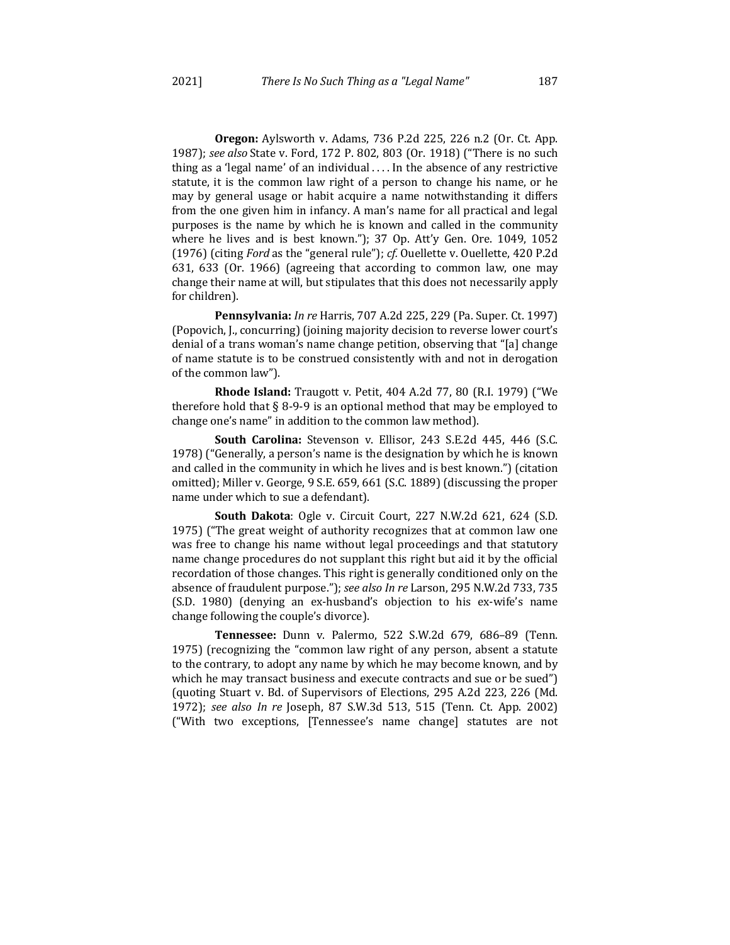**Oregon:** Aylsworth v. Adams, 736 P.2d 225, 226 n.2 (Or. Ct. App. 1987); *see also* State v. Ford, 172 P. 802, 803 (Or. 1918) ("There is no such thing as a 'legal name' of an individual  $\dots$  In the absence of any restrictive statute, it is the common law right of a person to change his name, or he may by general usage or habit acquire a name notwithstanding it differs from the one given him in infancy. A man's name for all practical and legal purposes is the name by which he is known and called in the community where he lives and is best known."); 37 Op. Att'y Gen. Ore. 1049, 1052 (1976) (citing *Ford* as the "general rule"); *cf.* Ouellette v. Ouellette, 420 P.2d 631, 633 (Or. 1966) (agreeing that according to common law, one may change their name at will, but stipulates that this does not necessarily apply for children).

**Pennsylvania:** *In re* Harris, 707 A.2d 225, 229 (Pa. Super. Ct. 1997) (Popovich, J., concurring) (joining majority decision to reverse lower court's denial of a trans woman's name change petition, observing that "[a] change of name statute is to be construed consistently with and not in derogation of the common law").

**Rhode Island:** Traugott v. Petit, 404 A.2d 77, 80 (R.I. 1979) ("We therefore hold that  $\S 8$ -9-9 is an optional method that may be employed to change one's name" in addition to the common law method).

**South Carolina:** Stevenson v. Ellisor, 243 S.E.2d 445, 446 (S.C. 1978) ("Generally, a person's name is the designation by which he is known and called in the community in which he lives and is best known.") (citation omitted); Miller v. George, 9 S.E. 659, 661 (S.C. 1889) (discussing the proper name under which to sue a defendant).

**South Dakota**: Ogle v. Circuit Court, 227 N.W.2d 621, 624 (S.D. 1975) ("The great weight of authority recognizes that at common law one was free to change his name without legal proceedings and that statutory name change procedures do not supplant this right but aid it by the official recordation of those changes. This right is generally conditioned only on the absence of fraudulent purpose."); see also In re Larson, 295 N.W.2d 733, 735 (S.D. 1980) (denying an ex-husband's objection to his ex-wife's name change following the couple's divorce).

**Tennessee:**  Dunn v. Palermo, 522 S.W.2d 679, 686–89 (Tenn. 1975) (recognizing the "common law right of any person, absent a statute to the contrary, to adopt any name by which he may become known, and by which he may transact business and execute contracts and sue or be sued") (quoting Stuart v. Bd. of Supervisors of Elections, 295 A.2d 223, 226 (Md. 1972); see also In re Joseph, 87 S.W.3d 513, 515 (Tenn. Ct. App. 2002) ("With two exceptions, [Tennessee's name change] statutes are not